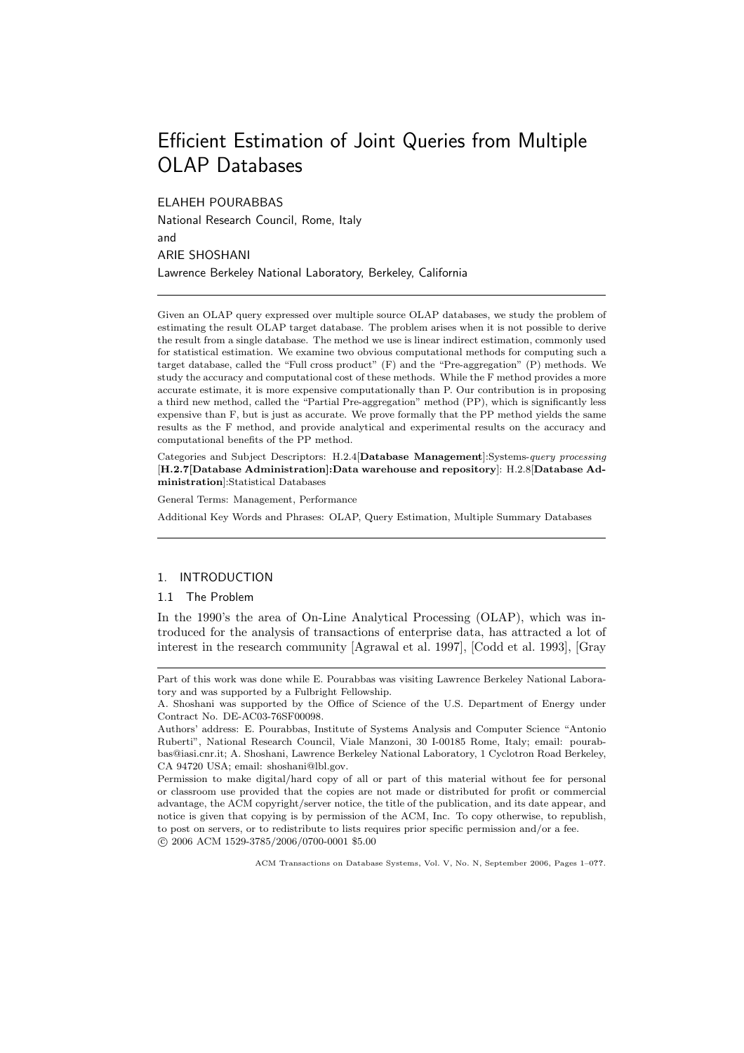# Efficient Estimation of Joint Queries from Multiple OLAP Databases

ELAHEH POURABBAS National Research Council, Rome, Italy and ARIE SHOSHANI Lawrence Berkeley National Laboratory, Berkeley, California

Given an OLAP query expressed over multiple source OLAP databases, we study the problem of estimating the result OLAP target database. The problem arises when it is not possible to derive the result from a single database. The method we use is linear indirect estimation, commonly used for statistical estimation. We examine two obvious computational methods for computing such a target database, called the "Full cross product" (F) and the "Pre-aggregation" (P) methods. We study the accuracy and computational cost of these methods. While the F method provides a more accurate estimate, it is more expensive computationally than P. Our contribution is in proposing a third new method, called the "Partial Pre-aggregation" method (PP), which is significantly less expensive than F, but is just as accurate. We prove formally that the PP method yields the same results as the F method, and provide analytical and experimental results on the accuracy and computational benefits of the PP method.

Categories and Subject Descriptors: H.2.4[Database Management]:Systems-query processing [H.2.7[Database Administration]:Data warehouse and repository]: H.2.8[Database Administration]:Statistical Databases

General Terms: Management, Performance

Additional Key Words and Phrases: OLAP, Query Estimation, Multiple Summary Databases

## 1. INTRODUCTION

## 1.1 The Problem

In the 1990's the area of On-Line Analytical Processing (OLAP), which was introduced for the analysis of transactions of enterprise data, has attracted a lot of interest in the research community [Agrawal et al. 1997], [Codd et al. 1993], [Gray

Part of this work was done while E. Pourabbas was visiting Lawrence Berkeley National Laboratory and was supported by a Fulbright Fellowship.

A. Shoshani was supported by the Office of Science of the U.S. Department of Energy under Contract No. DE-AC03-76SF00098.

Authors' address: E. Pourabbas, Institute of Systems Analysis and Computer Science "Antonio Ruberti", National Research Council, Viale Manzoni, 30 I-00185 Rome, Italy; email: pourabbas@iasi.cnr.it; A. Shoshani, Lawrence Berkeley National Laboratory, 1 Cyclotron Road Berkeley, CA 94720 USA; email: shoshani@lbl.gov.

Permission to make digital/hard copy of all or part of this material without fee for personal or classroom use provided that the copies are not made or distributed for profit or commercial advantage, the ACM copyright/server notice, the title of the publication, and its date appear, and notice is given that copying is by permission of the ACM, Inc. To copy otherwise, to republish, to post on servers, or to redistribute to lists requires prior specific permission and/or a fee. °c 2006 ACM 1529-3785/2006/0700-0001 \$5.00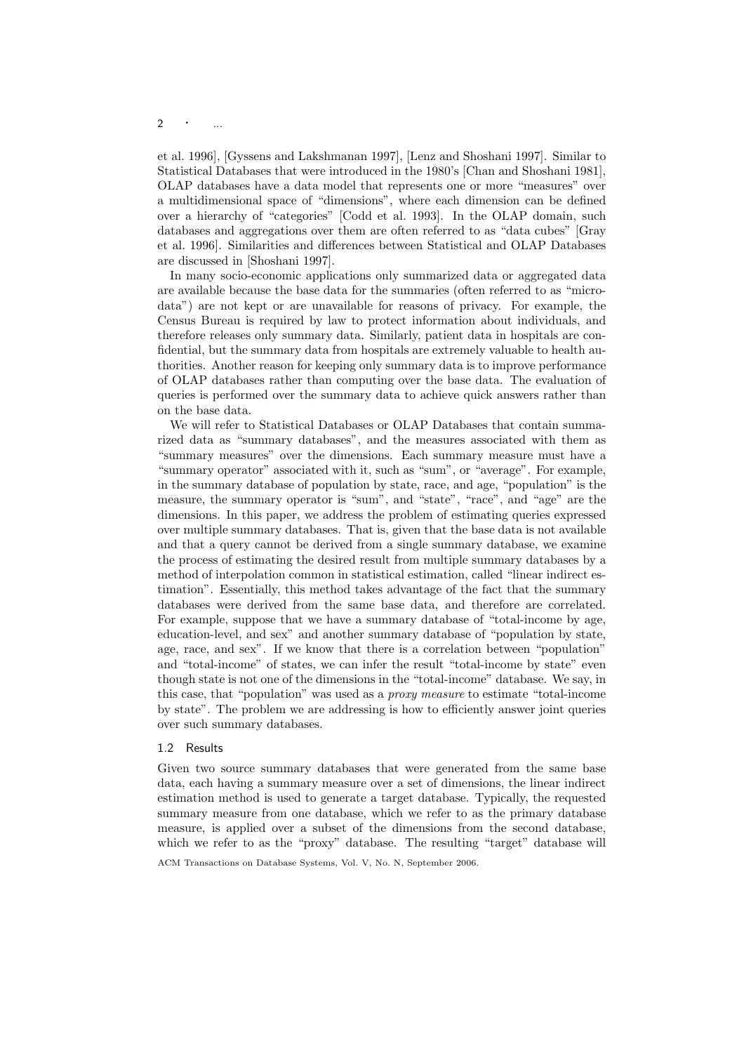## 2  $\cdot$  ...

et al. 1996], [Gyssens and Lakshmanan 1997], [Lenz and Shoshani 1997]. Similar to Statistical Databases that were introduced in the 1980's [Chan and Shoshani 1981], OLAP databases have a data model that represents one or more "measures" over a multidimensional space of "dimensions", where each dimension can be defined over a hierarchy of "categories" [Codd et al. 1993]. In the OLAP domain, such databases and aggregations over them are often referred to as "data cubes" [Gray et al. 1996]. Similarities and differences between Statistical and OLAP Databases are discussed in [Shoshani 1997].

In many socio-economic applications only summarized data or aggregated data are available because the base data for the summaries (often referred to as "microdata") are not kept or are unavailable for reasons of privacy. For example, the Census Bureau is required by law to protect information about individuals, and therefore releases only summary data. Similarly, patient data in hospitals are confidential, but the summary data from hospitals are extremely valuable to health authorities. Another reason for keeping only summary data is to improve performance of OLAP databases rather than computing over the base data. The evaluation of queries is performed over the summary data to achieve quick answers rather than on the base data.

We will refer to Statistical Databases or OLAP Databases that contain summarized data as "summary databases", and the measures associated with them as "summary measures" over the dimensions. Each summary measure must have a "summary operator" associated with it, such as "sum", or "average". For example, in the summary database of population by state, race, and age, "population" is the measure, the summary operator is "sum", and "state", "race", and "age" are the dimensions. In this paper, we address the problem of estimating queries expressed over multiple summary databases. That is, given that the base data is not available and that a query cannot be derived from a single summary database, we examine the process of estimating the desired result from multiple summary databases by a method of interpolation common in statistical estimation, called "linear indirect estimation". Essentially, this method takes advantage of the fact that the summary databases were derived from the same base data, and therefore are correlated. For example, suppose that we have a summary database of "total-income by age, education-level, and sex" and another summary database of "population by state, age, race, and sex". If we know that there is a correlation between "population" and "total-income" of states, we can infer the result "total-income by state" even though state is not one of the dimensions in the "total-income" database. We say, in this case, that "population" was used as a proxy measure to estimate "total-income by state". The problem we are addressing is how to efficiently answer joint queries over such summary databases.

#### 1.2 Results

Given two source summary databases that were generated from the same base data, each having a summary measure over a set of dimensions, the linear indirect estimation method is used to generate a target database. Typically, the requested summary measure from one database, which we refer to as the primary database measure, is applied over a subset of the dimensions from the second database, which we refer to as the "proxy" database. The resulting "target" database will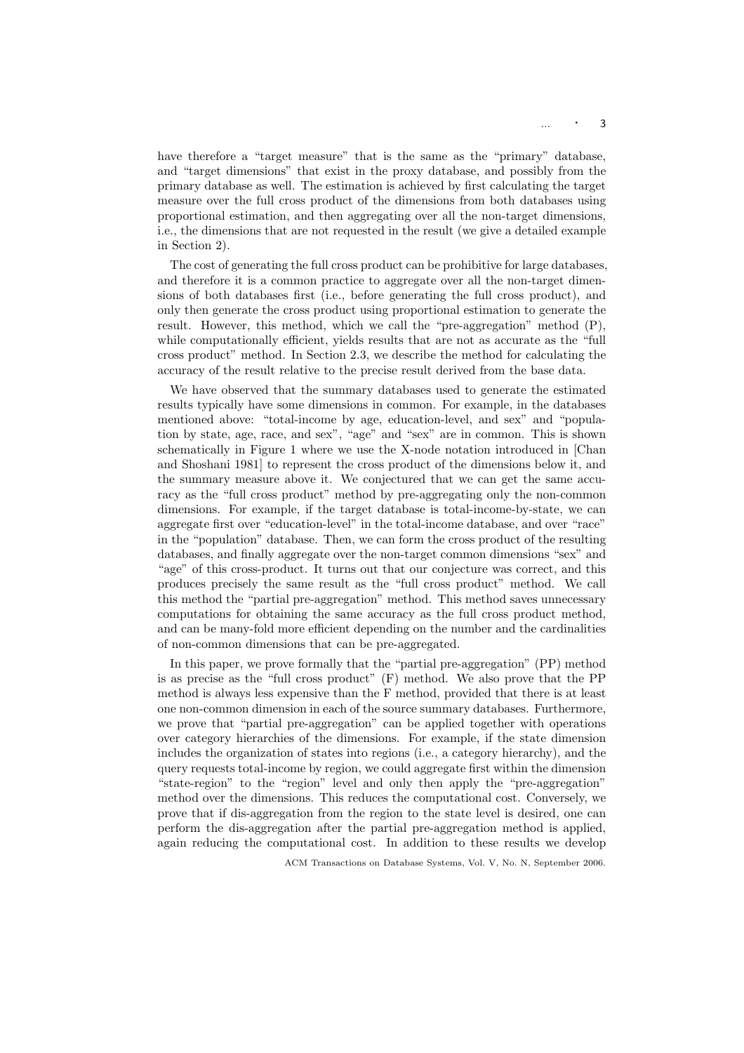have therefore a "target measure" that is the same as the "primary" database, and "target dimensions" that exist in the proxy database, and possibly from the primary database as well. The estimation is achieved by first calculating the target measure over the full cross product of the dimensions from both databases using proportional estimation, and then aggregating over all the non-target dimensions, i.e., the dimensions that are not requested in the result (we give a detailed example in Section 2).

The cost of generating the full cross product can be prohibitive for large databases, and therefore it is a common practice to aggregate over all the non-target dimensions of both databases first (i.e., before generating the full cross product), and only then generate the cross product using proportional estimation to generate the result. However, this method, which we call the "pre-aggregation" method (P), while computationally efficient, yields results that are not as accurate as the "full cross product" method. In Section 2.3, we describe the method for calculating the accuracy of the result relative to the precise result derived from the base data.

We have observed that the summary databases used to generate the estimated results typically have some dimensions in common. For example, in the databases mentioned above: "total-income by age, education-level, and sex" and "population by state, age, race, and sex", "age" and "sex" are in common. This is shown schematically in Figure 1 where we use the X-node notation introduced in [Chan and Shoshani 1981] to represent the cross product of the dimensions below it, and the summary measure above it. We conjectured that we can get the same accuracy as the "full cross product" method by pre-aggregating only the non-common dimensions. For example, if the target database is total-income-by-state, we can aggregate first over "education-level" in the total-income database, and over "race" in the "population" database. Then, we can form the cross product of the resulting databases, and finally aggregate over the non-target common dimensions "sex" and "age" of this cross-product. It turns out that our conjecture was correct, and this produces precisely the same result as the "full cross product" method. We call this method the "partial pre-aggregation" method. This method saves unnecessary computations for obtaining the same accuracy as the full cross product method, and can be many-fold more efficient depending on the number and the cardinalities of non-common dimensions that can be pre-aggregated.

In this paper, we prove formally that the "partial pre-aggregation" (PP) method is as precise as the "full cross product" (F) method. We also prove that the PP method is always less expensive than the F method, provided that there is at least one non-common dimension in each of the source summary databases. Furthermore, we prove that "partial pre-aggregation" can be applied together with operations over category hierarchies of the dimensions. For example, if the state dimension includes the organization of states into regions (i.e., a category hierarchy), and the query requests total-income by region, we could aggregate first within the dimension "state-region" to the "region" level and only then apply the "pre-aggregation" method over the dimensions. This reduces the computational cost. Conversely, we prove that if dis-aggregation from the region to the state level is desired, one can perform the dis-aggregation after the partial pre-aggregation method is applied, again reducing the computational cost. In addition to these results we develop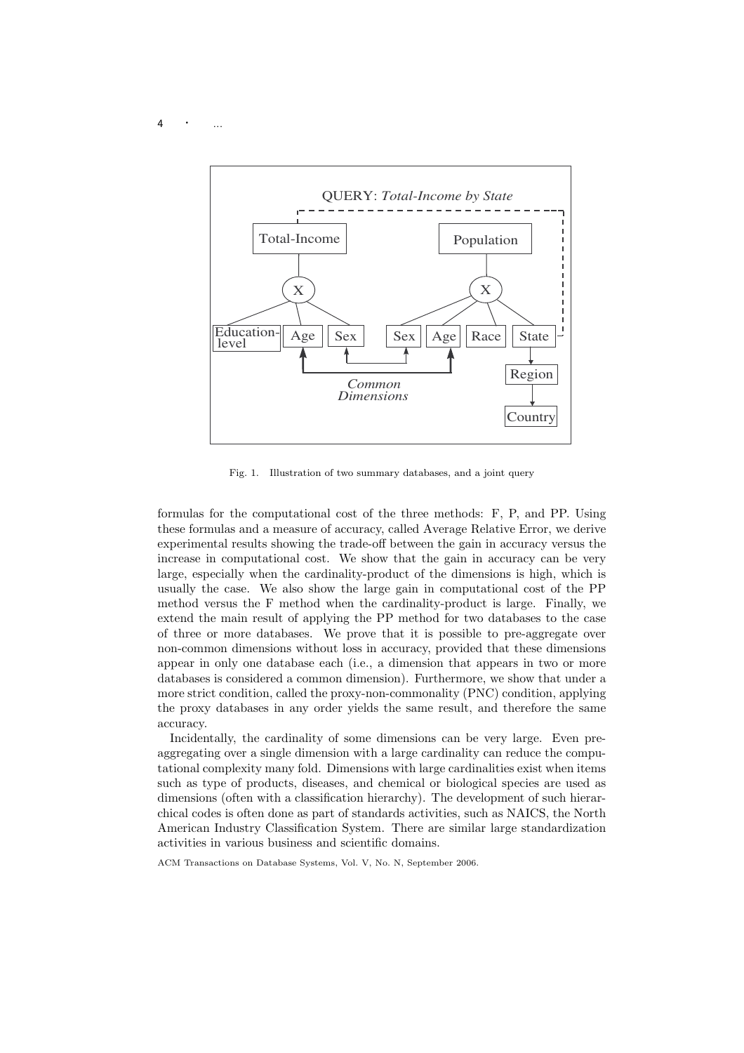$4 \cdot \cdot \cdot$  ...



Fig. 1. Illustration of two summary databases, and a joint query

formulas for the computational cost of the three methods: F, P, and PP. Using these formulas and a measure of accuracy, called Average Relative Error, we derive experimental results showing the trade-off between the gain in accuracy versus the increase in computational cost. We show that the gain in accuracy can be very large, especially when the cardinality-product of the dimensions is high, which is usually the case. We also show the large gain in computational cost of the PP method versus the F method when the cardinality-product is large. Finally, we extend the main result of applying the PP method for two databases to the case of three or more databases. We prove that it is possible to pre-aggregate over non-common dimensions without loss in accuracy, provided that these dimensions appear in only one database each (i.e., a dimension that appears in two or more databases is considered a common dimension). Furthermore, we show that under a more strict condition, called the proxy-non-commonality (PNC) condition, applying the proxy databases in any order yields the same result, and therefore the same accuracy.

Incidentally, the cardinality of some dimensions can be very large. Even preaggregating over a single dimension with a large cardinality can reduce the computational complexity many fold. Dimensions with large cardinalities exist when items such as type of products, diseases, and chemical or biological species are used as dimensions (often with a classification hierarchy). The development of such hierarchical codes is often done as part of standards activities, such as NAICS, the North American Industry Classification System. There are similar large standardization activities in various business and scientific domains.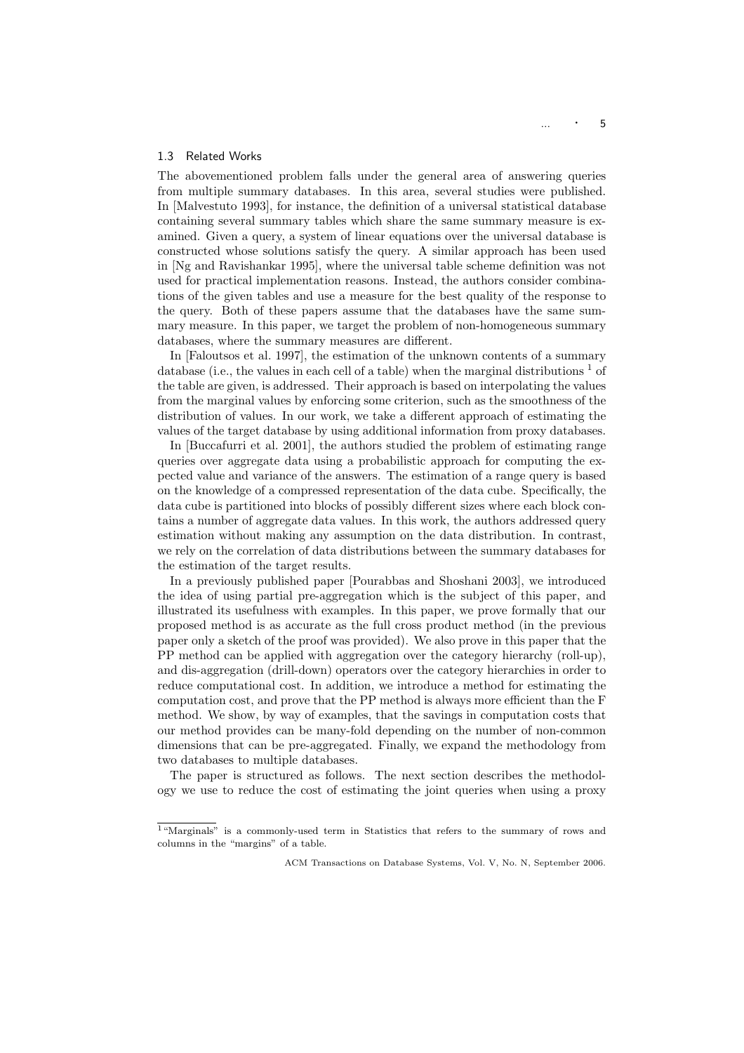#### 1.3 Related Works

The abovementioned problem falls under the general area of answering queries from multiple summary databases. In this area, several studies were published. In [Malvestuto 1993], for instance, the definition of a universal statistical database containing several summary tables which share the same summary measure is examined. Given a query, a system of linear equations over the universal database is constructed whose solutions satisfy the query. A similar approach has been used in [Ng and Ravishankar 1995], where the universal table scheme definition was not used for practical implementation reasons. Instead, the authors consider combinations of the given tables and use a measure for the best quality of the response to the query. Both of these papers assume that the databases have the same summary measure. In this paper, we target the problem of non-homogeneous summary databases, where the summary measures are different.

In [Faloutsos et al. 1997], the estimation of the unknown contents of a summary database (i.e., the values in each cell of a table) when the marginal distributions  $\frac{1}{1}$  of the table are given, is addressed. Their approach is based on interpolating the values from the marginal values by enforcing some criterion, such as the smoothness of the distribution of values. In our work, we take a different approach of estimating the values of the target database by using additional information from proxy databases.

In [Buccafurri et al. 2001], the authors studied the problem of estimating range queries over aggregate data using a probabilistic approach for computing the expected value and variance of the answers. The estimation of a range query is based on the knowledge of a compressed representation of the data cube. Specifically, the data cube is partitioned into blocks of possibly different sizes where each block contains a number of aggregate data values. In this work, the authors addressed query estimation without making any assumption on the data distribution. In contrast, we rely on the correlation of data distributions between the summary databases for the estimation of the target results.

In a previously published paper [Pourabbas and Shoshani 2003], we introduced the idea of using partial pre-aggregation which is the subject of this paper, and illustrated its usefulness with examples. In this paper, we prove formally that our proposed method is as accurate as the full cross product method (in the previous paper only a sketch of the proof was provided). We also prove in this paper that the PP method can be applied with aggregation over the category hierarchy (roll-up), and dis-aggregation (drill-down) operators over the category hierarchies in order to reduce computational cost. In addition, we introduce a method for estimating the computation cost, and prove that the PP method is always more efficient than the F method. We show, by way of examples, that the savings in computation costs that our method provides can be many-fold depending on the number of non-common dimensions that can be pre-aggregated. Finally, we expand the methodology from two databases to multiple databases.

The paper is structured as follows. The next section describes the methodology we use to reduce the cost of estimating the joint queries when using a proxy

<sup>&</sup>lt;sup>1</sup>"Marginals" is a commonly-used term in Statistics that refers to the summary of rows and columns in the "margins" of a table.

ACM Transactions on Database Systems, Vol. V, No. N, September 2006.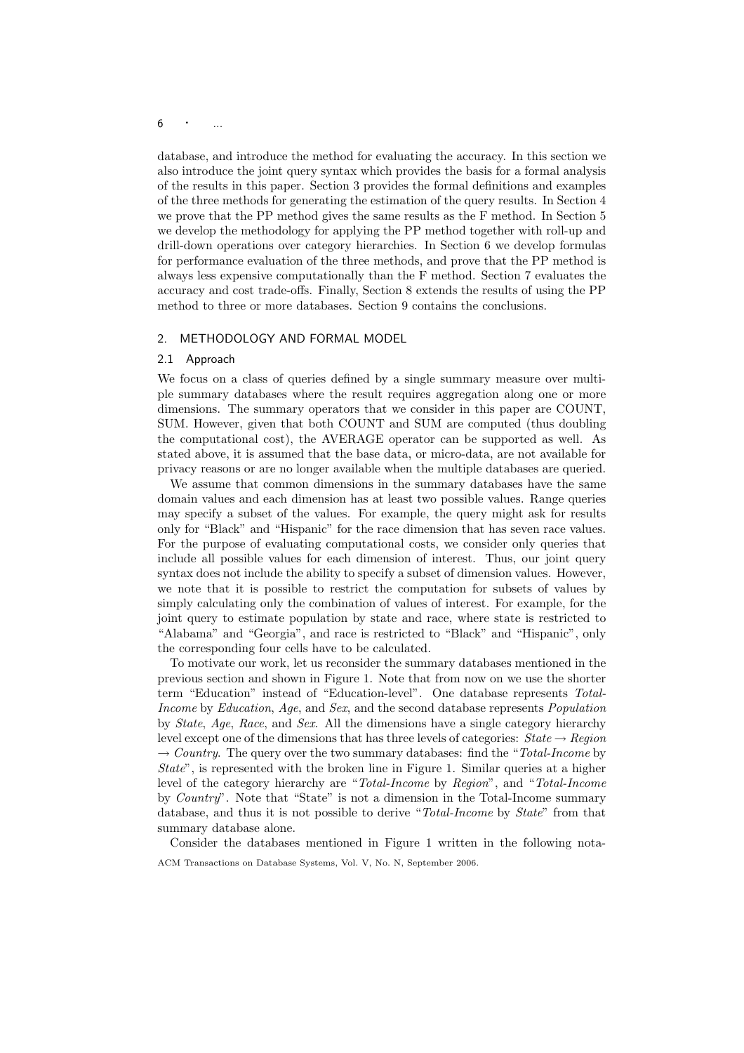## $6 \qquad \cdot \qquad ...$

database, and introduce the method for evaluating the accuracy. In this section we also introduce the joint query syntax which provides the basis for a formal analysis of the results in this paper. Section 3 provides the formal definitions and examples of the three methods for generating the estimation of the query results. In Section 4 we prove that the PP method gives the same results as the F method. In Section 5 we develop the methodology for applying the PP method together with roll-up and drill-down operations over category hierarchies. In Section 6 we develop formulas for performance evaluation of the three methods, and prove that the PP method is always less expensive computationally than the F method. Section 7 evaluates the accuracy and cost trade-offs. Finally, Section 8 extends the results of using the PP method to three or more databases. Section 9 contains the conclusions.

#### 2. METHODOLOGY AND FORMAL MODEL

#### 2.1 Approach

We focus on a class of queries defined by a single summary measure over multiple summary databases where the result requires aggregation along one or more dimensions. The summary operators that we consider in this paper are COUNT, SUM. However, given that both COUNT and SUM are computed (thus doubling the computational cost), the AVERAGE operator can be supported as well. As stated above, it is assumed that the base data, or micro-data, are not available for privacy reasons or are no longer available when the multiple databases are queried.

We assume that common dimensions in the summary databases have the same domain values and each dimension has at least two possible values. Range queries may specify a subset of the values. For example, the query might ask for results only for "Black" and "Hispanic" for the race dimension that has seven race values. For the purpose of evaluating computational costs, we consider only queries that include all possible values for each dimension of interest. Thus, our joint query syntax does not include the ability to specify a subset of dimension values. However, we note that it is possible to restrict the computation for subsets of values by simply calculating only the combination of values of interest. For example, for the joint query to estimate population by state and race, where state is restricted to "Alabama" and "Georgia", and race is restricted to "Black" and "Hispanic", only the corresponding four cells have to be calculated.

To motivate our work, let us reconsider the summary databases mentioned in the previous section and shown in Figure 1. Note that from now on we use the shorter term "Education" instead of "Education-level". One database represents Total-Income by Education, Age, and Sex, and the second database represents Population by State, Age, Race, and Sex. All the dimensions have a single category hierarchy level except one of the dimensions that has three levels of categories:  $State \rightarrow Region$  $\rightarrow$  Country. The query over the two summary databases: find the "Total-Income by State", is represented with the broken line in Figure 1. Similar queries at a higher level of the category hierarchy are "Total-Income by Region", and "Total-Income by Country". Note that "State" is not a dimension in the Total-Income summary database, and thus it is not possible to derive "Total-Income by State" from that summary database alone.

Consider the databases mentioned in Figure 1 written in the following nota-ACM Transactions on Database Systems, Vol. V, No. N, September 2006.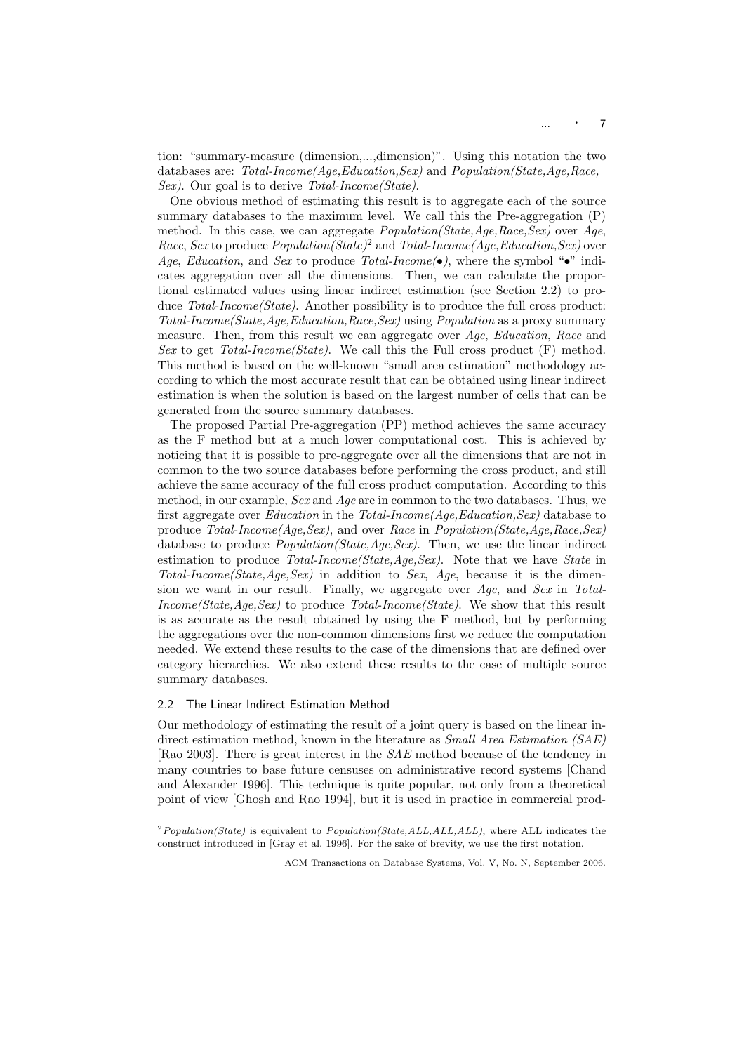$\ldots$   $\cdot$  7

tion: "summary-measure (dimension,...,dimension)". Using this notation the two databases are: Total-Income(Age,Education,Sex) and Population(State,Age,Race, Sex). Our goal is to derive Total-Income (State).

One obvious method of estimating this result is to aggregate each of the source summary databases to the maximum level. We call this the Pre-aggregation (P) method. In this case, we can aggregate  $Population(State, Age, Race,Sex)$  over  $Age$ *Race, Sex* to produce *Population*(*State*)<sup>2</sup> and *Total-Income*(*Age,Education,Sex*) over Age, Education, and Sex to produce Total-Income(•), where the symbol "•" indicates aggregation over all the dimensions. Then, we can calculate the proportional estimated values using linear indirect estimation (see Section 2.2) to produce Total-Income (State). Another possibility is to produce the full cross product: Total-Income(State,Age,Education,Race,Sex) using Population as a proxy summary measure. Then, from this result we can aggregate over Age, Education, Race and Sex to get Total-Income (State). We call this the Full cross product  $(F)$  method. This method is based on the well-known "small area estimation" methodology according to which the most accurate result that can be obtained using linear indirect estimation is when the solution is based on the largest number of cells that can be generated from the source summary databases.

The proposed Partial Pre-aggregation (PP) method achieves the same accuracy as the F method but at a much lower computational cost. This is achieved by noticing that it is possible to pre-aggregate over all the dimensions that are not in common to the two source databases before performing the cross product, and still achieve the same accuracy of the full cross product computation. According to this method, in our example, Sex and Age are in common to the two databases. Thus, we first aggregate over *Education* in the  $Total-Income(Age, Education,Sex)$  database to produce Total-Income(Age,Sex), and over Race in Population(State,Age,Race,Sex) database to produce  $Population(State, Age, Sex)$ . Then, we use the linear indirect estimation to produce  $Total-Income(State, Age, Sex)$ . Note that we have *State* in Total-Income(State, Age, Sex) in addition to Sex, Age, because it is the dimension we want in our result. Finally, we aggregate over  $Age$ , and  $Sex$  in Total-Income(State, Age, Sex) to produce Total-Income(State). We show that this result is as accurate as the result obtained by using the F method, but by performing the aggregations over the non-common dimensions first we reduce the computation needed. We extend these results to the case of the dimensions that are defined over category hierarchies. We also extend these results to the case of multiple source summary databases.

#### 2.2 The Linear Indirect Estimation Method

Our methodology of estimating the result of a joint query is based on the linear indirect estimation method, known in the literature as *Small Area Estimation (SAE)* [Rao 2003]. There is great interest in the SAE method because of the tendency in many countries to base future censuses on administrative record systems [Chand and Alexander 1996]. This technique is quite popular, not only from a theoretical point of view [Ghosh and Rao 1994], but it is used in practice in commercial prod-

 $2Population(State)$  is equivalent to  $Population(State, ALL, ALL, ALL)$ , where ALL indicates the construct introduced in [Gray et al. 1996]. For the sake of brevity, we use the first notation.

ACM Transactions on Database Systems, Vol. V, No. N, September 2006.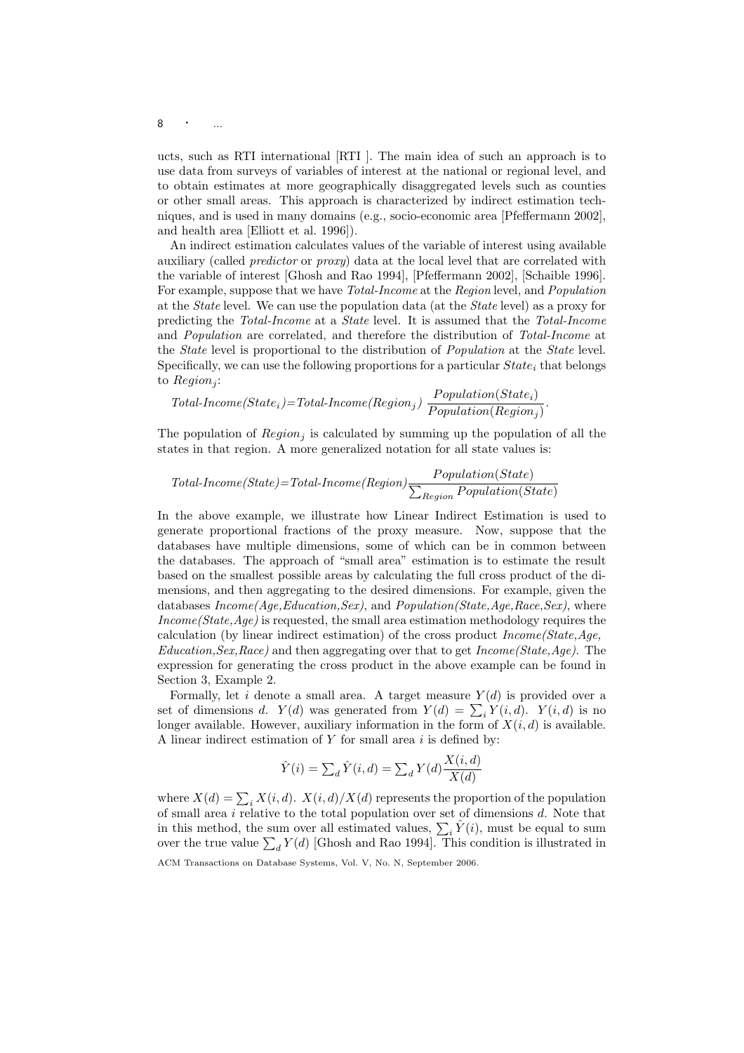## 8 · ...

ucts, such as RTI international [RTI ]. The main idea of such an approach is to use data from surveys of variables of interest at the national or regional level, and to obtain estimates at more geographically disaggregated levels such as counties or other small areas. This approach is characterized by indirect estimation techniques, and is used in many domains (e.g., socio-economic area [Pfeffermann 2002], and health area [Elliott et al. 1996]).

An indirect estimation calculates values of the variable of interest using available auxiliary (called predictor or proxy) data at the local level that are correlated with the variable of interest [Ghosh and Rao 1994], [Pfeffermann 2002], [Schaible 1996]. For example, suppose that we have Total-Income at the Region level, and Population at the State level. We can use the population data (at the State level) as a proxy for predicting the Total-Income at a State level. It is assumed that the Total-Income and Population are correlated, and therefore the distribution of Total-Income at the State level is proportional to the distribution of Population at the State level. Specifically, we can use the following proportions for a particular  $State_i$  that belongs to  $Region_i$ :

$$
Total-Income(State_i)=Total-Income(Region_j)\text{ }\frac{Population(State_i)}{Population(Region_j)}.
$$

The population of  $Region_i$  is calculated by summing up the population of all the states in that region. A more generalized notation for all state values is:

$$
Total-Income(State) = Total-Income(Region) \frac{Population(State)}{\sum_{Region} Population(State)}
$$

In the above example, we illustrate how Linear Indirect Estimation is used to generate proportional fractions of the proxy measure. Now, suppose that the databases have multiple dimensions, some of which can be in common between the databases. The approach of "small area" estimation is to estimate the result based on the smallest possible areas by calculating the full cross product of the dimensions, and then aggregating to the desired dimensions. For example, given the databases  $Income(Age, Education,Sex)$ , and  $Population(State, Age, Race, Sex)$ , where Income (State, Age) is requested, the small area estimation methodology requires the calculation (by linear indirect estimation) of the cross product  $Income(State,Aqe,$  $Education, Sex, Race)$  and then aggregating over that to get  $Income(State, Age)$ . The expression for generating the cross product in the above example can be found in Section 3, Example 2.

Formally, let i denote a small area. A target measure  $Y(d)$  is provided over a Formally, let it denote a small area. A target measure  $Y(d)$  is provided over a set of dimensions d.  $Y(d)$  was generated from  $Y(d) = \sum_i Y(i, d)$ .  $Y(i, d)$  is no longer available. However, auxiliary information in the form of  $X(i, d)$  is available. A linear indirect estimation of  $Y$  for small area  $i$  is defined by:

$$
\hat{Y}(i) = \sum_{d} \hat{Y}(i, d) = \sum_{d} Y(d) \frac{X(i, d)}{X(d)}
$$

where  $X(d) = \sum_i X(i, d)$ .  $X(i, d)/X(d)$  represents the proportion of the population of small area  $i$  relative to the total population over set of dimensions  $d$ . Note that or sman area *i* relative to the total population over set of dimensions *a*. Note that<br>in this method, the sum over all estimated values,  $\sum_i \hat{Y}(i)$ , must be equal to sum<br>over the true value  $\sum_d Y(d)$  [Ghosh and Rao 199

ACM Transactions on Database Systems, Vol. V, No. N, September 2006.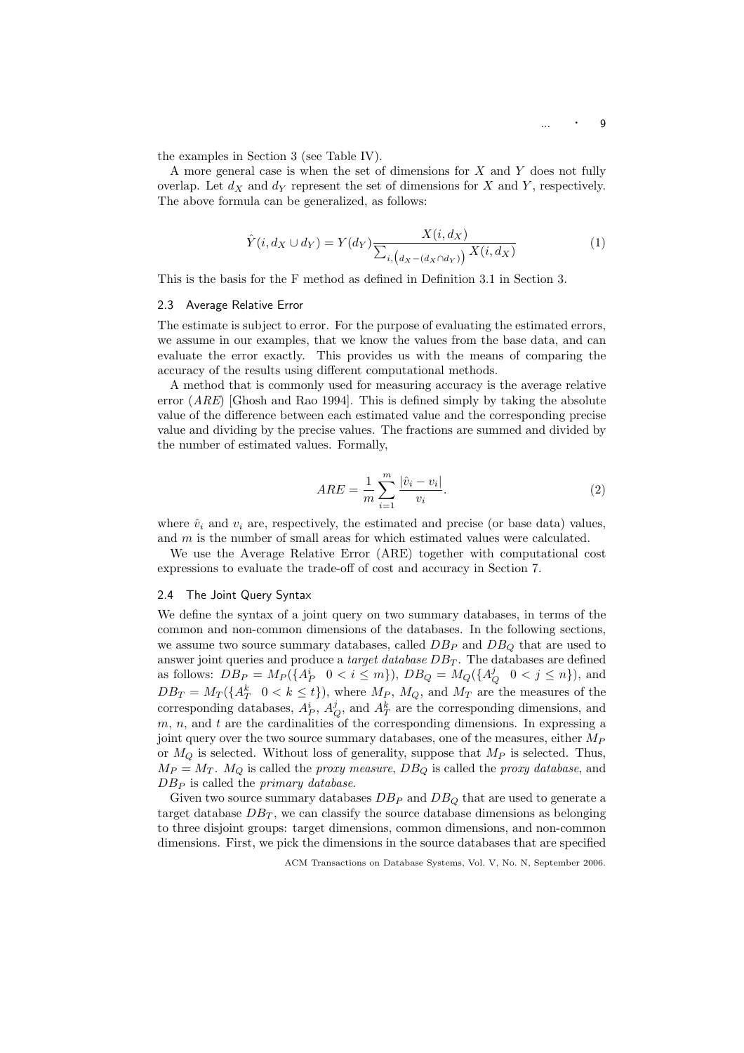the examples in Section 3 (see Table IV).

A more general case is when the set of dimensions for X and Y does not fully overlap. Let  $d_X$  and  $d_Y$  represent the set of dimensions for X and Y, respectively. The above formula can be generalized, as follows:

$$
\hat{Y}(i, d_X \cup d_Y) = Y(d_Y) \frac{X(i, d_X)}{\sum_{i, \left(d_X - (d_X \cap d_Y)\right)} X(i, d_X)}\tag{1}
$$

This is the basis for the F method as defined in Definition 3.1 in Section 3.

#### 2.3 Average Relative Error

The estimate is subject to error. For the purpose of evaluating the estimated errors, we assume in our examples, that we know the values from the base data, and can evaluate the error exactly. This provides us with the means of comparing the accuracy of the results using different computational methods.

A method that is commonly used for measuring accuracy is the average relative error  $(ARE)$  [Ghosh and Rao 1994]. This is defined simply by taking the absolute value of the difference between each estimated value and the corresponding precise value and dividing by the precise values. The fractions are summed and divided by the number of estimated values. Formally,

$$
ARE = \frac{1}{m} \sum_{i=1}^{m} \frac{|\hat{v}_i - v_i|}{v_i}.
$$
 (2)

where  $\hat{v}_i$  and  $v_i$  are, respectively, the estimated and precise (or base data) values, and m is the number of small areas for which estimated values were calculated.

We use the Average Relative Error (ARE) together with computational cost expressions to evaluate the trade-off of cost and accuracy in Section 7.

#### 2.4 The Joint Query Syntax

We define the syntax of a joint query on two summary databases, in terms of the common and non-common dimensions of the databases. In the following sections, we assume two source summary databases, called  $DB_P$  and  $DB_Q$  that are used to answer joint queries and produce a *target database*  $DB<sub>T</sub>$ . The databases are defined as follows:  $\overline{DB_P} = M_P(\{A_P^i \mid 0 \le i \le m\}), \overline{DB_Q} = M_Q(\{A_Q^j \mid 0 \le j \le n\}), \text{ and}$  $DB_T = M_T(\lbrace A_T^k \quad 0 \le k \le t \rbrace)$ , where  $M_P$ ,  $M_Q$ , and  $M_T$  are the measures of the corresponding databases,  $A_P^i$ ,  $A_Q^j$ , and  $A_T^k$  are the corresponding dimensions, and  $m, n$ , and  $t$  are the cardinalities of the corresponding dimensions. In expressing a joint query over the two source summary databases, one of the measures, either  $M_P$ or  $M_Q$  is selected. Without loss of generality, suppose that  $M_P$  is selected. Thus,  $M_P = M_T$ .  $M_Q$  is called the *proxy measure*,  $DB_Q$  is called the *proxy database*, and  $DB_P$  is called the *primary database*.

Given two source summary databases  $DB_P$  and  $DB_Q$  that are used to generate a target database  $DB_T$ , we can classify the source database dimensions as belonging to three disjoint groups: target dimensions, common dimensions, and non-common dimensions. First, we pick the dimensions in the source databases that are specified

ACM Transactions on Database Systems, Vol. V, No. N, September 2006.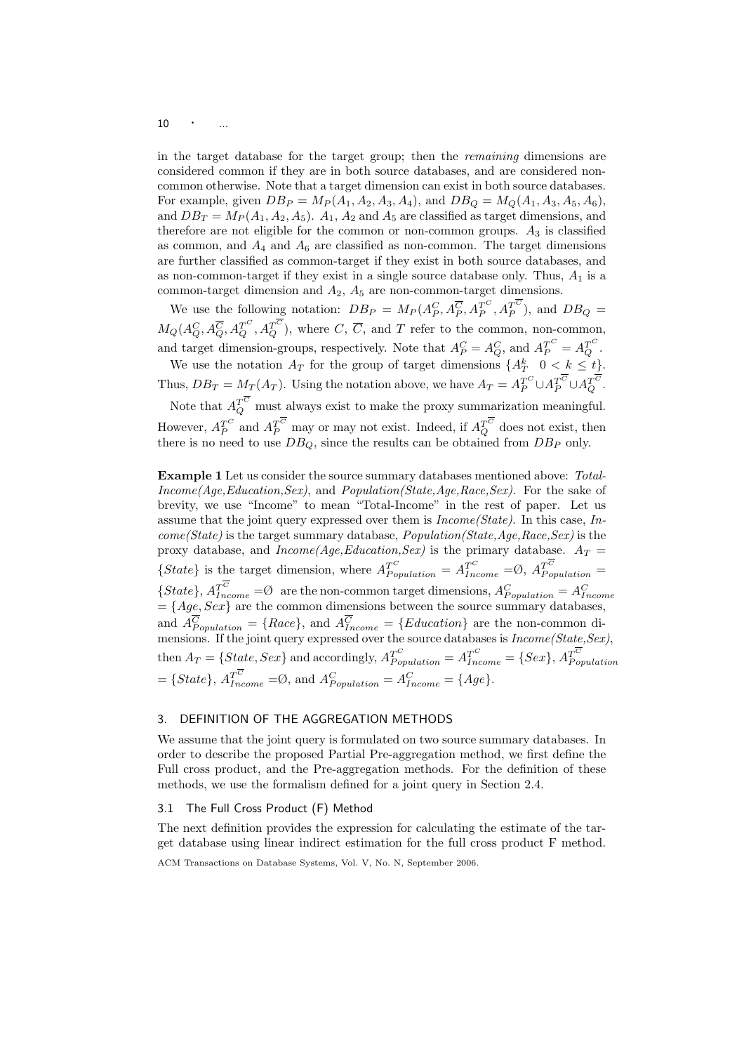$10 \qquad \cdot \qquad ...$ 

in the target database for the target group; then the remaining dimensions are considered common if they are in both source databases, and are considered noncommon otherwise. Note that a target dimension can exist in both source databases. For example, given  $DB_P = M_P(A_1, A_2, A_3, A_4)$ , and  $DB_Q = M_Q(A_1, A_3, A_5, A_6)$ , and  $DB_T = M_P(A_1, A_2, A_5)$ .  $A_1, A_2$  and  $A_5$  are classified as target dimensions, and therefore are not eligible for the common or non-common groups.  $A_3$  is classified as common, and  $A_4$  and  $A_6$  are classified as non-common. The target dimensions are further classified as common-target if they exist in both source databases, and as non-common-target if they exist in a single source database only. Thus,  $A_1$  is a common-target dimension and  $A_2$ ,  $A_5$  are non-common-target dimensions.

We use the following notation:  $DB_P = M_P(A_P^C, A_P^{\overline{C}}, A_P^{T^C}, A_P^{T^C})$ , and  $DB_Q =$  $M_Q(A_Q^C, A_Q^{\overline C}, A_Q^{T^C}, A_Q^{T^C})$ , where  $C, \overline C$ , and T refer to the common, non-common, and target dimension-groups, respectively. Note that  $A_P^C = A_Q^C$ , and  $A_P^{T^C} = A_Q^{T^C}$ .

We use the notation  $A_T$  for the group of target dimensions  $\{A_T^k \mid 0 \lt k \leq t\}$ . Thus,  $DB_T = M_T(A_T)$ . Using the notation above, we have  $A_T = A_P^{T^C} \cup A_P^{T^C} \cup A_Q^{T^C}$ . Note that  $A_Q^{T^C}$  must always exist to make the proxy summarization meaningful. However,  $A_P^{T^C}$  and  $A_P^{T^C}$  may or may not exist. Indeed, if  $A_Q^{T^C}$  does not exist, then there is no need to use  $DB_Q$ , since the results can be obtained from  $DB_P$  only.

Example 1 Let us consider the source summary databases mentioned above: Total- $Income(Aqe, Education,Sex)$ , and  $Population(State, Age, Race, Sex)$ . For the sake of brevity, we use "Income" to mean "Total-Income" in the rest of paper. Let us assume that the joint query expressed over them is  $Income(State)$ . In this case, In $come(State)$  is the target summary database,  $Population(State,Age, Race,Sex)$  is the proxy database, and  $Income(Age, Education,Sex)$  is the primary database.  $A_T =$ {State} is the target dimension, where  $A_{Population}^{T^C} = A_{Income}^{T^C} = \emptyset$ ,  $A_{Population}^{T^C} = \emptyset$ {*State*},  $A_{Income}^{T^C} = \emptyset$  are the non-common target dimensions,  $A_{Population}^C = A_{Income}^C = \{Age, Sex\}$  are the common dimensions between the source summary databases, and  $A_{Population}^C = \{Race\}$ , and  $A_{Income}^C = \{Education\}$  are the non-common dimensions. If the joint query expressed over the source databases is  $Income(State,Sex)$ , then  $A_T = \{State, Sex\}$  and accordingly,  $A_{Population}^{T^C} = A_{Income}^{T^C} = \{Sex\}, A_{Population}^{T^C}$  $=\{State\}, A_{Income}^{T^C} = \emptyset, \text{ and } A_{Population}^C = A_{Income}^C = \{Age\}.$ 

## 3. DEFINITION OF THE AGGREGATION METHODS

We assume that the joint query is formulated on two source summary databases. In order to describe the proposed Partial Pre-aggregation method, we first define the Full cross product, and the Pre-aggregation methods. For the definition of these methods, we use the formalism defined for a joint query in Section 2.4.

## 3.1 The Full Cross Product (F) Method

The next definition provides the expression for calculating the estimate of the target database using linear indirect estimation for the full cross product F method.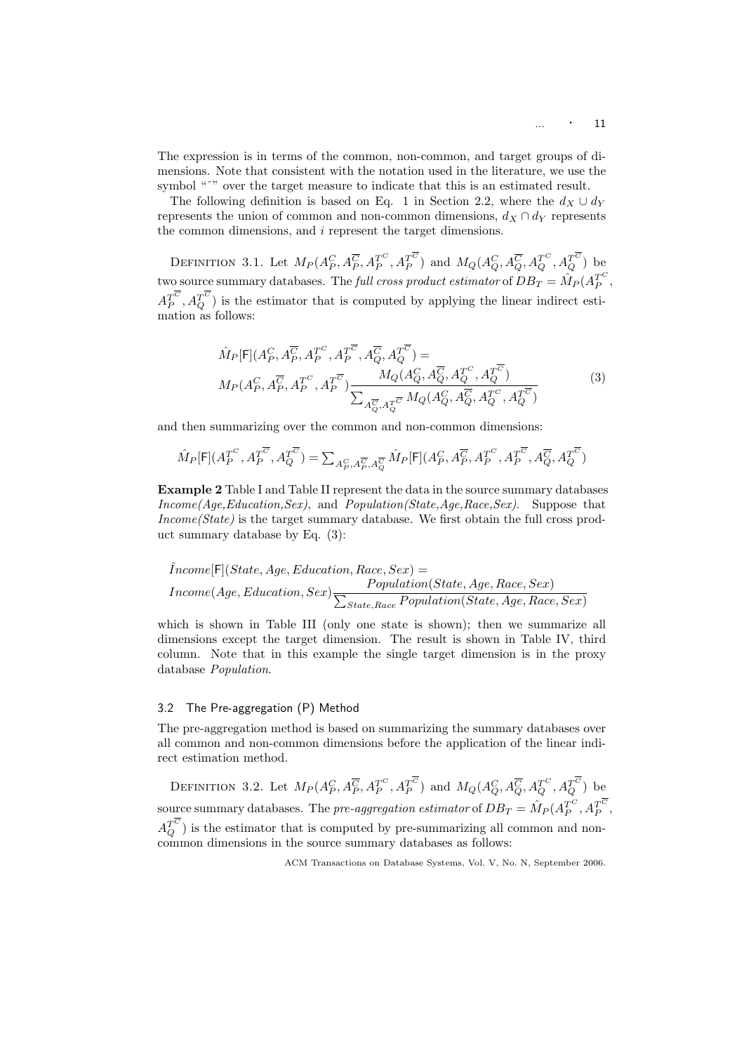The expression is in terms of the common, non-common, and target groups of dimensions. Note that consistent with the notation used in the literature, we use the symbol "<sup>\*</sup>" over the target measure to indicate that this is an estimated result.

The following definition is based on Eq. 1 in Section 2.2, where the  $d_X \cup d_Y$ represents the union of common and non-common dimensions,  $d_X \cap d_Y$  represents the common dimensions, and i represent the target dimensions.

DEFINITION 3.1. Let  $M_P(A_P^C, A_P^{\overline{C}}, A_P^{T^C}, A_P^{T^C})$  and  $M_Q(A_Q^C, A_Q^{\overline{C}}, A_Q^{T^C}, A_Q^{T^C})$  be two source summary databases. The *full cross product estimator* of  $DB_T = \hat{M}_P (A_P^{T^C},$  $A_P^{T^C}, A_Q^{T^C}$ ) is the estimator that is computed by applying the linear indirect estimation as follows:

$$
\hat{M}_P[\mathsf{F}](A_P^C, A_P^{\overline{C}}, A_P^{T^C}, A_P^{\overline{C}}, A_Q^{\overline{C}}, A_Q^{\overline{C}}) =
$$
\n
$$
M_P(A_P^C, A_P^{\overline{C}}, A_P^{\overline{C}}, A_P^{\overline{C}}) \frac{M_Q(A_Q^C, A_Q^{\overline{C}}, A_Q^{\overline{C}}, A_Q^{\overline{C}})}{\sum_{A_Q^{\overline{C}}, A_Q^{\overline{C}}}} M_Q(A_Q^C, A_Q^{\overline{C}}, A_Q^{\overline{C}}, A_Q^{\overline{C}})
$$
\n(3)

and then summarizing over the common and non-common dimensions:

$$
\hat{M}_P[\mathsf{F}](A_P^{T^C},A_P^{T^{\overline{C}}},A_Q^{T^{\overline{C}}})=\textstyle\sum_{A_P^C,A_P^{\overline{C}},A_Q^{\overline{C}}}\hat{M}_P[\mathsf{F}](A_P^C,A_P^{\overline{C}},A_P^{T^C},A_P^{T^{\overline{C}}},A_Q^{\overline{C}},A_Q^{T^{\overline{C}}})
$$

Example 2 Table I and Table II represent the data in the source summary databases Income(Age,Education,Sex), and Population(State,Age,Race,Sex). Suppose that Income(State) is the target summary database. We first obtain the full cross product summary database by Eq. (3):

$$
\hat{I}ncome[\text{F}](State, Age, Education, Race, Sex) = \\ Income(Age, Education, Sex) \frac{Population(State, Age, Race, Sex)}{\sum_{State, Race}Population(State, Age, Race, Sex)}
$$

which is shown in Table III (only one state is shown); then we summarize all dimensions except the target dimension. The result is shown in Table IV, third column. Note that in this example the single target dimension is in the proxy database Population.

#### 3.2 The Pre-aggregation (P) Method

The pre-aggregation method is based on summarizing the summary databases over all common and non-common dimensions before the application of the linear indirect estimation method.

DEFINITION 3.2. Let  $M_P(A_P^C, A_P^{\overline{C}}, A_P^{T^C}, A_P^{T^C})$  and  $M_Q(A_Q^C, A_Q^{\overline{C}}, A_Q^{T^C}, A_Q^{T^C})$  be source summary databases. The  $pre-aggregation \; estimator \: of \: DB_T = \hat{M}_P(A_P^{T^C}, A_P^{T^C},$  $A_Q^{T^C}$ ) is the estimator that is computed by pre-summarizing all common and noncommon dimensions in the source summary databases as follows: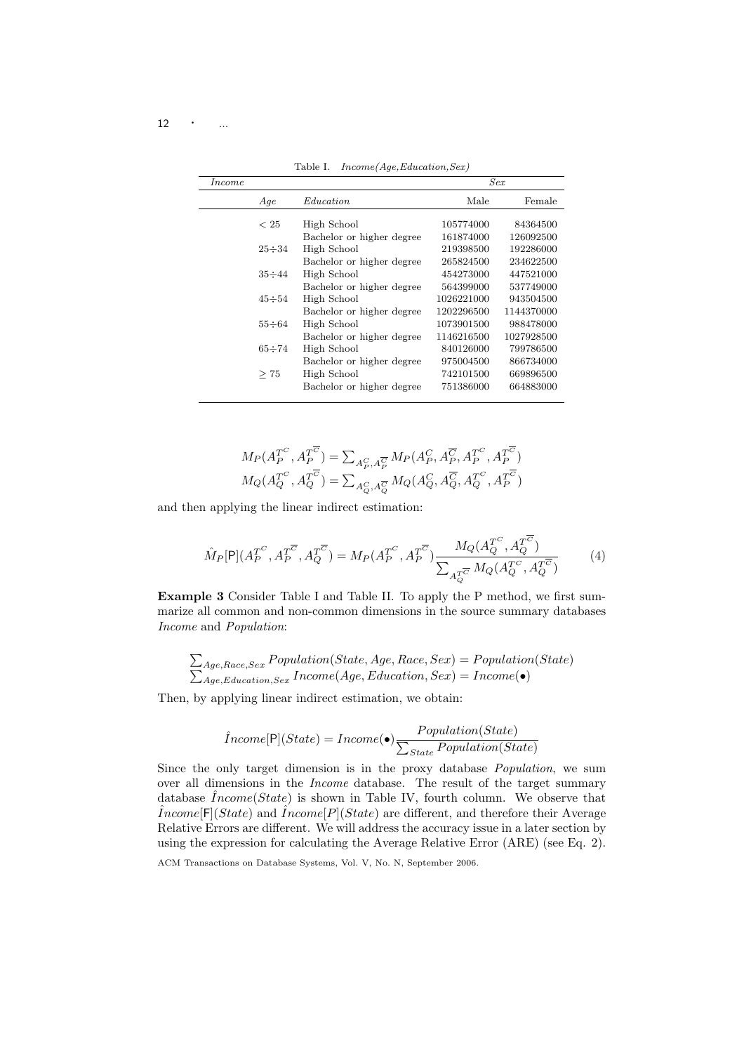$12 \cdot \cdot \cdot \dots$ 

| $\emph{Income}$ |              |                           |            | Sex        |
|-----------------|--------------|---------------------------|------------|------------|
|                 | Aqe          | <i>Education</i>          | Male       | Female     |
|                 |              |                           |            |            |
|                 | < 25         | High School               | 105774000  | 84364500   |
|                 |              | Bachelor or higher degree | 161874000  | 126092500  |
|                 | $25 \div 34$ | High School               | 219398500  | 192286000  |
|                 |              | Bachelor or higher degree | 265824500  | 234622500  |
|                 | $35 \div 44$ | High School               | 454273000  | 447521000  |
|                 |              | Bachelor or higher degree | 564399000  | 537749000  |
|                 | $45 \div 54$ | High School               | 1026221000 | 943504500  |
|                 |              | Bachelor or higher degree | 1202296500 | 1144370000 |
|                 | $55 \div 64$ | High School               | 1073901500 | 988478000  |
|                 |              | Bachelor or higher degree | 1146216500 | 1027928500 |
|                 | $65 \div 74$ | High School               | 840126000  | 799786500  |
|                 |              | Bachelor or higher degree | 975004500  | 866734000  |
|                 | >75          | High School               | 742101500  | 669896500  |
|                 |              | Bachelor or higher degree | 751386000  | 664883000  |
|                 |              |                           |            |            |

Table I. Income(Age,Education,Sex)

$$
M_P(A_P^{T^C}, A_P^{T^{\overline{C}}}) = \sum_{A_P^C, A_P^{\overline{C}}} M_P(A_P^C, A_P^{\overline{C}}, A_P^{T^C}, A_P^{T^{\overline{C}}})
$$
  

$$
M_Q(A_Q^{T^C}, A_Q^{T^{\overline{C}}}) = \sum_{A_Q^C, A_Q^{\overline{C}}} M_Q(A_Q^C, A_Q^{\overline{C}}, A_Q^{T^C}, A_P^{T^{\overline{C}}})
$$

and then applying the linear indirect estimation:

$$
\hat{M}_P[P](A_P^{T^C}, A_P^{T^{\overline{C}}}, A_Q^{T^{\overline{C}}}) = M_P(A_P^{T^C}, A_P^{T^{\overline{C}}}) \frac{M_Q(A_Q^{T^C}, A_Q^{T^{\overline{C}}})}{\sum_{A_Q^{T^{\overline{C}}}} M_Q(A_Q^{T^C}, A_Q^{T^{\overline{C}}})}
$$
(4)

Example 3 Consider Table I and Table II. To apply the P method, we first summarize all common and non-common dimensions in the source summary databases Income and Population:

$$
\sum_{Age, Race, Sex} Population(State, Age, Race, Sex) = Population(State)
$$
  

$$
\sum_{Age, Education, Sex} Income(Age, Education, Sex) = Income(\bullet)
$$

Then, by applying linear indirect estimation, we obtain:

$$
\hat{I}ncome[\mathsf{P}](State) = Income(\bullet)\frac{Population(State)}{\sum_{State}{Population(State)}}
$$

Since the only target dimension is in the proxy database Population, we sum over all dimensions in the Income database. The result of the target summary database  $\hat{I}ncome(State)$  is shown in Table IV, fourth column. We observe that  $\hat{I}ncome[F](State)$  and  $\hat{I}ncome[P](State)$  are different, and therefore their Average Relative Errors are different. We will address the accuracy issue in a later section by using the expression for calculating the Average Relative Error (ARE) (see Eq. 2).

ACM Transactions on Database Systems, Vol. V, No. N, September 2006.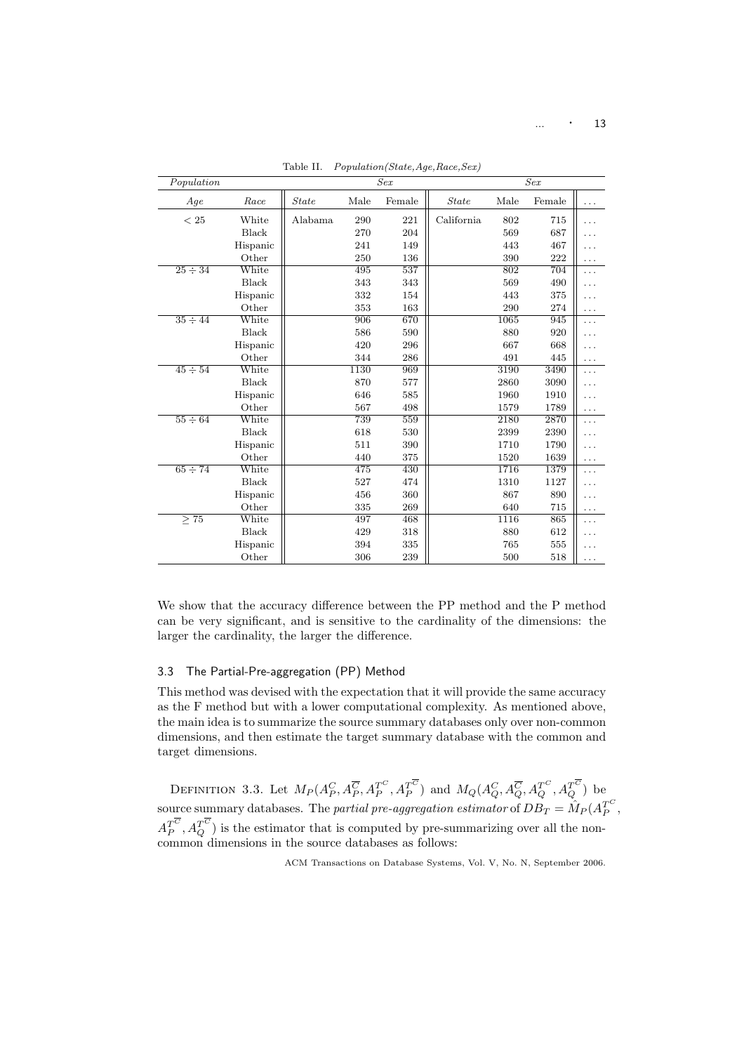| Population   |              |              |      | Sex    |              |      | Sex    |           |
|--------------|--------------|--------------|------|--------|--------------|------|--------|-----------|
| Age          | Race         | <b>State</b> | Male | Female | <b>State</b> | Male | Female | .         |
| < 25         | White        | Alabama      | 290  | 221    | California   | 802  | 715    |           |
|              | Black        |              | 270  | 204    |              | 569  | 687    |           |
|              | Hispanic     |              | 241  | 149    |              | 443  | 467    |           |
|              | Other        |              | 250  | 136    |              | 390  | 222    | .         |
| $25 \div 34$ | White        |              | 495  | 537    |              | 802  | 704    | .         |
|              | <b>Black</b> |              | 343  | 343    |              | 569  | 490    |           |
|              | Hispanic     |              | 332  | 154    |              | 443  | 375    |           |
|              | Other        |              | 353  | 163    |              | 290  | 274    | .         |
| $35 \div 44$ | White        |              | 906  | 670    |              | 1065 | 945    | .         |
|              | Black        |              | 586  | 590    |              | 880  | 920    |           |
|              | Hispanic     |              | 420  | 296    |              | 667  | 668    |           |
|              | Other        |              | 344  | 286    |              | 491  | 445    | .         |
| $45 \div 54$ | White        |              | 1130 | 969    |              | 3190 | 3490   | .         |
|              | Black        |              | 870  | 577    |              | 2860 | 3090   |           |
|              | Hispanic     |              | 646  | 585    |              | 1960 | 1910   |           |
|              | Other        |              | 567  | 498    |              | 1579 | 1789   | .         |
| $55 \div 64$ | White        |              | 739  | 559    |              | 2180 | 2870   |           |
|              | Black        |              | 618  | 530    |              | 2399 | 2390   |           |
|              | Hispanic     |              | 511  | 390    |              | 1710 | 1790   |           |
|              | Other        |              | 440  | 375    |              | 1520 | 1639   | .         |
| $65 \div 74$ | White        |              | 475  | 430    |              | 1716 | 1379   | .         |
|              | Black        |              | 527  | 474    |              | 1310 | 1127   |           |
|              | Hispanic     |              | 456  | 360    |              | 867  | 890    | .         |
|              | Other        |              | 335  | 269    |              | 640  | 715    | $\ddotsc$ |
| $\geq 75$    | White        |              | 497  | 468    |              | 1116 | 865    | .         |
|              | Black        |              | 429  | 318    |              | 880  | 612    |           |
|              | Hispanic     |              | 394  | 335    |              | 765  | 555    | .         |
|              | Other        |              | 306  | 239    |              | 500  | 518    |           |

Table II. Population(State,Age,Race,Sex)

We show that the accuracy difference between the PP method and the P method can be very significant, and is sensitive to the cardinality of the dimensions: the larger the cardinality, the larger the difference.

## 3.3 The Partial-Pre-aggregation (PP) Method

This method was devised with the expectation that it will provide the same accuracy as the F method but with a lower computational complexity. As mentioned above, the main idea is to summarize the source summary databases only over non-common dimensions, and then estimate the target summary database with the common and target dimensions.

DEFINITION 3.3. Let  $M_P(A_P^C, A_P^{\overline{C}}, A_P^{T^C}, A_P^{T^C})$  and  $M_Q(A_Q^C, A_Q^{\overline{C}}, A_Q^{T^C}, A_Q^{T^C})$  be source summary databases. The *partial pre-aggregation estimator* of  $DB_T = \hat{M}_P (A_P^{T^C},$  $A_P^{T^C}, A_Q^{T^C}$ ) is the estimator that is computed by pre-summarizing over all the noncommon dimensions in the source databases as follows: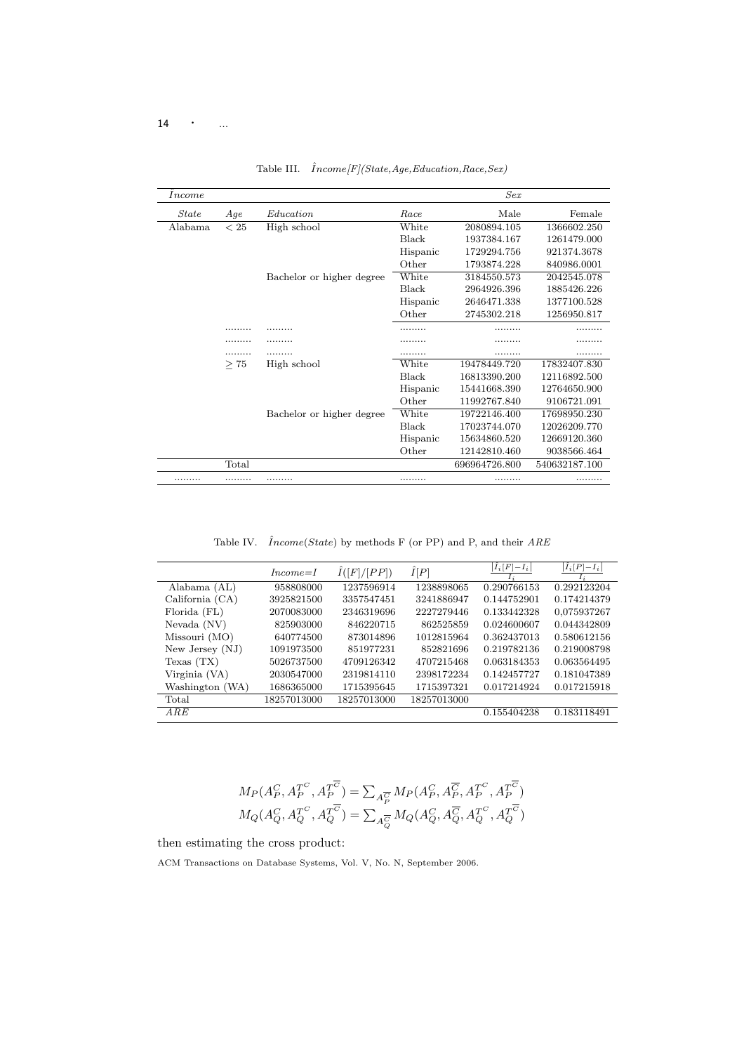## 14  $\cdot$  ...

| <i>Income</i> |       |                           |          | Sex           |               |
|---------------|-------|---------------------------|----------|---------------|---------------|
| <i>State</i>  | Age   | Education                 | Race     | Male          | Female        |
| Alabama       | < 25  | High school               | White    | 2080894.105   | 1366602.250   |
|               |       |                           | Black    | 1937384.167   | 1261479.000   |
|               |       |                           | Hispanic | 1729294.756   | 921374.3678   |
|               |       |                           | Other    | 1793874.228   | 840986.0001   |
|               |       | Bachelor or higher degree | White    | 3184550.573   | 2042545.078   |
|               |       |                           | Black    | 2964926.396   | 1885426.226   |
|               |       |                           | Hispanic | 2646471.338   | 1377100.528   |
|               |       |                           | Other    | 2745302.218   | 1256950.817   |
|               |       |                           |          |               |               |
|               |       |                           |          |               |               |
|               |       | .                         | .        | .             | .             |
|               | >75   | High school               | White    | 19478449.720  | 17832407.830  |
|               |       |                           | Black    | 16813390.200  | 12116892.500  |
|               |       |                           | Hispanic | 15441668.390  | 12764650.900  |
|               |       |                           | Other    | 11992767.840  | 9106721.091   |
|               |       | Bachelor or higher degree | White    | 19722146.400  | 17698950.230  |
|               |       |                           | Black    | 17023744.070  | 12026209.770  |
|               |       |                           | Hispanic | 15634860.520  | 12669120.360  |
|               |       |                           | Other    | 12142810.460  | 9038566.464   |
|               | Total |                           |          | 696964726.800 | 540632187.100 |
| .             | .     | .                         | .        | .             | .             |

Table III.  $\hat{I}ncome[F](State,Age, Education, Race,Sex)$ 

Table IV.  $\hat{I}ncome(State)$  by methods F (or PP) and P, and their  $ARE$ 

|                   | $Income=I$  | I([F]/[PP]) | $\hat{I}[P]$ | $I_i[F]-I_i$<br>$\mathbf{I}$ : | $I_i[P]-I_i$<br>$I_{\dot{x}}$ |
|-------------------|-------------|-------------|--------------|--------------------------------|-------------------------------|
| Alabama (AL)      | 958808000   | 1237596914  | 1238898065   | 0.290766153                    | 0.292123204                   |
| California $(CA)$ | 3925821500  | 3357547451  | 3241886947   | 0.144752901                    | 0.174214379                   |
| Florida (FL)      | 2070083000  | 2346319696  | 2227279446   | 0.133442328                    | 0.075937267                   |
| Nevada (NV)       | 825903000   | 846220715   | 862525859    | 0.024600607                    | 0.044342809                   |
| Missouri (MO)     | 640774500   | 873014896   | 1012815964   | 0.362437013                    | 0.580612156                   |
| New Jersey $(NJ)$ | 1091973500  | 851977231   | 852821696    | 0.219782136                    | 0.219008798                   |
| Texas (TX)        | 5026737500  | 4709126342  | 4707215468   | 0.063184353                    | 0.063564495                   |
| Virginia (VA)     | 2030547000  | 2319814110  | 2398172234   | 0.142457727                    | 0.181047389                   |
| Washington (WA)   | 1686365000  | 1715395645  | 1715397321   | 0.017214924                    | 0.017215918                   |
| Total             | 18257013000 | 18257013000 | 18257013000  |                                |                               |
| ARE               |             |             |              | 0.155404238                    | 0.183118491                   |
|                   |             |             |              |                                |                               |

$$
\begin{aligned} &M_P(A_P^C,A_P^{T^C},A_P^{T^{\overline{C}}})=\textstyle{\sum}_{A_P^{\overline{C}}}M_P(A_P^C,A_P^{\overline{C}},A_P^{T^C},A_P^{T^{\overline{C}}})\\ &M_Q(A_Q^C,A_Q^{T^C},A_Q^{T^{\overline{C}}})=\textstyle{\sum}_{A_Q^{\overline{C}}}M_Q(A_Q^C,A_Q^{\overline{C}},A_Q^{T^C},A_Q^{T^{\overline{C}}}) \end{aligned}
$$

then estimating the cross product: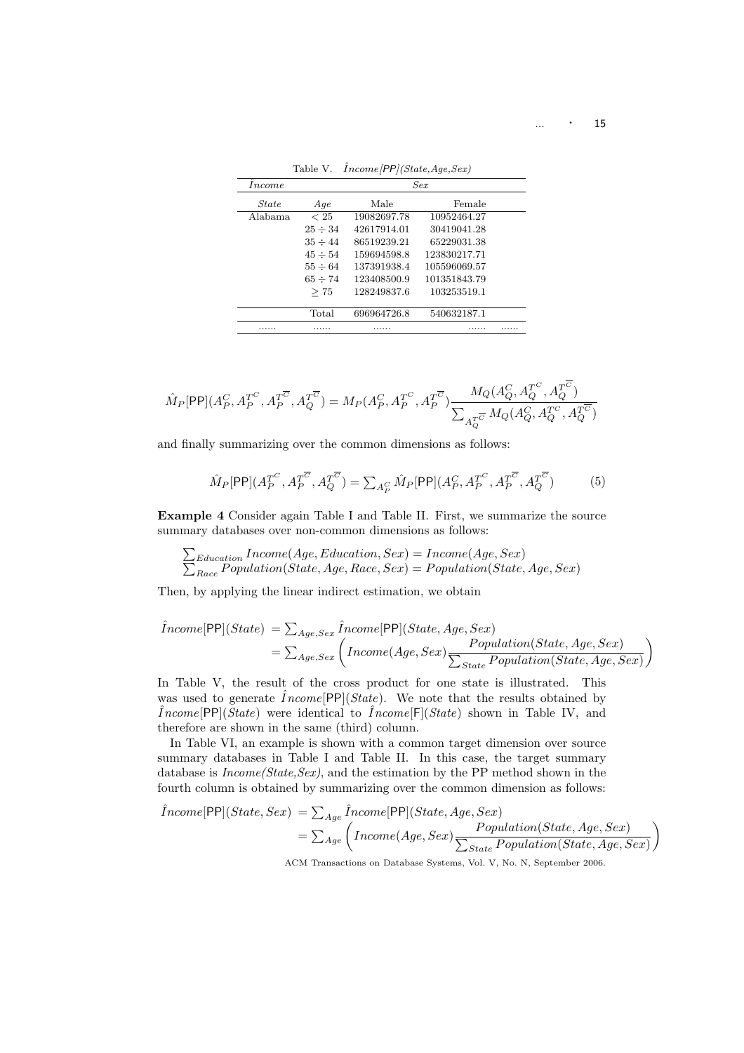| <i>Income</i> |              |             | Sex          |  |
|---------------|--------------|-------------|--------------|--|
| <i>State</i>  | Age          | Male        | Female       |  |
| Alabama       | < 25         | 19082697.78 | 10952464.27  |  |
|               | $25 \div 34$ | 42617914.01 | 30419041.28  |  |
|               | $35 \div 44$ | 86519239.21 | 65229031.38  |  |
|               | $45 \div 54$ | 159694598.8 | 123830217.71 |  |
|               | $55 \div 64$ | 137391938.4 | 105596069.57 |  |
|               | $65 \div 74$ | 123408500.9 | 101351843.79 |  |
|               | >75          | 128249837.6 | 103253519.1  |  |
|               |              |             |              |  |
|               | Total        | 696964726.8 | 540632187.1  |  |
| .             | .            | .           |              |  |

Table V.  $\hat{I}ncome/PP/(State,Age,Sex)$ 

$$
\hat{M}_P[\mathsf{PP}](A_P^C,A_P^{T^C},A_P^{T^{\overline{C}}},A_Q^{T^{\overline{C}}}) = M_P(A_P^C,A_P^{T^C},A_P^{T^{\overline{C}}}) \frac{M_Q(A_Q^C,A_Q^{T^C},A_Q^{T^{\overline{C}}})}{\sum_{A_Q^{T^{\overline{C}}}} M_Q(A_Q^C,A_Q^{T^C},A_Q^{T^{\overline{C}}})}
$$

and finally summarizing over the common dimensions as follows:

$$
\hat{M}_P[\text{PP}](A_P^{T^C}, A_P^{T^{\overline{C}}}, A_Q^{T^{\overline{C}}}) = \sum_{A_P^C} \hat{M}_P[\text{PP}](A_P^C, A_P^{T^C}, A_P^{T^{\overline{C}}}, A_Q^{T^{\overline{C}}})
$$
(5)

Example 4 Consider again Table I and Table II. First, we summarize the source summary databases over non-common dimensions as follows:

 $\overline{ }$  $\sum_{Education} Income(Age, Education, Sex) = Income(Age, Sex)$  $R_{lace}$  Population(State, Age, Race, Sex) = Population(State, Age, Sex)

Then, by applying the linear indirect estimation, we obtain

$$
\hat{I}ncome[\mathsf{PP}](State) = \sum_{Age, Sex} \hat{I}ncome[\mathsf{PP}](State, Age, Sex) \n= \sum_{Age, Sex} \left( Income(Age, Sex) \frac Population(State, Age, Sex) \right) \n\sum_{State} Population(State, Age, Sex)
$$

In Table V, the result of the cross product for one state is illustrated. This was used to generate  $Income[PP](State)$ . We note that the results obtained by  $\hat{I}ncome[\textsf{PP}](State)$  were identical to  $\hat{I}ncome[\textsf{F}](State)$  shown in Table IV, and therefore are shown in the same (third) column.

In Table VI, an example is shown with a common target dimension over source summary databases in Table I and Table II. In this case, the target summary database is  $Income(State, Sex)$ , and the estimation by the PP method shown in the fourth column is obtained by summarizing over the common dimension as follows:

$$
\hat{I}ncome[\text{PP}](State, Sex) = \sum_{Age} \hat{I}ncome[\text{PP}](State, Age, Sex)
$$
  
= 
$$
\sum_{Age} \left( Income(Age, Sex) \frac Population(State, Age, Sex) \right)
$$
  
ACM Transactions on Database Systems, Vol. V, No. N, September 2006.

 $\ldots$   $\cdot$  15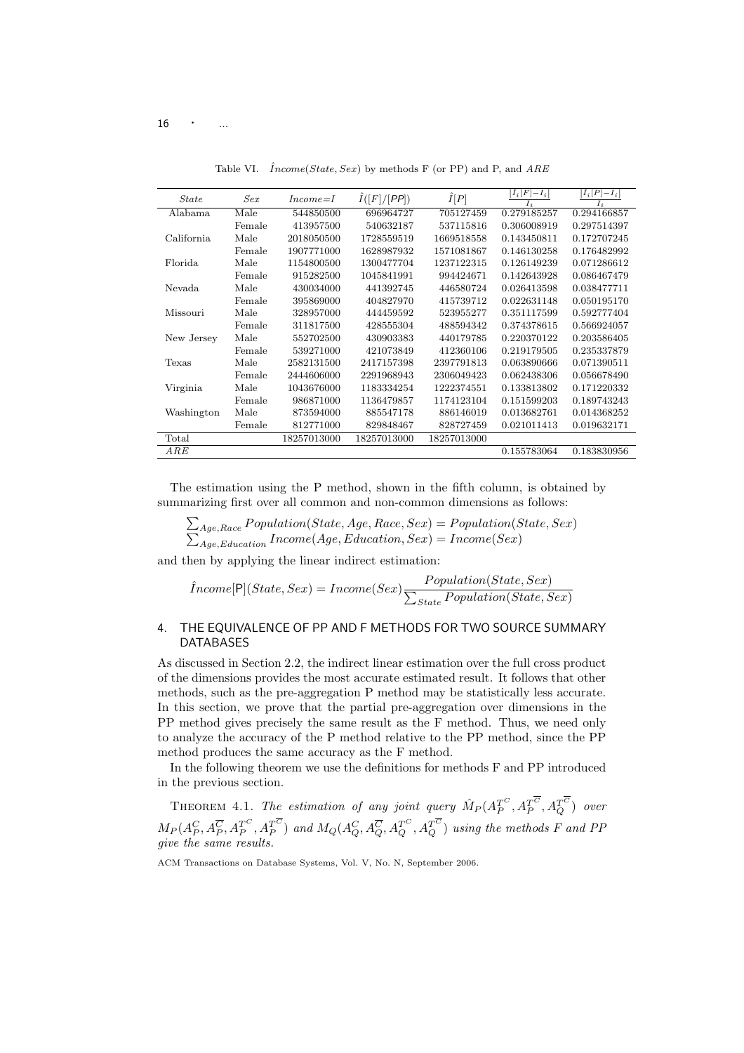| <b>State</b> | Sex    | $Income = I$ | $\hat{I}([F]/[PP])$ | $\hat{I}[P]$ | $ I_i[F]-I_i $ | $ \hat{I}_i[P]-I_i $ |
|--------------|--------|--------------|---------------------|--------------|----------------|----------------------|
| Alabama      | Male   | 544850500    | 696964727           | 705127459    | 0.279185257    | 0.294166857          |
|              | Female | 413957500    | 540632187           | 537115816    | 0.306008919    | 0.297514397          |
| California   | Male   | 2018050500   | 1728559519          | 1669518558   | 0.143450811    | 0.172707245          |
|              | Female | 1907771000   | 1628987932          | 1571081867   | 0.146130258    | 0.176482992          |
| Florida      | Male   | 1154800500   | 1300477704          | 1237122315   | 0.126149239    | 0.071286612          |
|              | Female | 915282500    | 1045841991          | 994424671    | 0.142643928    | 0.086467479          |
| Nevada       | Male   | 430034000    | 441392745           | 446580724    | 0.026413598    | 0.038477711          |
|              | Female | 395869000    | 404827970           | 415739712    | 0.022631148    | 0.050195170          |
| Missouri     | Male   | 328957000    | 444459592           | 523955277    | 0.351117599    | 0.592777404          |
|              | Female | 311817500    | 428555304           | 488594342    | 0.374378615    | 0.566924057          |
| New Jersey   | Male   | 552702500    | 430903383           | 440179785    | 0.220370122    | 0.203586405          |
|              | Female | 539271000    | 421073849           | 412360106    | 0.219179505    | 0.235337879          |
| Texas        | Male   | 2582131500   | 2417157398          | 2397791813   | 0.063890666    | 0.071390511          |
|              | Female | 2444606000   | 2291968943          | 2306049423   | 0.062438306    | 0.056678490          |
| Virginia     | Male   | 1043676000   | 1183334254          | 1222374551   | 0.133813802    | 0.171220332          |
|              | Female | 986871000    | 1136479857          | 1174123104   | 0.151599203    | 0.189743243          |
| Washington   | Male   | 873594000    | 885547178           | 886146019    | 0.013682761    | 0.014368252          |
|              | Female | 812771000    | 829848467           | 828727459    | 0.021011413    | 0.019632171          |
| Total        |        | 18257013000  | 18257013000         | 18257013000  |                |                      |
| ARE          |        |              |                     |              | 0.155783064    | 0.183830956          |

Table VI.  $\hat{I}ncome(State, Sex)$  by methods F (or PP) and P, and ARE

The estimation using the P method, shown in the fifth column, is obtained by summarizing first over all common and non-common dimensions as follows:

$$
\sum_{Age, Race} Population(State, Age, Race, Sex) = Population(State, Sex)
$$
  

$$
\sum_{Age, Education} Income(Age, Education, Sex) = Income(Sex)
$$

and then by applying the linear indirect estimation:

$$
\hat{I}ncome[\mathsf{P}](State, Sex) = Income(Sex)\frac{Population(State, Sex)}{\sum_{State}Population(State, Sex)}
$$

## 4. THE EQUIVALENCE OF PP AND F METHODS FOR TWO SOURCE SUMMARY DATABASES

As discussed in Section 2.2, the indirect linear estimation over the full cross product of the dimensions provides the most accurate estimated result. It follows that other methods, such as the pre-aggregation P method may be statistically less accurate. In this section, we prove that the partial pre-aggregation over dimensions in the PP method gives precisely the same result as the F method. Thus, we need only to analyze the accuracy of the P method relative to the PP method, since the PP method produces the same accuracy as the F method.

In the following theorem we use the definitions for methods F and PP introduced in the previous section.

THEOREM 4.1. The estimation of any joint query  $\hat{M}_P (A_P^{T^C}, A_P^{T^C}, A_Q^{T^C})$  over  $M_P (A_P^C, A_P^{\overline C}, A_P^{T^C}, A_P^{T^C})$  and  $M_Q (A_Q^C, A_Q^{\overline C}, A_Q^{T^C}, A_Q^{T^C})$  using the methods  $F$  and  $PP$ give the same results.

ACM Transactions on Database Systems, Vol. V, No. N, September 2006.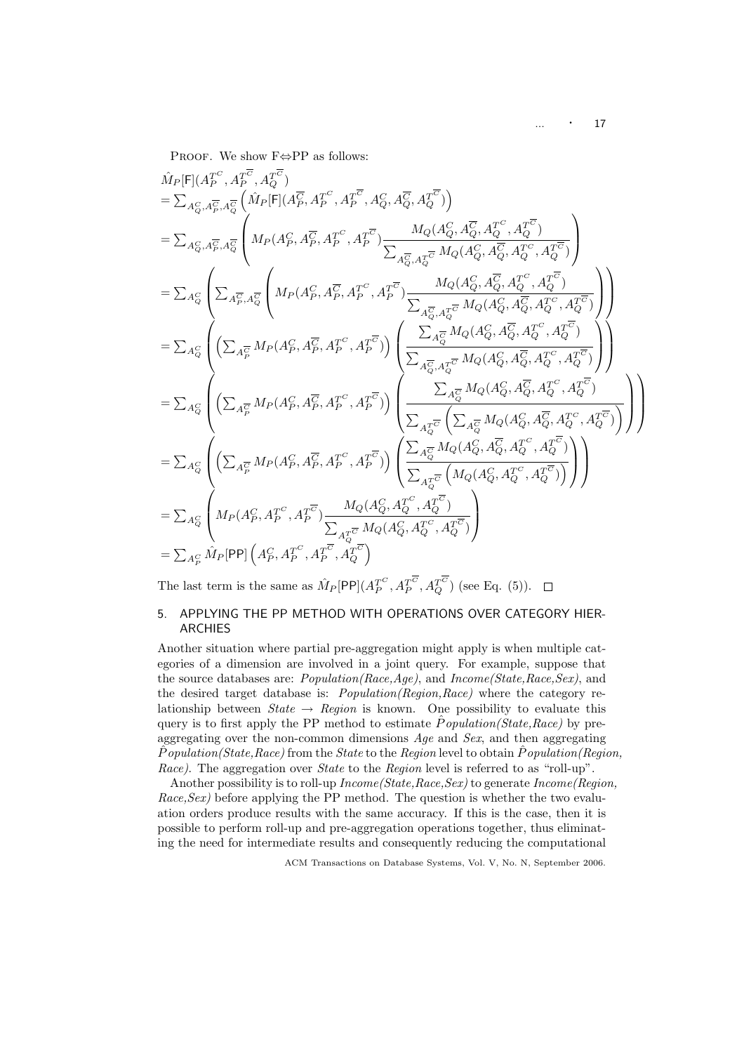$\ldots$   $\cdot$  17

PROOF. We show  $\textsc{F}{\Leftrightarrow}\textsc{PP}$  as follows:

$$
\hat{M}_{P}[\mathsf{F}](A_{P}^{T^{C}}, A_{P}^{T^{C}}, A_{Q}^{T^{C}})
$$
\n
$$
= \sum_{A_{Q}^{C}, A_{P}^{T}, A_{Q}^{T}} \left( \hat{M}_{P}[\mathsf{F}](A_{P}^{T}, A_{P}^{T^{C}}, A_{P}^{T^{C}}, A_{Q}^{T}, A_{Q}^{T}, A_{Q}^{T}, A_{Q}^{T^{C}})) \right)
$$
\n
$$
= \sum_{A_{Q}^{C}, A_{P}^{T}, A_{Q}^{T}} \left( M_{P}(A_{P}^{C}, A_{P}^{T}, A_{P}^{T^{C}}), A_{P}^{T^{C}}) \frac{M_{Q}(A_{Q}^{C}, A_{Q}^{T}, A_{Q}^{T^{C}})}{\sum_{A_{Q}^{T}, A_{Q}^{T}} M_{Q}(A_{Q}^{C}, A_{Q}^{T}, A_{Q}^{T^{C}}))} \right)
$$
\n
$$
= \sum_{A_{Q}^{C}} \left( \sum_{A_{P}^{T}, A_{Q}^{T}} \left( M_{P}(A_{P}^{C}, A_{P}^{T}, A_{P}^{T^{C}})) \frac{M_{Q}(A_{Q}^{C}, A_{Q}^{T}, A_{Q}^{T^{C}}, A_{Q}^{T^{C}})}{\sum_{A_{Q}^{T}, A_{Q}^{T}} M_{Q}(A_{Q}^{C}, A_{Q}^{T}, A_{Q}^{T^{C}}))} \right) \right)
$$
\n
$$
= \sum_{A_{Q}^{C}} \left( \left( \sum_{A_{P}^{T}} M_{P}(A_{P}^{C}, A_{P}^{T}, A_{P}^{T^{C}}), A_{P}^{T^{C}}) \right) \left( \frac{\sum_{A_{Q}^{T}, A_{Q}^{T}} M_{Q}(A_{Q}^{C}, A_{Q}^{T}, A_{Q}^{T^{C}}, A_{Q}^{T^{C}})}{\sum_{A_{Q}^{T}, A_{Q}^{T}} M_{Q}(A_{Q}^{C}, A_{Q}^{T}, A_{Q}^{T^{C}}))} \right) \right)
$$
\n
$$
= \sum_{A_{Q}^{C}} \left( \left( \sum_{A_{P}^{T}} M_{P}(A_{P}^{C}, A_{P}^{T}, A_{P}^{T^{C}}), A_{P}^{T^{C}}) \right) \left( \frac{\sum_{A_{Q}^{T}} M_{Q}(A_{Q}^{C
$$

The last term is the same as  $\hat{M}_P[\textsf{PP}](A_P^{T^C}, A_P^{T^C}, A_Q^{T^C})$  (see Eq. (5)).

## 5. APPLYING THE PP METHOD WITH OPERATIONS OVER CATEGORY HIER-ARCHIES

Another situation where partial pre-aggregation might apply is when multiple categories of a dimension are involved in a joint query. For example, suppose that the source databases are: Population(Race,Age), and Income(State,Race,Sex), and the desired target database is: Population(Region,Race) where the category relationship between  $State \rightarrow Region$  is known. One possibility to evaluate this query is to first apply the PP method to estimate  $\hat{P}$ *opulation(State,Race)* by preaggregating over the non-common dimensions Age and Sex, and then aggregating  $P$ opulation(State,Race) from the State to the Region level to obtain  $P$ opulation(Region, Race). The aggregation over *State* to the *Region* level is referred to as "roll-up".

Another possibility is to roll-up  $Income(State, Race,Sex)$  to generate  $Income(Region,$ Race, Sex) before applying the PP method. The question is whether the two evaluation orders produce results with the same accuracy. If this is the case, then it is possible to perform roll-up and pre-aggregation operations together, thus eliminating the need for intermediate results and consequently reducing the computational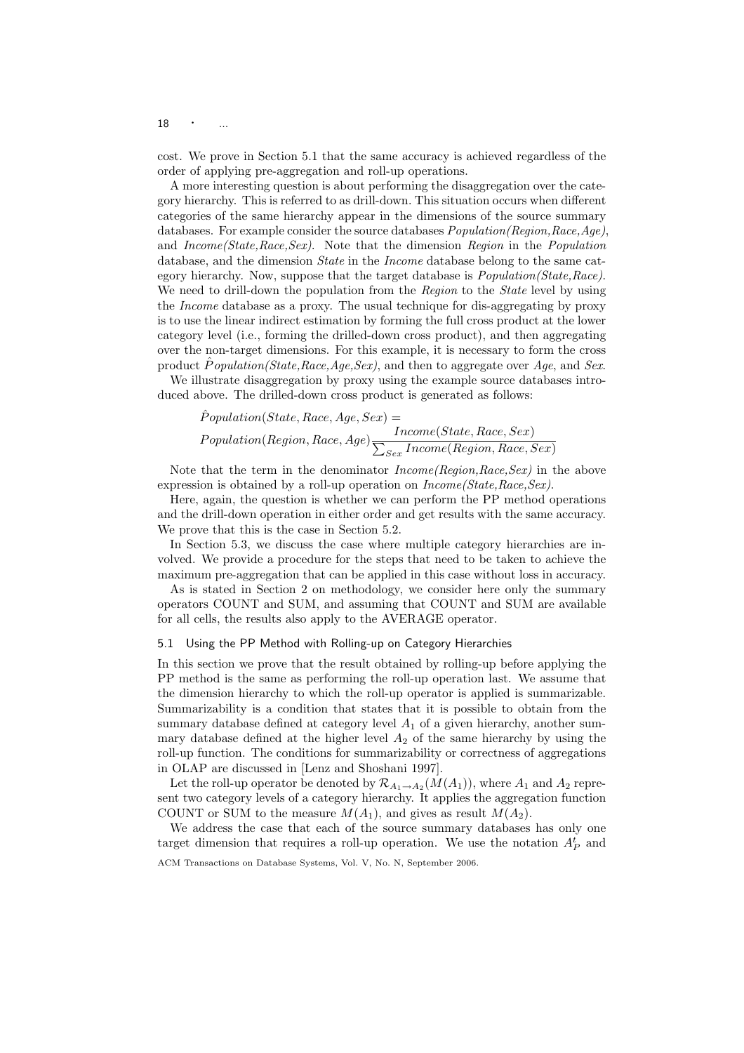$18 \cdot \cdot \cdot \dots$ 

cost. We prove in Section 5.1 that the same accuracy is achieved regardless of the order of applying pre-aggregation and roll-up operations.

A more interesting question is about performing the disaggregation over the category hierarchy. This is referred to as drill-down. This situation occurs when different categories of the same hierarchy appear in the dimensions of the source summary databases. For example consider the source databases  $Population(Region,Race,Age),$ and Income(State,Race,Sex). Note that the dimension Region in the Population database, and the dimension *State* in the *Income* database belong to the same category hierarchy. Now, suppose that the target database is Population(State,Race). We need to drill-down the population from the Region to the State level by using the Income database as a proxy. The usual technique for dis-aggregating by proxy is to use the linear indirect estimation by forming the full cross product at the lower category level (i.e., forming the drilled-down cross product), and then aggregating over the non-target dimensions. For this example, it is necessary to form the cross product  $\tilde{P}$ *opulation(State,Race,Age,Sex)*, and then to aggregate over Age, and Sex.

We illustrate disaggregation by proxy using the example source databases introduced above. The drilled-down cross product is generated as follows:

$$
\begin{aligned} \hat{P}opulation(State, Race, Age, Sex) = \\ Population(Region, Race, Age) & \frac{Income(State, Race, Sex)}{\sum_{Sex} Income(Region, Race, Sex)} \end{aligned}
$$

Note that the term in the denominator  $Income(Region, Race,Sex)$  in the above expression is obtained by a roll-up operation on  $Income(State, Race,Sex)$ .

Here, again, the question is whether we can perform the PP method operations and the drill-down operation in either order and get results with the same accuracy. We prove that this is the case in Section 5.2.

In Section 5.3, we discuss the case where multiple category hierarchies are involved. We provide a procedure for the steps that need to be taken to achieve the maximum pre-aggregation that can be applied in this case without loss in accuracy.

As is stated in Section 2 on methodology, we consider here only the summary operators COUNT and SUM, and assuming that COUNT and SUM are available for all cells, the results also apply to the AVERAGE operator.

## 5.1 Using the PP Method with Rolling-up on Category Hierarchies

In this section we prove that the result obtained by rolling-up before applying the PP method is the same as performing the roll-up operation last. We assume that the dimension hierarchy to which the roll-up operator is applied is summarizable. Summarizability is a condition that states that it is possible to obtain from the summary database defined at category level  $A_1$  of a given hierarchy, another summary database defined at the higher level  $A_2$  of the same hierarchy by using the roll-up function. The conditions for summarizability or correctness of aggregations in OLAP are discussed in [Lenz and Shoshani 1997].

Let the roll-up operator be denoted by  $\mathcal{R}_{A_1 \to A_2}(M(A_1))$ , where  $A_1$  and  $A_2$  represent two category levels of a category hierarchy. It applies the aggregation function COUNT or SUM to the measure  $M(A_1)$ , and gives as result  $M(A_2)$ .

We address the case that each of the source summary databases has only one target dimension that requires a roll-up operation. We use the notation  $A_P^t$  and

ACM Transactions on Database Systems, Vol. V, No. N, September 2006.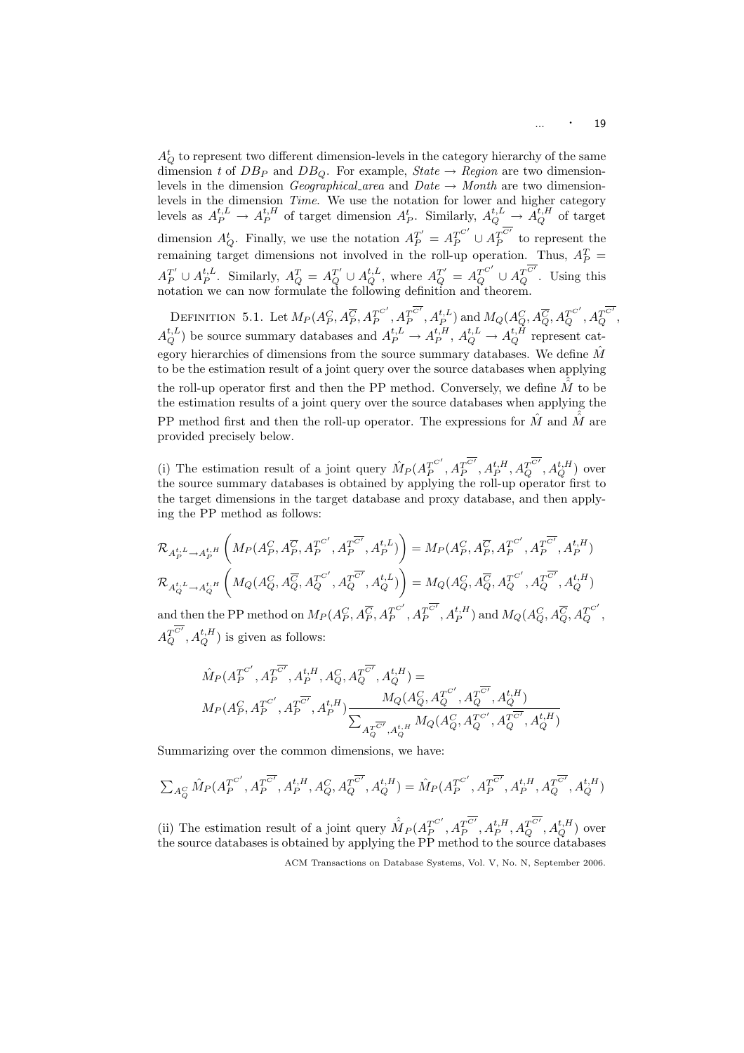$A_Q^t$  to represent two different dimension-levels in the category hierarchy of the same dimension t of  $DB_P$  and  $DB_O$ . For example, State  $\rightarrow$  Region are two dimensionlevels in the dimension *Geographical area* and  $Date \rightarrow Month$  are two dimensionlevels in the dimension *Time*. We use the notation for lower and higher category levels as  $A_P^{t,L} \to A_P^{t,H}$  of target dimension  $A_P^t$ . Similarly,  $A_Q^{t,L} \to \tilde{A}_Q^{t,H}$  of target dimension  $A_Q^t$ . Finally, we use the notation  $A_P^{T'} = A_P^{T^{C'}} \cup A_P^{\overline{C'}}$  $T_P^C$  to represent the remaining target dimensions not involved in the roll-up operation. Thus,  $A_P^T$  =  $A_P^{T'} \cup A_P^{t,L}$ . Similarly,  $A_Q^T = A_Q^{T'} \cup A_Q^{t,L}$ , where  $A_Q^{T'} = A_Q^{T^{C'}} \cup A_Q^{T^{C'}}$ . Using this notation we can now formulate the following definition and theorem.

DEFINITION 5.1. Let  $M_P(A_P^C, A_P^{\overline C}, A_P^{T^{C'}})$  $T_P^{C'}, A_P^{T^{\overline{C'}}}$  $T_P^{\overline{C'}},A_P^{t,L})$  and  $M_Q(A_Q^C,A_Q^{\overline{C}},A_Q^{T^{C'}},A_Q^{\overline{T^{C'}}},$  $A_Q^{t,L}$ ) be source summary databases and  $A_P^{t,L} \to A_P^{t,H}$ ,  $A_Q^{t,L} \to A_Q^{t,H}$  represent category hierarchies of dimensions from the source summary databases. We define  $M$ to be the estimation result of a joint query over the source databases when applying the roll-up operator first and then the PP method. Conversely, we define  $\tilde{M}$  to be the estimation results of a joint query over the source databases when applying the PP method first and then the roll-up operator. The expressions for  $\hat{M}$  and  $\hat{M}$  are provided precisely below.

(i) The estimation result of a joint query  $\hat{M}_P(A_P^{T^{C'}})$  $T_P^{C'} , A_P^{\overline{C'}}$  $T_P^{\overline{C'}}, A_P^{t, H}, A_Q^{T^{\overline{C'}}}, A_Q^{t, H})$  over the source summary databases is obtained by applying the roll-up operator first to the target dimensions in the target database and proxy database, and then applying the PP method as follows:

$$
\mathcal{R}_{A_P^{t,L}\rightarrow A_P^{t,H}}\left(M_P(A_P^C,A_P^{\overline{C}},A_P^{T^{C'}},A_P^{T^{\overline{C'}}},A_P^{t,L})\right)=M_P(A_P^C,A_P^{\overline{C}},A_P^{T^{C'}},A_P^{T^{\overline{C'}}},A_P^{t,H})
$$
\n
$$
\mathcal{R}_{A_Q^{t,L}\rightarrow A_Q^{t,H}}\left(M_Q(A_Q^C,A_Q^{\overline{C}},A_Q^{T^{C'}},A_Q^{T^{\overline{C'}}},A_Q^{t,L})\right)=M_Q(A_Q^C,A_Q^{\overline{C}},A_Q^{T^{C'}},A_Q^{T^{\overline{C'}}},A_Q^{t,H})
$$
\nand then the PP method on  $M_P(A_P^C,A_P^{\overline{C}},A_P^{T^{C'}},A_P^{t,H})$  and  $M_Q(A_Q^C,A_Q^{\overline{C}},A_Q^{T^{C'}}),A_Q^{T^{\overline{C'}}},A_Q^{t,H})$  is given as follows:

$$
\begin{split} & \hat{M}_P(A_P^{T^{C'}}, A_P^{T^{\overline{C'}}}, A_P^{t,H}, A_Q^C, A_Q^{T^{\overline{C'}}}, A_Q^{t,H}) = \\ & M_P(A_P^C, A_P^{T^{C'}} , A_P^{T^{\overline{C'}}}, A_P^{t,H}) \frac{M_Q(A_Q^C, A_Q^{T^{C'}} , A_Q^{T^{\overline{C'}}}, A_Q^{t,H})}{\sum_{A_Q^{T^{\overline{C'}}}, A_Q^{t,H}} M_Q(A_Q^C, A_Q^{T^{C'}} , A_Q^{T^{\overline{C'}}}, A_Q^{t,H})} \end{split}
$$

Summarizing over the common dimensions, we have:

$$
\textstyle \sum_{A_Q^C} \hat{M}_P(A_P^{T^{C'}}, A_P^{T^{\overline{C'}}}, A_P^{t, H}, A_Q^C, A_Q^{T^{\overline{C'}}}, A_Q^{t, H}) = \hat{M}_P(A_P^{T^{C'}} , A_P^{T^{\overline{C'}}}, A_P^{t, H}, A_Q^{T^{\overline{C'}}}, A_Q^{t, H})
$$

(ii) The estimation result of a joint query  $\hat{M}_P(A_P^{T^{C'}})$  $T_P^{C'}, A_P^{T^{\overline{C'}}}$  $T_P^{\overline{C'}}, A_P^{t, H}, A_Q^{\overline{C'}}, A_Q^{t, H})$  over the source databases is obtained by applying the PP method to the source databases

ACM Transactions on Database Systems, Vol. V, No. N, September 2006.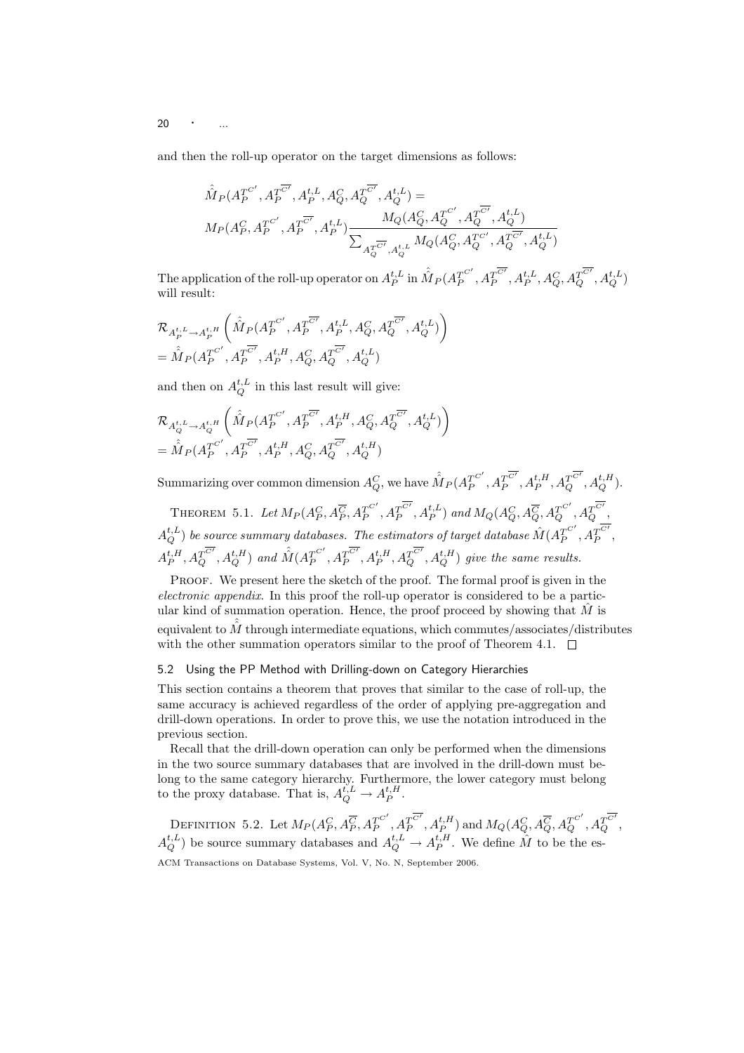20  $\cdot$  ...

and then the roll-up operator on the target dimensions as follows:

$$
\begin{split} &\hat{\hat{M}_{P}}(A_{P}^{T^{C'}},A_{P}^{T^{\overline{C'}}},A_{P}^{t,L},A_{Q}^{C},A_{Q}^{T^{\overline{C'}}},A_{Q}^{t,L})= \\ &M_{P}(A_{P}^{C},A_{P}^{T^{C'}},A_{P}^{t_{C}}^{-},A_{P}^{t,L})\frac{M_{Q}(A_{Q}^{C},A_{Q}^{T^{C'}},A_{Q}^{t_{C}}^{-})}{\sum_{A_{Q}^{T^{\overline{C'}}},A_{Q}^{t,L}}M_{Q}(A_{Q}^{C},A_{Q}^{T^{C'}},A_{Q}^{T^{\overline{C'}}},A_{Q}^{t,L})} \end{split}
$$

The application of the roll-up operator on  $A_P^{t,L}$  in  $\hat{\hat{M}}_P(A_P^{T^{C'}}$  $T_P^{C'} , A_P^{\overline{C'}}$  $T^{ \overline{C'} }_{P}, A^{t, L }_{P}, A^{C}_{Q}, A^{T^{ \overline{C'} } }_{Q}, A^{t, L}_{Q})$ will result:

$$
\begin{split} & \mathcal{R}_{A_{P}^{t,L}\rightarrow A_{P}^{t,H}}\left(\hat{\hat{M}_{P}}(A_{P}^{T^{C'}},A_{P}^{T^{\overline{C'}}},A_{P}^{t,L},A_{Q}^{C},A_{Q}^{T^{\overline{C'}}},A_{Q}^{t,L})\right) \\ &=\hat{\hat{M}_{P}}(A_{P}^{T^{C'}},A_{P}^{T^{\overline{C'}}},A_{P}^{t,H},A_{Q}^{C},A_{Q}^{T^{\overline{C'}}},A_{Q}^{t,L}) \end{split}
$$

and then on  $A^{t,L}_Q$  in this last result will give:

$$
\begin{split} & \mathcal{R}_{A^{t, L}_{Q} \to A^{t, H}_{Q}} \left( \hat{\hat{M}}_{P}(A^{T^{C'}}_{P}, A^{T^{\overline{C'}}}_{P}, A^{t, H}_{P}, A^{C}_{Q}, A^{\overline{T^{C'}}}_{Q}, A^{t, L}_{Q}) \right) \\ & = \hat{\hat{M}}_{P}(A^{T^{C'}}_{P}, A^{T^{\overline{C'}}}_{P}, A^{t, H}_{P}, A^{C}_{Q}, A^{\overline{C'}}_{Q}, A^{t, H}_{Q}) \end{split}
$$

Summarizing over common dimension  $A_Q^C$ , we have  $\hat{\hat{M}}_P(A_P^{T^{C'}})$  $T_P^{C'}, A_P^{T^{\overline{C'}}}$  $T^{ \overline{C'} }, A_P^{t,H}, A_Q^{T^{ \overline{C'} },A_Q^{t,H} }).$ 

THEOREM 5.1. Let  $M_P(A_P^C, A_P^{\overline{C}}, A_P^{T^{C'}})$  $T_P^{C'}, A_P^{T^{\overline{C'}}}$  $T_P^{\overline{C'}},A_P^{t,L})$  and  $M_Q(A_Q^C,A_Q^{\overline{C}},A_Q^{T^{C'}},A_Q^{\overline{T^{C'}}},$  $A_Q^{t,L})$  be source summary databases. The estimators of target database  $\hat{M}(A_P^{T^{C'}})$  $T_P^{C'}, A_P^T^{C'}$ P ,  $A_P^{t,H}, A_Q^{T^{\overline{C'}}}, A_Q^{t,H})$  and  $\hat{\hat{M}}(A_P^{T^{C'}})$  $T_P^{C'}, A_P^{T^{\overline{C'}}}$  $\overline{T_P^{C'}}, A_P^{t,H}, A_Q^{T^{\overline{C'}}}, A_Q^{t,H})$  give the same results.

PROOF. We present here the sketch of the proof. The formal proof is given in the electronic appendix. In this proof the roll-up operator is considered to be a particular kind of summation operation. Hence, the proof proceed by showing that  $\hat{M}$  is equivalent to  $\hat{M}$  through intermediate equations, which commutes/associates/distributes with the other summation operators similar to the proof of Theorem 4.1.  $\Box$ 

#### 5.2 Using the PP Method with Drilling-down on Category Hierarchies

This section contains a theorem that proves that similar to the case of roll-up, the same accuracy is achieved regardless of the order of applying pre-aggregation and drill-down operations. In order to prove this, we use the notation introduced in the previous section.

Recall that the drill-down operation can only be performed when the dimensions in the two source summary databases that are involved in the drill-down must belong to the same category hierarchy. Furthermore, the lower category must belong to the proxy database. That is,  $A_Q^{t,L} \to A_P^{t,H}$ .

DEFINITION 5.2. Let  $M_P(A_P^C, A_P^{\overline C}, A_P^{T^{C'}})$  $T_P^{C'}, A_P^{T^{\overline{C'}}}$  $T_P^{\overline{C'}},A_P^{t,H})$  and  $M_Q(A_Q^C,A_Q^{\overline{C}},A_Q^{T^{C'}},A_Q^{\overline{C'}},$  $A_Q^{t,L}$ ) be source summary databases and  $A_Q^{t,L} \to A_P^{t,H}$ . We define  $\hat{M}$  to be the es-ACM Transactions on Database Systems, Vol. V, No. N, September 2006.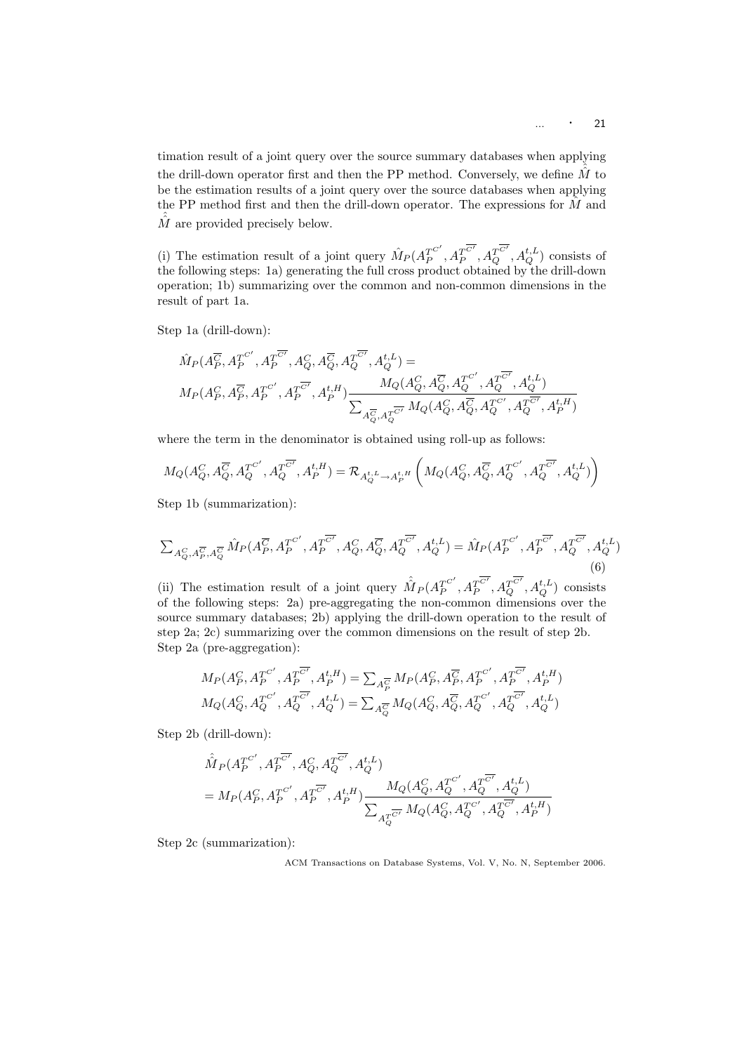timation result of a joint query over the source summary databases when applying the drill-down operator first and then the PP method. Conversely, we define  $\hat{M}$  to be the estimation results of a joint query over the source databases when applying the PP method first and then the drill-down operator. The expressions for  $\hat{M}$  and  $\hat{M}$  are provided precisely below.

(i) The estimation result of a joint query  $\hat{M}_P(A_P^{T^{C'}})$  $\overline{I_P^{C'}}, A_P^{\overline{C'}}$  $T^{C'}_P, A^{T^{C'}}_Q, A^{t,L}_Q$  consists of the following steps: 1a) generating the full cross product obtained by the drill-down operation; 1b) summarizing over the common and non-common dimensions in the result of part 1a.

Step 1a (drill-down):

$$
\begin{split} & \hat{M}_{P}(A_{P}^{\overline{C}},A_{P}^{T^{C'}},A_{P}^{T^{\overline{C'}}},A_{Q}^{C},A_{Q}^{\overline{C}},A_{Q}^{T^{\overline{C'}}},A_{Q}^{t,L}) = \\ & M_{P}(A_{P}^C,A_{P}^{\overline{C}},A_{P}^{T^{C'}} ,A_{P}^{T^{\overline{C'}}},A_{P}^{t,H}) \frac{M_{Q}(A_{Q}^C,A_{Q}^{\overline{C}},A_{Q}^{T^{C'}} ,A_{Q}^{T^{\overline{C'}}},A_{Q}^{t,L})}{\sum_{A_{Q}^{\overline{C}},A_{Q}^{\overline{C'}}} M_{Q}(A_{Q}^C,A_{Q}^{\overline{C}},A_{Q}^{T^{\overline{C'}}},A_{Q}^{t,\overline{R'}} )} \end{split}
$$

where the term in the denominator is obtained using roll-up as follows:

$$
M_Q(A_Q^C,A_Q^{\overline{C}},A_Q^{T^{C'}},A_Q^{T^{\overline{C'}}},A_P^{t,H})=\mathcal{R}_{A_Q^{t,L}\rightarrow A_P^{t,H}}\left(M_Q(A_Q^C,A_Q^{\overline{C}},A_Q^{T^{C'}},A_Q^{T^{\overline{C'}}},A_Q^{t,L})\right)
$$

Step 1b (summarization):

$$
\sum_{A_Q^C, A_P^{\overline{C}}, A_Q^{\overline{C}}} \hat{M}_P(A_P^{\overline{C}}, A_P^{T^{C'}}, A_P^{T^{\overline{C'}}}, A_Q^C, A_Q^{\overline{C}}, A_Q^{T^{\overline{C'}}}, A_Q^{t,L}) = \hat{M}_P(A_P^{T^{C'}}, A_P^{T^{\overline{C'}}}, A_Q^{T^{\overline{C'}}}, A_Q^{t,L})
$$
\n(6)

(ii) The estimation result of a joint query  $\hat{M}_P(A_P^{T^{C'}})$  $T_P^{C'} , A_P^{\overline{C'}}$  $T_P^{\overline{C'}}, A_Q^{T\overline{C'}}, A_Q^{t,L})$  consists of the following steps: 2a) pre-aggregating the non-common dimensions over the source summary databases; 2b) applying the drill-down operation to the result of step 2a; 2c) summarizing over the common dimensions on the result of step 2b. Step 2a (pre-aggregation):

$$
\begin{aligned} &{\cal M}_P(A_P^C,A_P^{T^{C'}},A_P^{T^{\overline{C'}}},A_P^{t,H})=\sum_{A_P^{\overline{C}}} {\cal M}_P(A_P^C,A_P^{\overline{C}},A_P^{T^{C'}}},A_P^{T^{\overline{C'}}},A_P^{t,H})\\ &{\cal M}_Q(A_Q^C,A_Q^{T^{C'}} ,A_Q^{T^{\overline{C'}}},A_Q^{t,L})=\sum_{A_Q^{\overline{C}}} {\cal M}_Q(A_Q^C,A_Q^{\overline{C}},A_Q^{T^{C'}} ,A_Q^{T^{\overline{C'}}},A_Q^{t,L}) \end{aligned}
$$

Step 2b (drill-down):

$$
\begin{split} &\hat{\hat{M}_{P}}(A_{P}^{T^{C'}},A_{P}^{T^{\overline{C'}}},A_{Q}^{C},A_{Q}^{T^{\overline{C'}}},A_{Q}^{t,L})\\ &=M_{P}(A_{P}^{C},A_{P}^{T^{C'}},A_{P}^{T^{\overline{C'}}},A_{P}^{t,H})\frac{M_{Q}(A_{Q}^{C},A_{Q}^{T^{C'}},A_{Q}^{T^{\overline{C'}}},A_{Q}^{t,L})}{\sum_{A_{Q}^{T^{\overline{C'}}}}M_{Q}(A_{Q}^{C},A_{Q}^{T^{C'}},A_{Q}^{T^{\overline{C'}}},A_{P}^{t,H})} \end{split}
$$

Step 2c (summarization):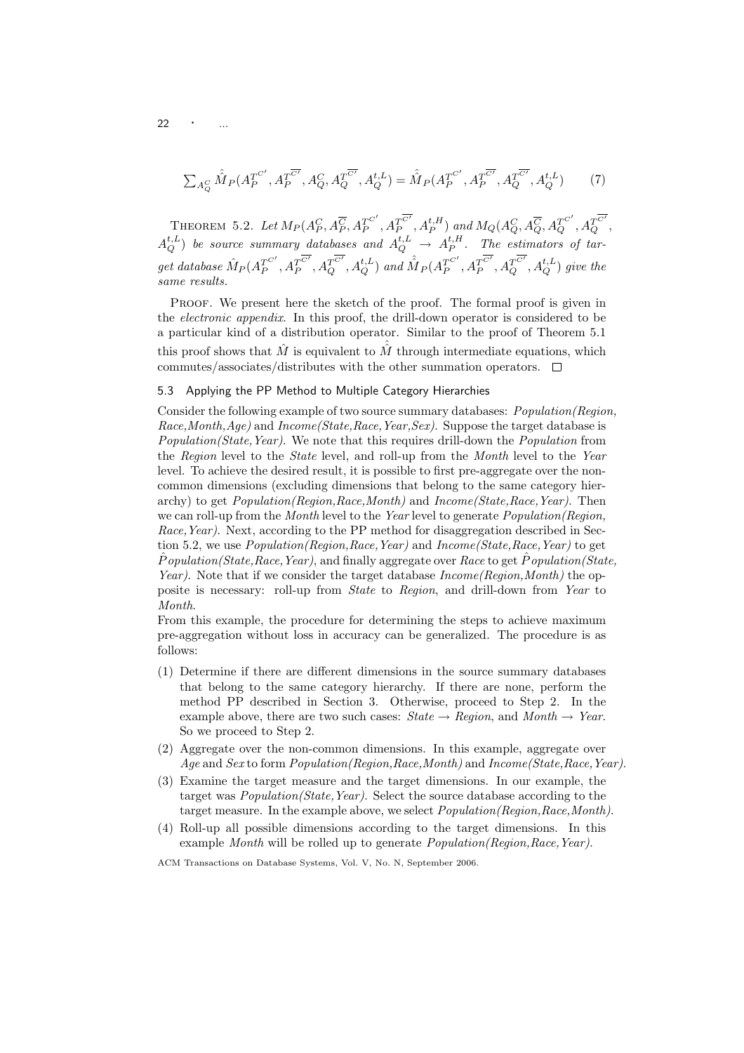22

$$
\sum_{A_Q^C} \hat{M}_P(A_P^{T^{C'}}, A_P^{T^{C'}}, A_Q^C, A_Q^{T^{C'}}, A_Q^{t,L}) = \hat{M}_P(A_P^{T^{C'}}, A_P^{T^{C'}}, A_Q^{T^{C'}}, A_Q^{t,L})
$$
(7)

THEOREM 5.2. Let  $M_P(A_P^C, A_P^{\overline{C}}, A_P^{T^{C'}})$  $T_P^{C'}, A_P^{\overline{C'}}$  $T_P^{\overline{C'}},A_P^{t,H})$  and  $M_Q(A_Q^C,A_Q^{\overline{C}},A_Q^{T^{C'}},A_Q^{\overline{C'}},$  $A_Q^{t,L}$ ) be source summary databases and  $A_Q^{t,L}$   $\rightarrow$   $A_P^{t,H}$ . The estimators of tar $get\ database\ \hat{M}_P (A_P^{T^{C'}})$  $T_P^{C'} , A_P^{\overline{C'}}$  $T_P^{\overline{C'}}, A_Q^{T\overline{C'}}, A_Q^{t,L})$  and  $\hat{\hat{M}}_P(A_P^{T^{C'}})$  $T_P^{C'} , A_P^{\overline{C'}}$  $\overline{T^{C'}_{P}}, \overline{A^{T_{C'}_{Q}}_{Q}}, A^{t,L}_{Q})$  give the same results.

Proof. We present here the sketch of the proof. The formal proof is given in the electronic appendix. In this proof, the drill-down operator is considered to be a particular kind of a distribution operator. Similar to the proof of Theorem 5.1 this proof shows that  $\hat{M}$  is equivalent to  $\hat{M}$  through intermediate equations, which commutes/associates/distributes with the other summation operators.  $\Box$ 

## 5.3 Applying the PP Method to Multiple Category Hierarchies

Consider the following example of two source summary databases: Population(Region, Race, Month, Age) and Income (State, Race, Year, Sex). Suppose the target database is Population(State, Year). We note that this requires drill-down the Population from the Region level to the State level, and roll-up from the Month level to the Year level. To achieve the desired result, it is possible to first pre-aggregate over the noncommon dimensions (excluding dimensions that belong to the same category hierarchy) to get  $Population(Reaion,Race,Month)$  and  $Income(State,Race,Year)$ . Then we can roll-up from the *Month* level to the Year level to generate *Population*(Region, Race, Year). Next, according to the PP method for disaggregation described in Section 5.2, we use *Population(Region,Race,Year)* and *Income(State,Race,Year)* to get  $\hat{P}$ opulation(State, Race, Year), and finally aggregate over Race to get  $\hat{P}$ opulation(State, Year). Note that if we consider the target database Income (Region, Month) the opposite is necessary: roll-up from State to Region, and drill-down from Year to Month.

From this example, the procedure for determining the steps to achieve maximum pre-aggregation without loss in accuracy can be generalized. The procedure is as follows:

- (1) Determine if there are different dimensions in the source summary databases that belong to the same category hierarchy. If there are none, perform the method PP described in Section 3. Otherwise, proceed to Step 2. In the example above, there are two such cases:  $State \rightarrow Region$ , and  $Month \rightarrow Year$ . So we proceed to Step 2.
- (2) Aggregate over the non-common dimensions. In this example, aggregate over Age and Sex to form Population(Region,Race,Month) and Income(State,Race,Year).
- (3) Examine the target measure and the target dimensions. In our example, the target was Population(State,Year). Select the source database according to the target measure. In the example above, we select *Population(Region,Race,Month)*.
- (4) Roll-up all possible dimensions according to the target dimensions. In this example Month will be rolled up to generate *Population(Region,Race,Year)*.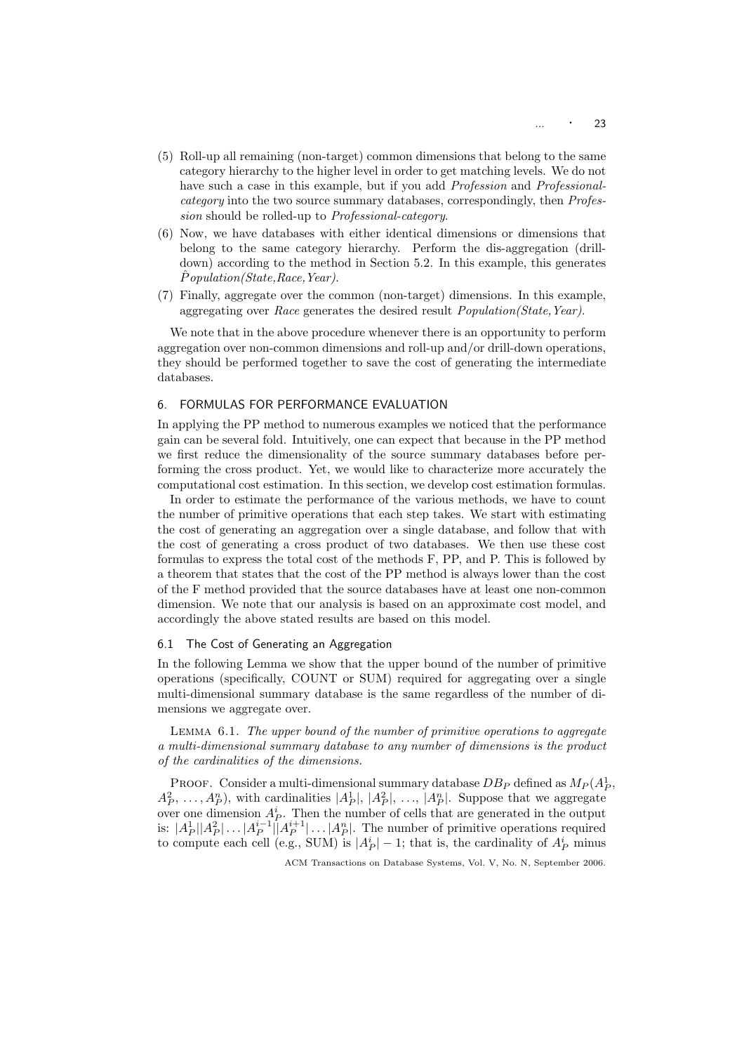- (5) Roll-up all remaining (non-target) common dimensions that belong to the same category hierarchy to the higher level in order to get matching levels. We do not have such a case in this example, but if you add Profession and Professionalcategory into the two source summary databases, correspondingly, then Profession should be rolled-up to Professional-category.
- (6) Now, we have databases with either identical dimensions or dimensions that belong to the same category hierarchy. Perform the dis-aggregation (drilldown) according to the method in Section 5.2. In this example, this generates Population(State, Race, Year).
- (7) Finally, aggregate over the common (non-target) dimensions. In this example, aggregating over Race generates the desired result Population(State,Year).

We note that in the above procedure whenever there is an opportunity to perform aggregation over non-common dimensions and roll-up and/or drill-down operations, they should be performed together to save the cost of generating the intermediate databases.

## 6. FORMULAS FOR PERFORMANCE EVALUATION

In applying the PP method to numerous examples we noticed that the performance gain can be several fold. Intuitively, one can expect that because in the PP method we first reduce the dimensionality of the source summary databases before performing the cross product. Yet, we would like to characterize more accurately the computational cost estimation. In this section, we develop cost estimation formulas.

In order to estimate the performance of the various methods, we have to count the number of primitive operations that each step takes. We start with estimating the cost of generating an aggregation over a single database, and follow that with the cost of generating a cross product of two databases. We then use these cost formulas to express the total cost of the methods F, PP, and P. This is followed by a theorem that states that the cost of the PP method is always lower than the cost of the F method provided that the source databases have at least one non-common dimension. We note that our analysis is based on an approximate cost model, and accordingly the above stated results are based on this model.

## 6.1 The Cost of Generating an Aggregation

In the following Lemma we show that the upper bound of the number of primitive operations (specifically, COUNT or SUM) required for aggregating over a single multi-dimensional summary database is the same regardless of the number of dimensions we aggregate over.

Lemma 6.1. The upper bound of the number of primitive operations to aggregate a multi-dimensional summary database to any number of dimensions is the product of the cardinalities of the dimensions.

PROOF. Consider a multi-dimensional summary database  $DB_P$  defined as  $M_P(A_P^1)$ ,  $A_P^2, \ldots, A_P^n$ , with cardinalities  $|A_P^1|, |A_P^2|, \ldots, |A_P^n|$ . Suppose that we aggregate over one dimension  $A_P^i$ . Then the number of cells that are generated in the output is:  $|A_P^1||A_P^2|| \dots |A_P^{i-1}||A_P^{i+1}|\dots |A_P^n|$ . The number of primitive operations required to compute each cell (e.g., SUM) is  $|A_P^i| - 1$ ; that is, the cardinality of  $A_P^i$  minus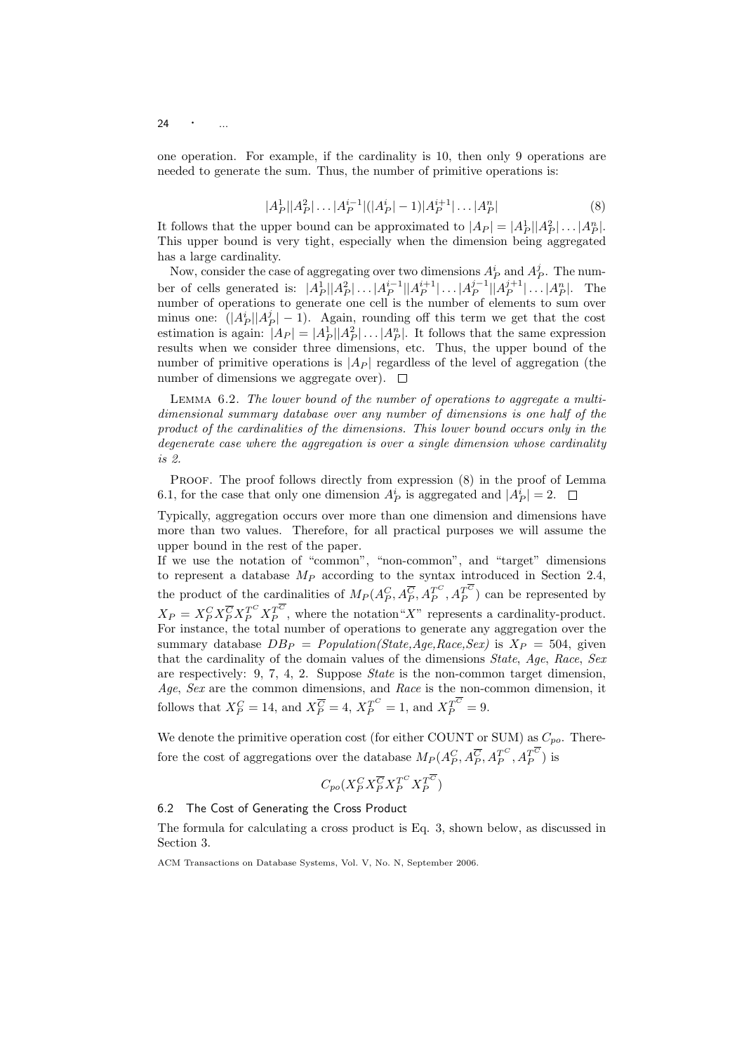24  $\cdot$  ...

one operation. For example, if the cardinality is 10, then only 9 operations are needed to generate the sum. Thus, the number of primitive operations is:

$$
|A_P^1||A_P^2|\dots|A_P^{i-1}|(|A_P^i|-1)|A_P^{i+1}|\dots|A_P^n| \tag{8}
$$

It follows that the upper bound can be approximated to  $|A_P| = |A_P^1||A_P^2| \dots |A_P^n|$ . This upper bound is very tight, especially when the dimension being aggregated has a large cardinality.

Now, consider the case of aggregating over two dimensions  $A_P^i$  and  $A_P^j$ . The number of cells generated is:  $|A_P^1||A_P^2| \dots |A_P^{i-1}||A_P^{i+1}| \dots |A_P^{j-1}||A_P^{j+1}| \dots |A_P^{n}|$ . The number of operations to generate one cell is the number of elements to sum over minus one:  $(|A_P^i||A_P^j|-1)$ . Again, rounding off this term we get that the cost estimation is again:  $|A_P| = |A_P^1||A_P^2| \dots |A_P^n|$ . It follows that the same expression results when we consider three dimensions, etc. Thus, the upper bound of the number of primitive operations is  $|A_P|$  regardless of the level of aggregation (the number of dimensions we aggregate over).  $\Box$ 

Lemma 6.2. The lower bound of the number of operations to aggregate a multidimensional summary database over any number of dimensions is one half of the product of the cardinalities of the dimensions. This lower bound occurs only in the degenerate case where the aggregation is over a single dimension whose cardinality is 2.

PROOF. The proof follows directly from expression  $(8)$  in the proof of Lemma 6.1, for the case that only one dimension  $A_P^i$  is aggregated and  $|A_P^i| = 2$ .

Typically, aggregation occurs over more than one dimension and dimensions have more than two values. Therefore, for all practical purposes we will assume the upper bound in the rest of the paper.

If we use the notation of "common", "non-common", and "target" dimensions to represent a database  $M_P$  according to the syntax introduced in Section 2.4, the product of the cardinalities of  $M_P(A_P^C, A_P^{T^C}, A_P^{T^C})$  can be represented by  $X_P = X_P^C X_P^{\overline{C}} X_P^{T^C} X_P^{T^C}$ , where the notation "X" represents a cardinality-product. For instance, the total number of operations to generate any aggregation over the summary database  $DB_P = Population(State, Age, Race, Sex)$  is  $X_P = 504$ , given that the cardinality of the domain values of the dimensions State, Age, Race, Sex are respectively: 9, 7, 4, 2. Suppose State is the non-common target dimension, Age, Sex are the common dimensions, and Race is the non-common dimension, it follows that  $X_P^C = 14$ , and  $X_P^{\overline{C}} = 4$ ,  $X_P^{T^C} = 1$ , and  $X_P^{T^C} = 9$ .

We denote the primitive operation cost (for either COUNT or SUM) as  $C_{po}$ . Therefore the cost of aggregations over the database  $M_P(A_P^C, A_P^{T^C}, A_P^{T^C})$  is

$$
C_{po}(X_P^C X_P^{\overline{C}} X_P^{T^C} X_P^T^{\overline{C}})
$$

## 6.2 The Cost of Generating the Cross Product

The formula for calculating a cross product is Eq. 3, shown below, as discussed in Section 3.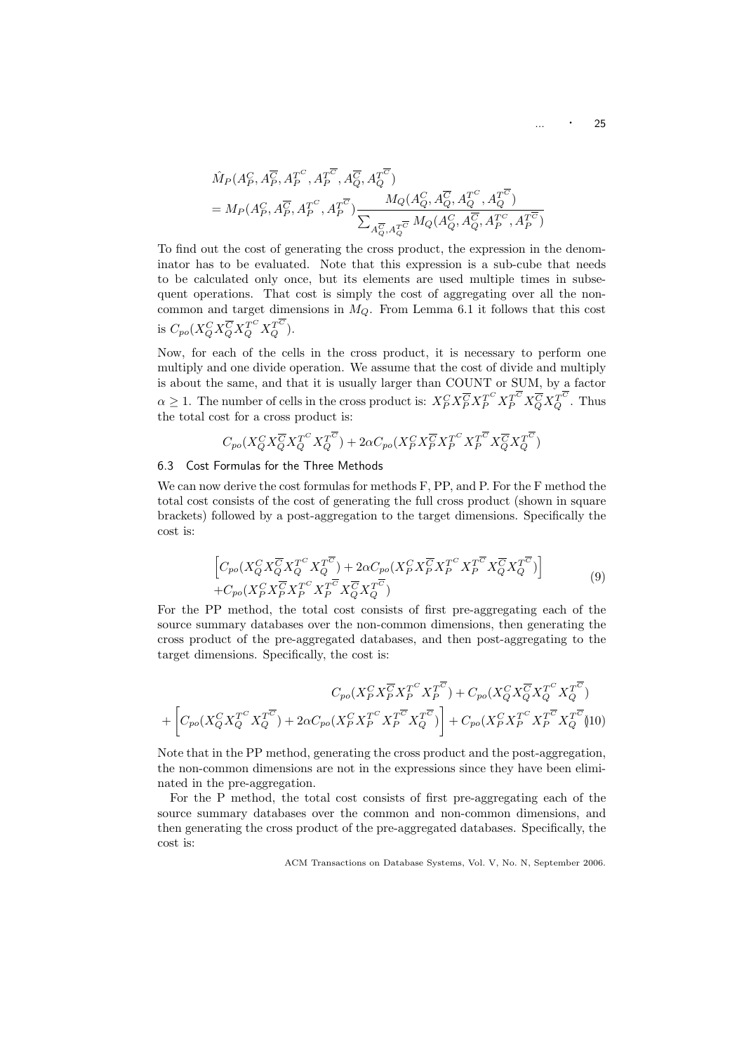$$
\begin{aligned} &\hat{M}_P(A_P^C,A_P^{\overline{C}},A_P^{T^C},A_P^{\overline{C}^{\overline{C}}},A_Q^{\overline{C}},A_Q^{\overline{C}^{\overline{C}}})\\ &=M_P(A_P^C,A_P^{\overline{C}},A_P^{T^C},A_P^{\overline{C}^{\overline{C}}})\frac{M_Q(A_Q^C,A_Q^{\overline{C}},A_Q^{T^C},A_Q^{\overline{C}^{\overline{C}}})}{\sum_{A_Q^{\overline{C}},A_Q^{\overline{C}^{\overline{C}}}}M_Q(A_Q^C,A_Q^{\overline{C}},A_P^{\overline{C}^{\overline{C}}},A_P^{\overline{C}^{\overline{C}}})} \end{aligned}
$$

To find out the cost of generating the cross product, the expression in the denominator has to be evaluated. Note that this expression is a sub-cube that needs to be calculated only once, but its elements are used multiple times in subsequent operations. That cost is simply the cost of aggregating over all the noncommon and target dimensions in  $M_Q$ . From Lemma 6.1 it follows that this cost is  $C_{po}(X_Q^C X_Q^{\overline C} X_Q^{T^C} X_Q^{T^C})$ .

Now, for each of the cells in the cross product, it is necessary to perform one multiply and one divide operation. We assume that the cost of divide and multiply is about the same, and that it is usually larger than COUNT or SUM, by a factor  $\alpha \geq 1$ . The number of cells in the cross product is:  $X_P^C X_P^{\overline{C}} X_P^{T^C} X_P^{\overline{C}} X_Q^{\overline{C}} X_Q^{T^C}$ . Thus the total cost for a cross product is:

$$
C_{po}(X_Q^C X_Q^{\overline{C}} X_Q^{T^C} X_Q^{T^{\overline{C}}})+2\alpha C_{po}(X_P^C X_P^{\overline{C}} X_P^{T^C} X_P^{T^{\overline{C}}} X_Q^{\overline{C}} X_Q^{T^{\overline{C}}})
$$

#### 6.3 Cost Formulas for the Three Methods

We can now derive the cost formulas for methods F, PP, and P. For the F method the total cost consists of the cost of generating the full cross product (shown in square brackets) followed by a post-aggregation to the target dimensions. Specifically the cost is:

$$
\begin{aligned}\n\left[C_{po}(X_Q^C X_Q^{\overline{C}} X_Q^{T^C} X_Q^{T^{\overline{C}}}) + 2\alpha C_{po}(X_P^C X_P^{\overline{C}} X_P^{T^C} X_P^{T^{\overline{C}}} X_Q^{\overline{C}} X_Q^{T^{\overline{C}}})\right] \\
+ C_{po}(X_P^C X_P^{\overline{C}} X_P^{T^C} X_P^{\overline{C}} X_Q^{\overline{C}} X_Q^{\overline{C}})\n\end{aligned} \tag{9}
$$

For the PP method, the total cost consists of first pre-aggregating each of the source summary databases over the non-common dimensions, then generating the cross product of the pre-aggregated databases, and then post-aggregating to the target dimensions. Specifically, the cost is:

$$
C_{po}(X_P^C X_P^{\overline{C}} X_P^{\overline{C}}^C X_P^{\overline{C}}) + C_{po}(X_Q^C X_Q^{\overline{C}} X_Q^{\overline{C}}^C X_Q^{\overline{C}}) + \left[C_{po}(X_Q^C X_Q^{\overline{C}} X_Q^{\overline{C}}^C) + 2\alpha C_{po}(X_P^C X_P^{\overline{C}} X_P^{\overline{C}} X_Q^{\overline{C}}) + C_{po}(X_P^C X_P^{\overline{C}} X_P^{\overline{C}} X_P^{\overline{C}} X_Q^{\overline{C}})
$$

Note that in the PP method, generating the cross product and the post-aggregation, the non-common dimensions are not in the expressions since they have been eliminated in the pre-aggregation.

For the P method, the total cost consists of first pre-aggregating each of the source summary databases over the common and non-common dimensions, and then generating the cross product of the pre-aggregated databases. Specifically, the cost is: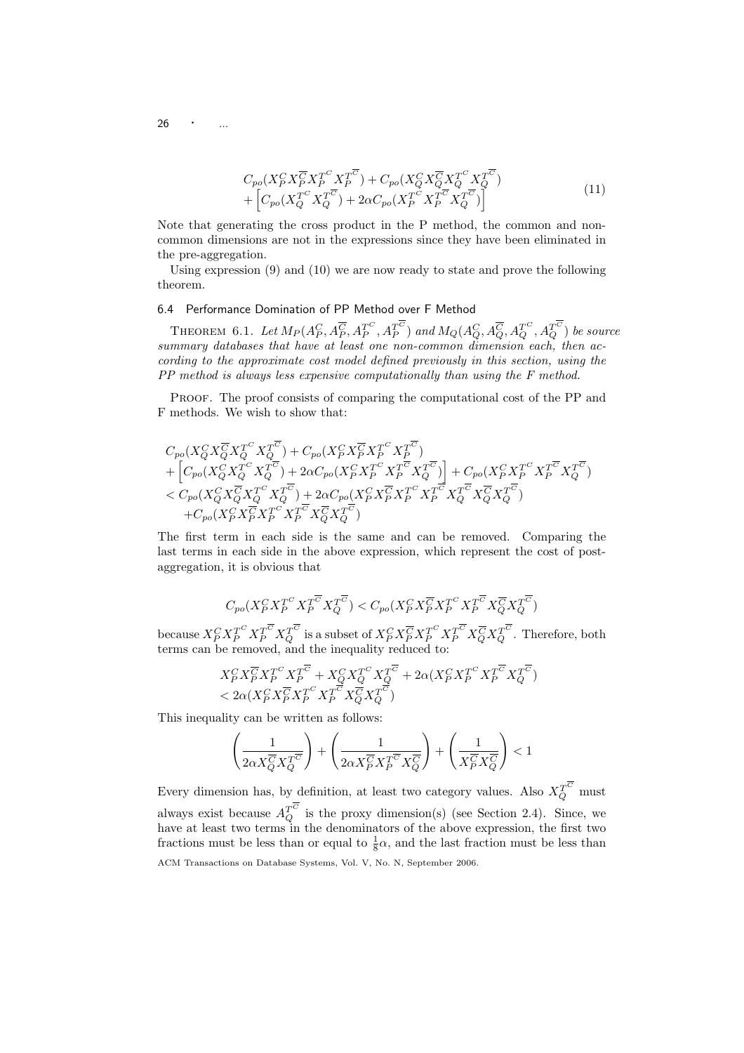26

$$
C_{po}(X_P^C X_P^{\overline{C}} X_P^{T^C} X_P^{T^{\overline{C}}}) + C_{po}(X_Q^C X_Q^{\overline{C}} X_Q^{T^C} X_Q^{T^{\overline{C}}})
$$
  
+ 
$$
\left[C_{po}(X_Q^{T^C} X_Q^{T^{\overline{C}}}) + 2\alpha C_{po}(X_P^{T^C} X_P^{T^{\overline{C}}} X_Q^{T^{\overline{C}}})\right]
$$
(11)

Note that generating the cross product in the P method, the common and noncommon dimensions are not in the expressions since they have been eliminated in the pre-aggregation.

Using expression (9) and (10) we are now ready to state and prove the following theorem.

## 6.4 Performance Domination of PP Method over F Method

THEOREM 6.1. Let  $M_P(A_P^C, A_P^{\overline C}, A_P^{T^C}, A_P^{T^C})$  and  $M_Q(A_Q^C, A_Q^{\overline C}, A_Q^{T^C}, A_Q^{T^C})$  be source summary databases that have at least one non-common dimension each, then according to the approximate cost model defined previously in this section, using the PP method is always less expensive computationally than using the F method.

PROOF. The proof consists of comparing the computational cost of the PP and F methods. We wish to show that:

$$
C_{po}(X_Q^C X_Q^{\overline{C}} X_Q^{\overline{C}} X_Q^{\overline{C}}) + C_{po}(X_P^C X_P^{\overline{C}} X_P^{\overline{C}} X_P^{\overline{C}}) + \left[C_{po}(X_Q^C X_Q^{\overline{C}} X_Q^{\overline{C}}) + 2\alpha C_{po}(X_P^C X_P^{\overline{C}} X_P^{\overline{C}} X_Q^{\overline{C}})\right] + C_{po}(X_P^C X_P^{\overline{C}} X_P^{\overline{C}} X_Q^{\overline{C}}) < C_{po}(X_Q^C X_Q^{\overline{C}} X_Q^{\overline{C}} X_Q^{\overline{C}}) + 2\alpha C_{po}(X_P^C X_P^{\overline{C}} X_P^{\overline{C}} X_P^{\overline{C}} X_P^{\overline{C}} X_Q^{\overline{C}} X_Q^{\overline{C}})
$$
  
+ $C_{po}(X_P^C X_P^{\overline{C}} X_P^{\overline{C}} X_P^{\overline{C}} X_P^{\overline{C}} X_Q^{\overline{C}} X_Q^{\overline{C}})$ 

The first term in each side is the same and can be removed. Comparing the last terms in each side in the above expression, which represent the cost of postaggregation, it is obvious that

$$
C_{po}(X_P^C X_P^{T^C} X_P^{T^{\overline{C}}} X_Q^{T^{\overline{C}}}) < C_{po}(X_P^C X_P^{\overline{C}} X_P^{T^C} X_P^{T^{\overline{C}}} X_Q^{\overline{C}} X_Q^{T^{\overline{C}}})
$$

because  $X_P^C X_P^{T^C} X_Q^{T^C}$  is a subset of  $X_P^C X_P^{\overline C} X_P^{T^C} X_P^{\overline C} X_Q^{\overline C} X_Q^{T^C}$ . Therefore, both terms can be removed, and the inequality reduced to:

$$
\begin{array}{l} X^C_P X^{\overline{C}}_P X^{T^C}_P X^{T^{\overline{C}}}_P + X^C_Q X^{T^C}_Q X^{T^{\overline{C}}}_Q + 2\alpha (X^C_P X^{T^C}_P X^{T^{\overline{C}}}_P X^{T^{\overline{C}}}_Q) \\ < 2\alpha (X^C_P X^{\overline{C}}_P X^{T^C}_P X^{T^{\overline{C}}}_P X^{\overline{C}}_Q X^{T^{\overline{C}}}_Q)\end{array}
$$

This inequality can be written as follows:

$$
\left(\frac{1}{2\alpha X_Q^{\overline{C}}X_Q^{\overline{T^{\overline{C}}}}}\right)+\left(\frac{1}{2\alpha X_P^{\overline{C}}X_P^{\overline{T^{\overline{C}}}}X_Q^{\overline{C}}}\right)+\left(\frac{1}{X_P^{\overline{C}}X_Q^{\overline{C}}}\right)<1
$$

Every dimension has, by definition, at least two category values. Also  $X_Q^{T^C}$  must always exist because  $A_Q^{T^C}$  is the proxy dimension(s) (see Section 2.4). Since, we have at least two terms in the denominators of the above expression, the first two fractions must be less than or equal to  $\frac{1}{8}\alpha$ , and the last fraction must be less than

ACM Transactions on Database Systems, Vol. V, No. N, September 2006.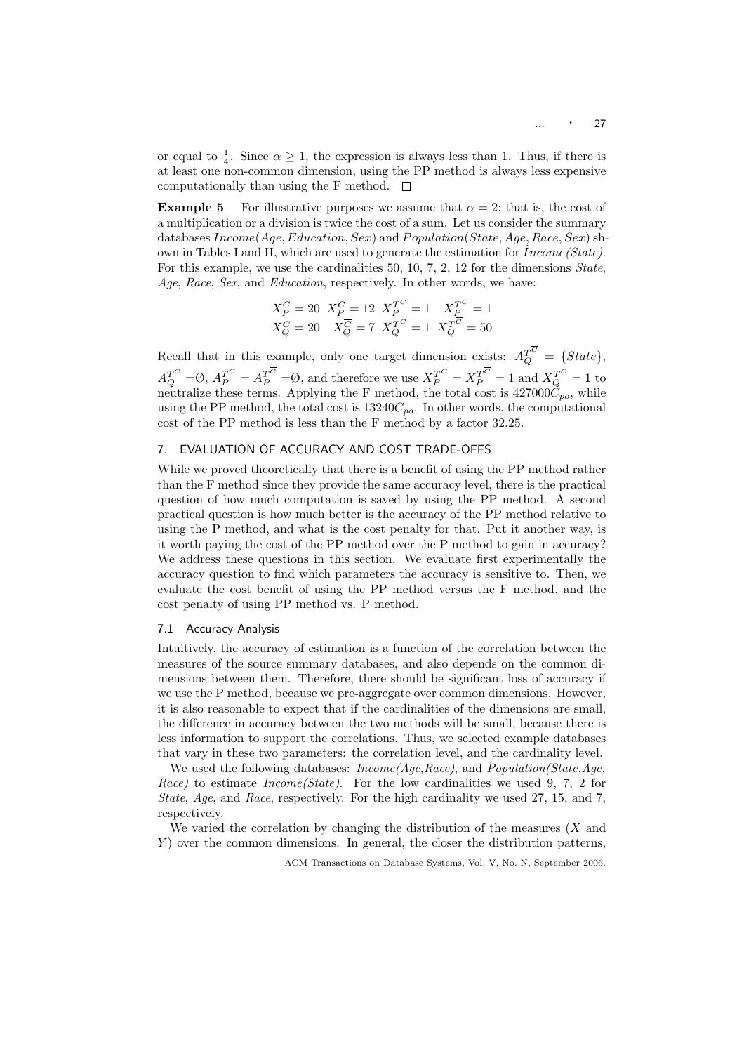or equal to  $\frac{1}{4}$ . Since  $\alpha \geq 1$ , the expression is always less than 1. Thus, if there is at least one non-common dimension, using the PP method is always less expensive computationally than using the F method.  $\square$ 

**Example 5** For illustrative purposes we assume that  $\alpha = 2$ ; that is, the cost of a multiplication or a division is twice the cost of a sum. Let us consider the summary databases  $Income(Age, Education, Sex)$  and  $Population(State, Age, Race, Sex)$  shown in Tables I and II, which are used to generate the estimation for  $Income(State)$ . For this example, we use the cardinalities 50, 10, 7, 2, 12 for the dimensions State, Age, Race, Sex, and Education, respectively. In other words, we have:

$$
X_P^C = 20 \t X_P^{\overline{C}} = 12 \t X_P^{T^C} = 1 \t X_P^{T^C} = 1
$$
  

$$
X_Q^C = 20 \t X_Q^{\overline{C}} = 7 \t X_Q^{T^C} = 1 \t X_Q^{\overline{C}} = 50
$$

Recall that in this example, only one target dimension exists:  $A_Q^{T^C} = \{State\}$ ,  $A_Q^{T^C} = \emptyset$ ,  $A_P^{T^C} = A_P^{T^C} = \emptyset$ , and therefore we use  $X_P^{T^C} = X_P^{T^C} = 1$  and  $X_Q^{T^C} = 1$  to neutralize these terms. Applying the F method, the total cost is  $427000\dot{C}_{po}$ , while using the PP method, the total cost is  $13240C_{po}$ . In other words, the computational cost of the PP method is less than the F method by a factor 32.25.

## 7. EVALUATION OF ACCURACY AND COST TRADE-OFFS

While we proved theoretically that there is a benefit of using the PP method rather than the F method since they provide the same accuracy level, there is the practical question of how much computation is saved by using the PP method. A second practical question is how much better is the accuracy of the PP method relative to using the P method, and what is the cost penalty for that. Put it another way, is it worth paying the cost of the PP method over the P method to gain in accuracy? We address these questions in this section. We evaluate first experimentally the accuracy question to find which parameters the accuracy is sensitive to. Then, we evaluate the cost benefit of using the PP method versus the F method, and the cost penalty of using PP method vs. P method.

#### 7.1 Accuracy Analysis

Intuitively, the accuracy of estimation is a function of the correlation between the measures of the source summary databases, and also depends on the common dimensions between them. Therefore, there should be significant loss of accuracy if we use the P method, because we pre-aggregate over common dimensions. However, it is also reasonable to expect that if the cardinalities of the dimensions are small, the difference in accuracy between the two methods will be small, because there is less information to support the correlations. Thus, we selected example databases that vary in these two parameters: the correlation level, and the cardinality level.

We used the following databases: *Income*(Age, Race), and *Population*(State, Age, Race) to estimate  $Income(State)$ . For the low cardinalities we used 9, 7, 2 for State, Age, and Race, respectively. For the high cardinality we used 27, 15, and 7, respectively.

We varied the correlation by changing the distribution of the measures  $(X \text{ and } Y)$  $Y$ ) over the common dimensions. In general, the closer the distribution patterns,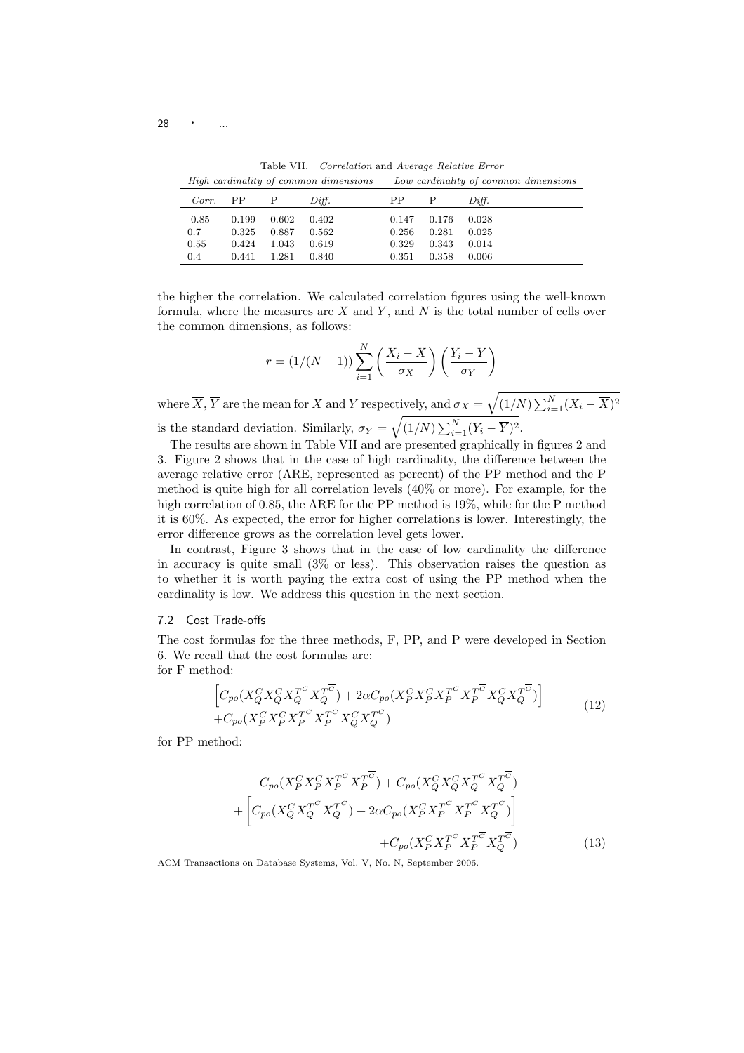Table VII. Correlation and Average Relative Error

|            |       |              | High cardinality of common dimensions |           |              | Low cardinality of common dimensions |
|------------|-------|--------------|---------------------------------------|-----------|--------------|--------------------------------------|
| $Corr.$ PP |       | $\mathbf{P}$ | Diff.                                 | <b>PP</b> | $\mathbf{P}$ | Diff.                                |
| 0.85       | 0.199 | 0.602        | 0.402                                 | 0.147     | 0.176        | 0.028                                |
| 0.7        | 0.325 | 0.887        | 0.562                                 | 0.256     | 0.281        | 0.025                                |
| 0.55       | 0.424 | 1.043        | 0.619                                 | 0.329     | 0.343        | 0.014                                |
| 0.4        | 0.441 | 1.281        | 0.840                                 | 0.351     | 0.358        | 0.006                                |

the higher the correlation. We calculated correlation figures using the well-known formula, where the measures are  $X$  and  $Y$ , and  $N$  is the total number of cells over the common dimensions, as follows:

$$
r = (1/(N-1)) \sum_{i=1}^{N} \left( \frac{X_i - \overline{X}}{\sigma_X} \right) \left( \frac{Y_i - \overline{Y}}{\sigma_Y} \right)
$$

where  $\overline{X}$ ,  $\overline{Y}$  are the mean for X and Y respectively, and  $\sigma_X =$  $\overline{(1/N)\sum_{i=1}^N(X_i-\overline{X})^2}$ is the standard deviation. Similarly,  $\sigma_Y =$  $\frac{1}{\sqrt{2}}$  $\overline{(1/N)\sum_{i=1}^N(Y_i-\overline{Y})^2}.$ 

The results are shown in Table VII and are presented graphically in figures 2 and 3. Figure 2 shows that in the case of high cardinality, the difference between the average relative error (ARE, represented as percent) of the PP method and the P method is quite high for all correlation levels (40% or more). For example, for the high correlation of 0.85, the ARE for the PP method is 19%, while for the P method it is 60%. As expected, the error for higher correlations is lower. Interestingly, the error difference grows as the correlation level gets lower.

In contrast, Figure 3 shows that in the case of low cardinality the difference in accuracy is quite small (3% or less). This observation raises the question as to whether it is worth paying the extra cost of using the PP method when the cardinality is low. We address this question in the next section.

#### 7.2 Cost Trade-offs

The cost formulas for the three methods, F, PP, and P were developed in Section 6. We recall that the cost formulas are:

for F method:

$$
\begin{aligned}\n\left[C_{po}(X_Q^C X_Q^{\overline{C}} X_Q^{T^C} X_Q^{T^{\overline{C}}}) + 2\alpha C_{po}(X_P^C X_P^{\overline{C}} X_P^{T^C} X_P^{T^{\overline{C}}} X_Q^{\overline{C}} X_Q^{T^{\overline{C}}})\right] \\
+ C_{po}(X_P^C X_P^{\overline{C}} X_P^{T^C} X_P^{T^{\overline{C}}} X_Q^{\overline{C}} X_Q^{T^{\overline{C}}})\n\end{aligned} \tag{12}
$$

for PP method:

$$
C_{po}(X_Q^C X_P^{\overline{C}} X_P^{T^C} X_P^{\overline{C}}) + C_{po}(X_Q^C X_Q^{\overline{C}} X_Q^{T^C} X_Q^{\overline{C}})
$$
  
+ 
$$
\left[C_{po}(X_Q^C X_Q^{T^C} X_Q^{\overline{C}}) + 2\alpha C_{po}(X_P^C X_P^{T^C} X_P^{\overline{C}} X_Q^{\overline{C}})\right]
$$
  
+ 
$$
C_{po}(X_P^C X_P^{T^C} X_P^{\overline{C}} X_Q^{\overline{C}})
$$
(13)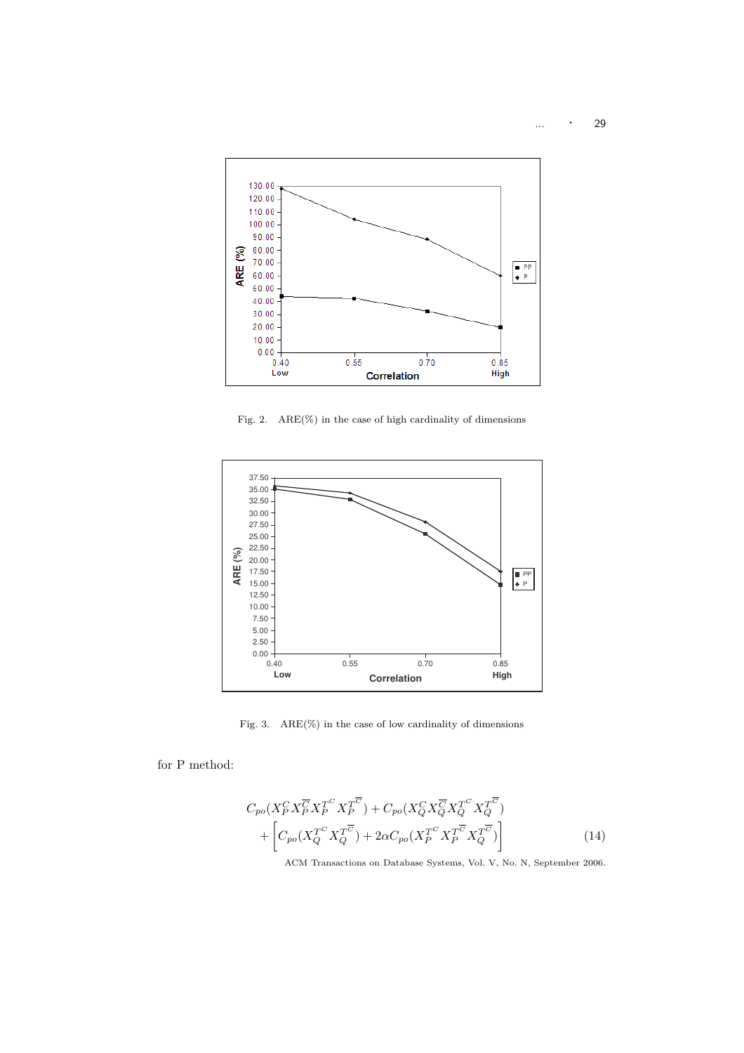

Fig. 2. ARE(%) in the case of high cardinality of dimensions



Fig. 3. ARE(%) in the case of low cardinality of dimensions

for P method:

$$
C_{po}(X_P^C X_P^{\overline{C}} X_P^{T^C} X_P^{\overline{C}}) + C_{po}(X_Q^C X_Q^{\overline{C}} X_Q^{\overline{C}} X_Q^{\overline{C}})
$$

$$
+ \left[ C_{po}(X_Q^{T^C} X_Q^{\overline{C}}) + 2\alpha C_{po}(X_P^{T^C} X_P^{\overline{C}} X_Q^{\overline{C}}) \right]
$$
(14)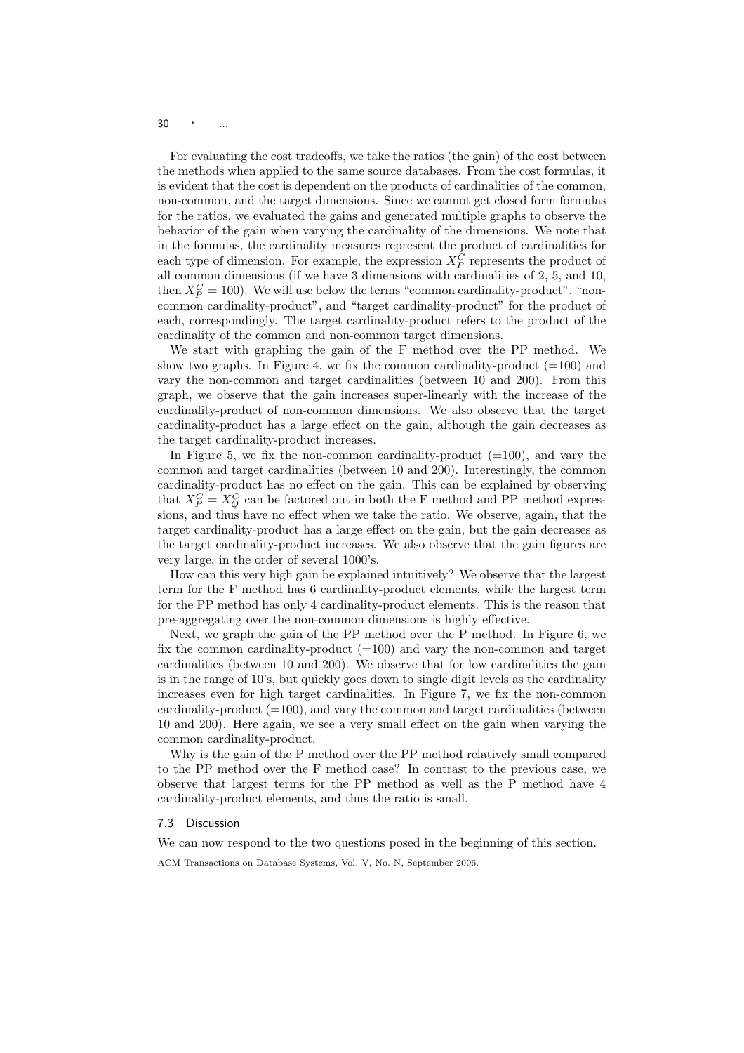$30 \qquad \cdot \qquad ...$ 

For evaluating the cost tradeoffs, we take the ratios (the gain) of the cost between the methods when applied to the same source databases. From the cost formulas, it is evident that the cost is dependent on the products of cardinalities of the common, non-common, and the target dimensions. Since we cannot get closed form formulas for the ratios, we evaluated the gains and generated multiple graphs to observe the behavior of the gain when varying the cardinality of the dimensions. We note that in the formulas, the cardinality measures represent the product of cardinalities for each type of dimension. For example, the expression  $X_P^C$  represents the product of all common dimensions (if we have 3 dimensions with cardinalities of 2, 5, and 10, then  $X_P^C = 100$ ). We will use below the terms "common cardinality-product", "noncommon cardinality-product", and "target cardinality-product" for the product of each, correspondingly. The target cardinality-product refers to the product of the cardinality of the common and non-common target dimensions.

We start with graphing the gain of the F method over the PP method. We show two graphs. In Figure 4, we fix the common cardinality-product  $(=100)$  and vary the non-common and target cardinalities (between 10 and 200). From this graph, we observe that the gain increases super-linearly with the increase of the cardinality-product of non-common dimensions. We also observe that the target cardinality-product has a large effect on the gain, although the gain decreases as the target cardinality-product increases.

In Figure 5, we fix the non-common cardinality-product  $(=100)$ , and vary the common and target cardinalities (between 10 and 200). Interestingly, the common cardinality-product has no effect on the gain. This can be explained by observing that  $X_P^C = X_Q^C$  can be factored out in both the F method and PP method expressions, and thus have no effect when we take the ratio. We observe, again, that the target cardinality-product has a large effect on the gain, but the gain decreases as the target cardinality-product increases. We also observe that the gain figures are very large, in the order of several 1000's.

How can this very high gain be explained intuitively? We observe that the largest term for the F method has 6 cardinality-product elements, while the largest term for the PP method has only 4 cardinality-product elements. This is the reason that pre-aggregating over the non-common dimensions is highly effective.

Next, we graph the gain of the PP method over the P method. In Figure 6, we fix the common cardinality-product  $(=100)$  and vary the non-common and target cardinalities (between 10 and 200). We observe that for low cardinalities the gain is in the range of 10's, but quickly goes down to single digit levels as the cardinality increases even for high target cardinalities. In Figure 7, we fix the non-common cardinality-product  $(=100)$ , and vary the common and target cardinalities (between 10 and 200). Here again, we see a very small effect on the gain when varying the common cardinality-product.

Why is the gain of the P method over the PP method relatively small compared to the PP method over the F method case? In contrast to the previous case, we observe that largest terms for the PP method as well as the P method have 4 cardinality-product elements, and thus the ratio is small.

#### 7.3 Discussion

We can now respond to the two questions posed in the beginning of this section.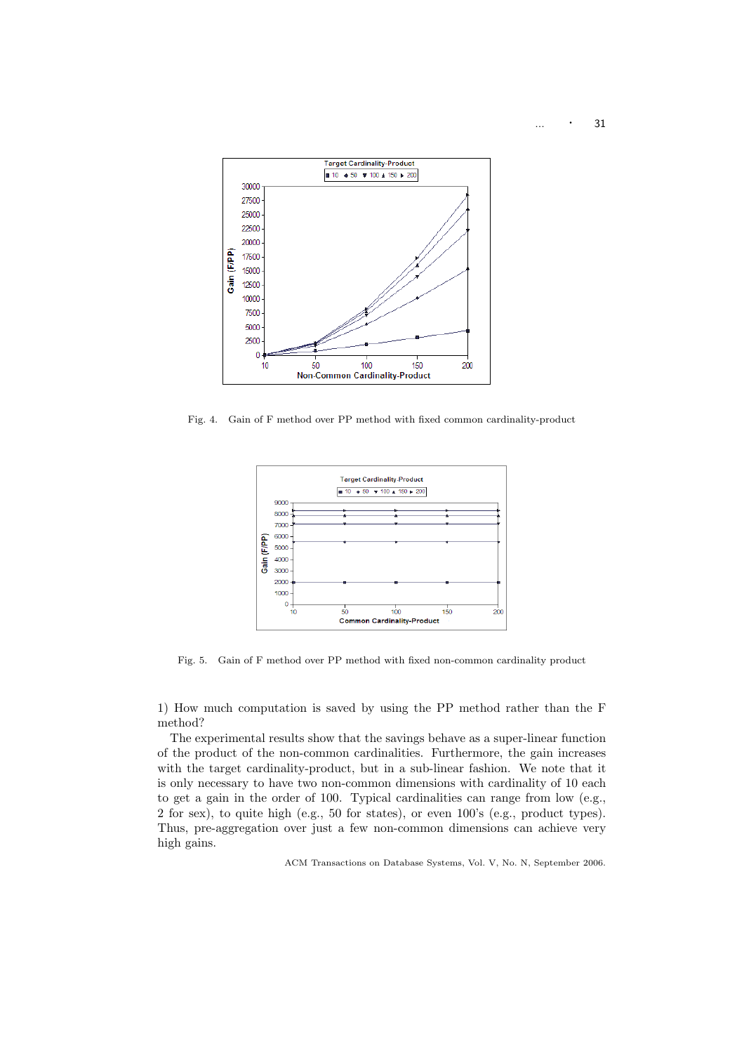... · <sup>31</sup>



Fig. 4. Gain of F method over PP method with fixed common cardinality-product



Fig. 5. Gain of F method over PP method with fixed non-common cardinality product

1) How much computation is saved by using the PP method rather than the F method?

The experimental results show that the savings behave as a super-linear function of the product of the non-common cardinalities. Furthermore, the gain increases with the target cardinality-product, but in a sub-linear fashion. We note that it is only necessary to have two non-common dimensions with cardinality of 10 each to get a gain in the order of 100. Typical cardinalities can range from low (e.g., 2 for sex), to quite high (e.g., 50 for states), or even 100's (e.g., product types). Thus, pre-aggregation over just a few non-common dimensions can achieve very high gains.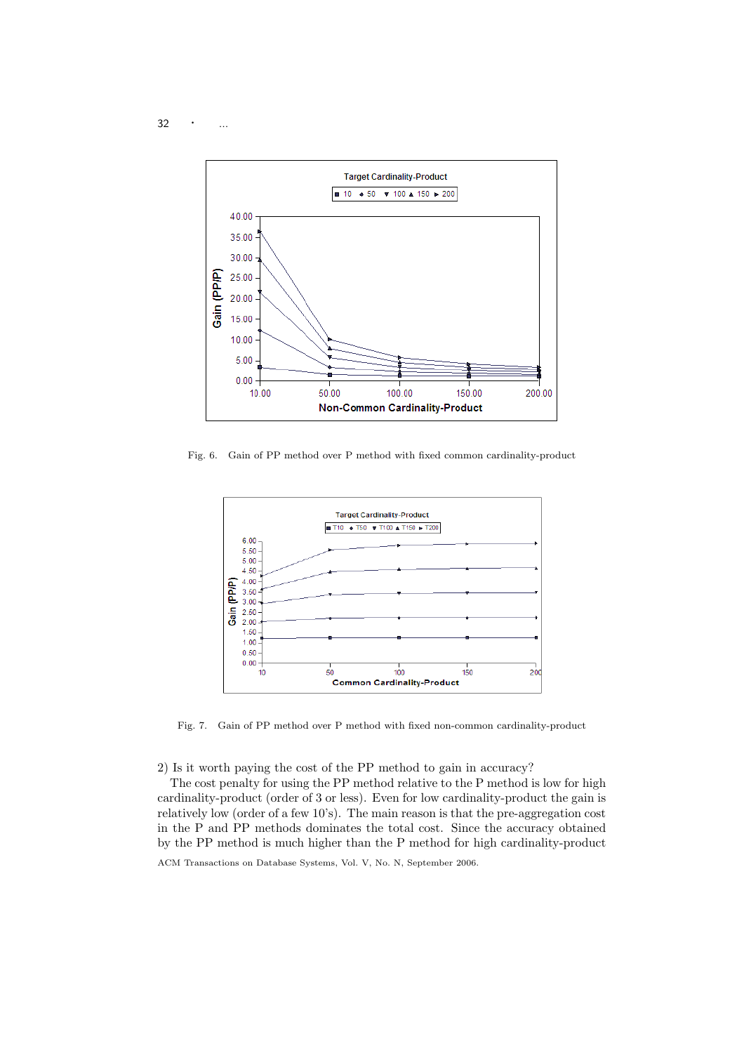$32 \cdot \cdot \cdot \cdot \dots$ 



Fig. 6. Gain of PP method over P method with fixed common cardinality-product



Fig. 7. Gain of PP method over P method with fixed non-common cardinality-product

2) Is it worth paying the cost of the PP method to gain in accuracy?

The cost penalty for using the PP method relative to the P method is low for high cardinality-product (order of 3 or less). Even for low cardinality-product the gain is relatively low (order of a few 10's). The main reason is that the pre-aggregation cost in the P and PP methods dominates the total cost. Since the accuracy obtained by the PP method is much higher than the P method for high cardinality-product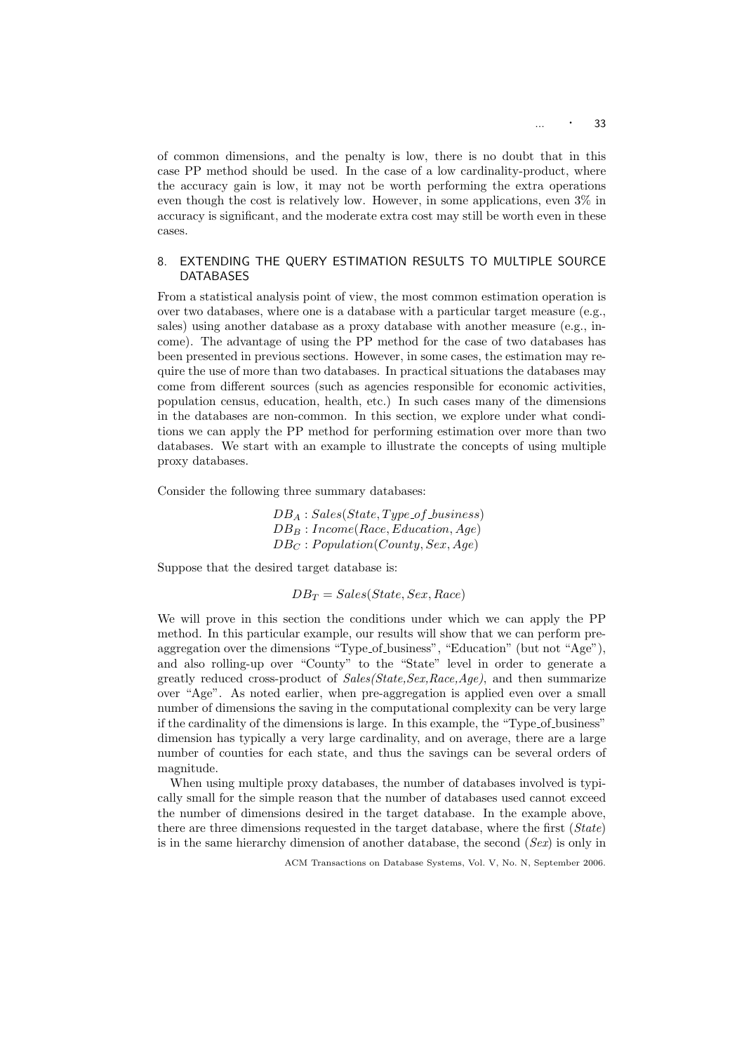of common dimensions, and the penalty is low, there is no doubt that in this case PP method should be used. In the case of a low cardinality-product, where the accuracy gain is low, it may not be worth performing the extra operations even though the cost is relatively low. However, in some applications, even 3% in accuracy is significant, and the moderate extra cost may still be worth even in these cases.

## 8. EXTENDING THE QUERY ESTIMATION RESULTS TO MULTIPLE SOURCE DATABASES

From a statistical analysis point of view, the most common estimation operation is over two databases, where one is a database with a particular target measure (e.g., sales) using another database as a proxy database with another measure (e.g., income). The advantage of using the PP method for the case of two databases has been presented in previous sections. However, in some cases, the estimation may require the use of more than two databases. In practical situations the databases may come from different sources (such as agencies responsible for economic activities, population census, education, health, etc.) In such cases many of the dimensions in the databases are non-common. In this section, we explore under what conditions we can apply the PP method for performing estimation over more than two databases. We start with an example to illustrate the concepts of using multiple proxy databases.

Consider the following three summary databases:

 $DB_A : Sales(State, Type_of_business)$  $DB_B: Income(Race, Education, Age)$  $DB_C$ : Population(County, Sex, Age)

Suppose that the desired target database is:

$$
DB_T = Sales(State, Sex, Race)
$$

We will prove in this section the conditions under which we can apply the PP method. In this particular example, our results will show that we can perform preaggregation over the dimensions "Type of business", "Education" (but not "Age"), and also rolling-up over "County" to the "State" level in order to generate a greatly reduced cross-product of Sales(State,Sex,Race,Age), and then summarize over "Age". As noted earlier, when pre-aggregation is applied even over a small number of dimensions the saving in the computational complexity can be very large if the cardinality of the dimensions is large. In this example, the "Type<sub>-Of-</sub>business" dimension has typically a very large cardinality, and on average, there are a large number of counties for each state, and thus the savings can be several orders of magnitude.

When using multiple proxy databases, the number of databases involved is typically small for the simple reason that the number of databases used cannot exceed the number of dimensions desired in the target database. In the example above, there are three dimensions requested in the target database, where the first (State) is in the same hierarchy dimension of another database, the second  $(Sex)$  is only in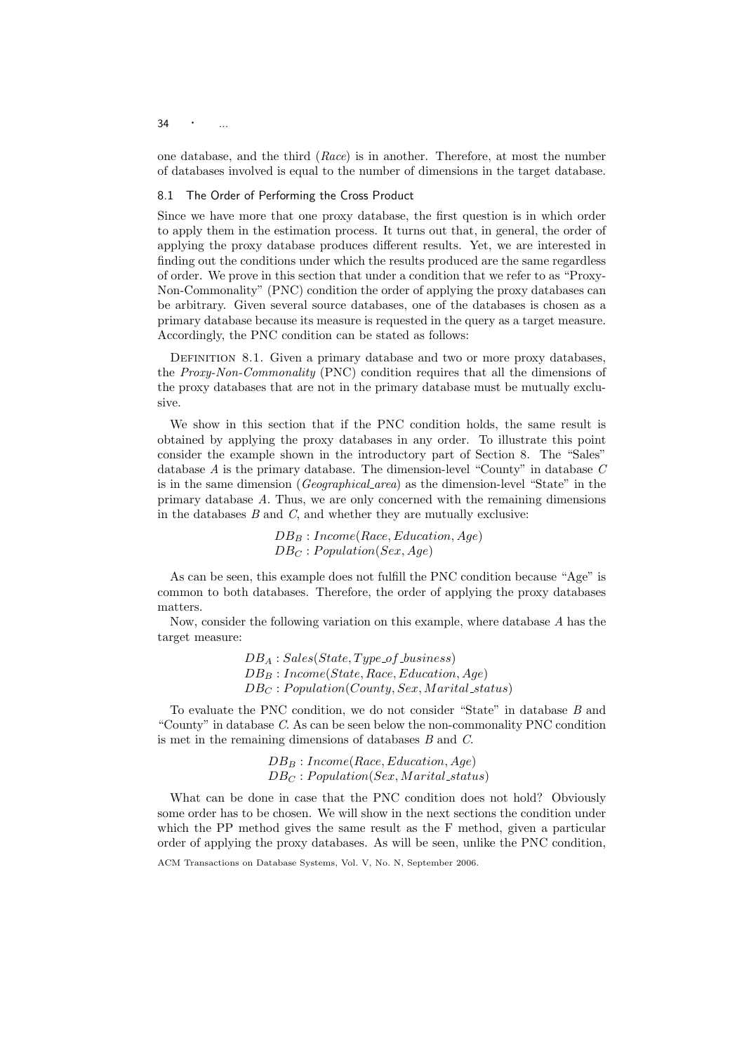$34 \cdot \cdot \cdot \cdot$ 

one database, and the third (Race) is in another. Therefore, at most the number of databases involved is equal to the number of dimensions in the target database.

#### 8.1 The Order of Performing the Cross Product

Since we have more that one proxy database, the first question is in which order to apply them in the estimation process. It turns out that, in general, the order of applying the proxy database produces different results. Yet, we are interested in finding out the conditions under which the results produced are the same regardless of order. We prove in this section that under a condition that we refer to as "Proxy-Non-Commonality" (PNC) condition the order of applying the proxy databases can be arbitrary. Given several source databases, one of the databases is chosen as a primary database because its measure is requested in the query as a target measure. Accordingly, the PNC condition can be stated as follows:

DEFINITION 8.1. Given a primary database and two or more proxy databases, the Proxy-Non-Commonality (PNC) condition requires that all the dimensions of the proxy databases that are not in the primary database must be mutually exclusive.

We show in this section that if the PNC condition holds, the same result is obtained by applying the proxy databases in any order. To illustrate this point consider the example shown in the introductory part of Section 8. The "Sales" database A is the primary database. The dimension-level "County" in database C is in the same dimension (Geographical area) as the dimension-level "State" in the primary database A. Thus, we are only concerned with the remaining dimensions in the databases  $B$  and  $C$ , and whether they are mutually exclusive:

> $DB_B: Income(Race, Education, Age)$  $DB_C$ : Population(Sex, Age)

As can be seen, this example does not fulfill the PNC condition because "Age" is common to both databases. Therefore, the order of applying the proxy databases matters.

Now, consider the following variation on this example, where database A has the target measure:

> $DB_A : Sales(State, Type of\_business)$  $DB_B: Income(State, Race, Education, Age)$  $DB_C : Population(Country, Sex, Marital\_status)$

To evaluate the PNC condition, we do not consider "State" in database B and "County" in database C. As can be seen below the non-commonality PNC condition is met in the remaining dimensions of databases B and C.

> $DB_B: Income(Race, Education, Age)$  $DB_C : Population(Sex, Marital\_status)$

What can be done in case that the PNC condition does not hold? Obviously some order has to be chosen. We will show in the next sections the condition under which the PP method gives the same result as the F method, given a particular order of applying the proxy databases. As will be seen, unlike the PNC condition,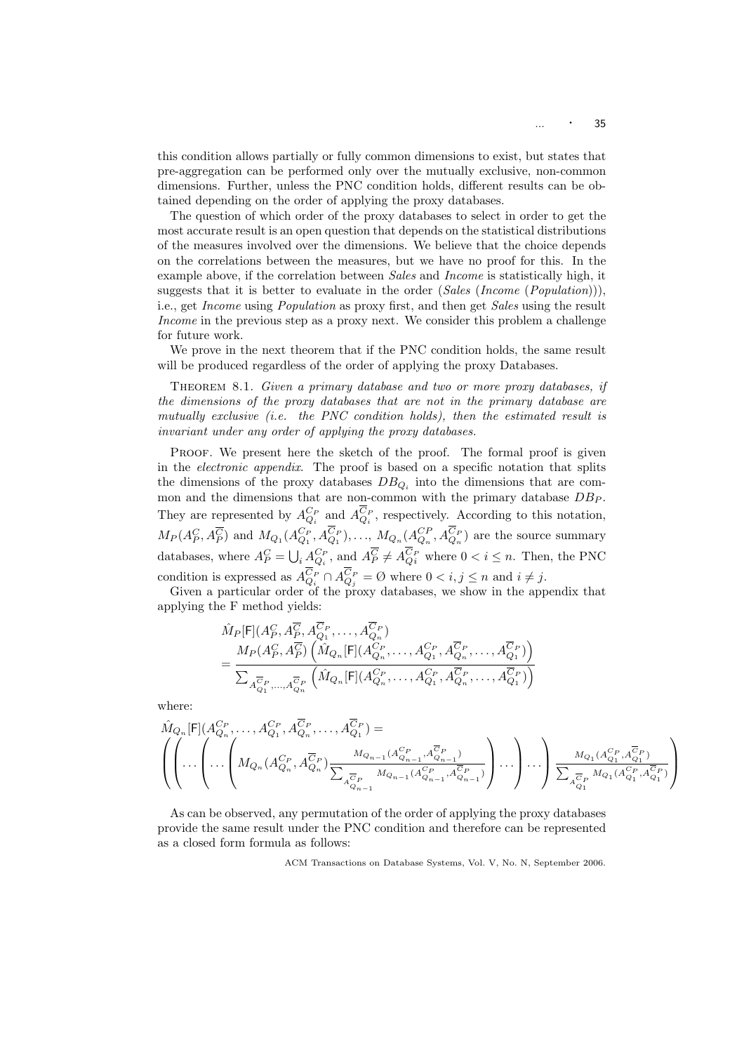this condition allows partially or fully common dimensions to exist, but states that pre-aggregation can be performed only over the mutually exclusive, non-common dimensions. Further, unless the PNC condition holds, different results can be obtained depending on the order of applying the proxy databases.

The question of which order of the proxy databases to select in order to get the most accurate result is an open question that depends on the statistical distributions of the measures involved over the dimensions. We believe that the choice depends on the correlations between the measures, but we have no proof for this. In the example above, if the correlation between Sales and Income is statistically high, it suggests that it is better to evaluate in the order  $(Sales (Income (Population))),$ i.e., get Income using Population as proxy first, and then get Sales using the result Income in the previous step as a proxy next. We consider this problem a challenge for future work.

We prove in the next theorem that if the PNC condition holds, the same result will be produced regardless of the order of applying the proxy Databases.

THEOREM 8.1. Given a primary database and two or more proxy databases, if the dimensions of the proxy databases that are not in the primary database are mutually exclusive (i.e. the PNC condition holds), then the estimated result is invariant under any order of applying the proxy databases.

Proof. We present here the sketch of the proof. The formal proof is given in the electronic appendix. The proof is based on a specific notation that splits the dimensions of the proxy databases  $DB_{Q_i}$  into the dimensions that are common and the dimensions that are non-common with the primary database  $DB_P$ . They are represented by  $A_{Q_i}^{C_P}$  and  $A_{Q_i}^{C_P}$ , respectively. According to this notation,  $M_P(A_P^C, A_P^{\overline{C}})$  and  $M_{Q_1}(A_{Q_1}^{C_P}, A_{Q_1}^{C_P}), \ldots, M_{Q_n}(A_{Q_n}^{C_P}, A_{Q_n}^{C_P})$  are the source summary databases, where  $A_P^C = \bigcup_i A_{Q_i}^{C_P}$ , and  $A_P^{\overline{C}} \neq A_{Q_i}^{\overline{C}_P}$  where  $0 < i \leq n$ . Then, the PNC condition is expressed as  $A_{Q_i}^{C_P} \cap A_{Q_j}^{C_P} = \emptyset$  where  $0 < i, j \leq n$  and  $i \neq j$ .

Given a particular order of the proxy databases, we show in the appendix that applying the F method yields:

$$
\hat{M}_{P}[\mathsf{F}](A_{P}^{C}, A_{P}^{\overline{C}}, A_{Q_{1}}^{\overline{C}_{P}}, \dots, A_{Q_{n}}^{\overline{C}_{P}})
$$
\n
$$
= \frac{M_{P}(A_{P}^{C}, A_{P}^{\overline{C}})\left(\hat{M}_{Q_{n}}[\mathsf{F}](A_{Q_{n}}^{C_{P}}, \dots, A_{Q_{1}}^{C_{P}}, A_{Q_{n}}^{\overline{C}_{P}}, \dots, A_{Q_{1}}^{\overline{C}_{P}})\right)}{\sum_{A_{Q_{1}}^{\overline{C}_{P}}, \dots, A_{Q_{n}}^{\overline{C}_{P}}}\left(\hat{M}_{Q_{n}}[\mathsf{F}](A_{Q_{n}}^{C_{P}}, \dots, A_{Q_{1}}^{C_{P}}, A_{Q_{n}}^{\overline{C}_{P}}, \dots, A_{Q_{1}}^{\overline{C}_{P}})\right)}
$$

where:

$$
\hat{M}_{Q_n}[\mathsf{F}](A_{Q_n}^{C_P}, \dots, A_{Q_1}^{C_P}, A_{Q_n}^{\overline{C}_P}, \dots, A_{Q_1}^{\overline{C}_P}) = \left( \left( \dots \left( M_{Q_n}(A_{Q_n}^{C_P}, A_{Q_n}^{\overline{C}_P}) \frac{M_{Q_{n-1}}(A_{Q_{n-1}}^{C_P}, A_{Q_{n-1}}^{\overline{C}_P})}{\sum_{A_{Q_{n-1}}^{\overline{C}_P}} M_{Q_{n-1}}(A_{Q_{n-1}}^{C_P}, A_{Q_{n-1}}^{\overline{C}_P})} \right) \dots \right) \dots \right) \frac{M_{Q_1}(A_{Q_1}^{C_P}, A_{Q_1}^{\overline{C}_P})}{\sum_{A_{Q_1}^{\overline{C}_P}} M_{Q_1}(A_{Q_1}^{C_P}, A_{Q_1}^{\overline{C}_P})} \right)
$$

As can be observed, any permutation of the order of applying the proxy databases provide the same result under the PNC condition and therefore can be represented as a closed form formula as follows:

ACM Transactions on Database Systems, Vol. V, No. N, September 2006.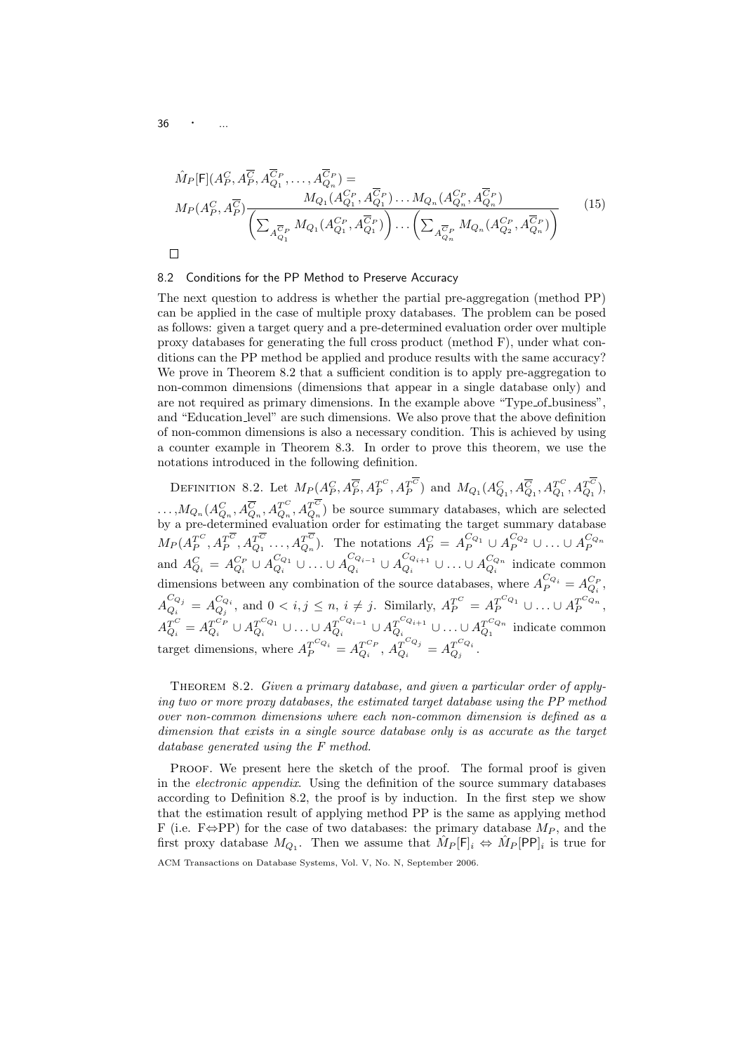$$
\hat{M}_{P}[\mathsf{F}](A_{P}^{C}, A_{P}^{\overline{C}}, A_{Q_{1}}^{\overline{C}_{P}}, \dots, A_{Q_{n}}^{\overline{C}_{P}}) =
$$
\n
$$
M_{P}(A_{P}^{C}, A_{P}^{\overline{C}}) \frac{M_{Q_{1}}(A_{Q_{1}}^{C_{P}}, A_{Q_{1}}^{\overline{C}_{P}}) \dots M_{Q_{n}}(A_{Q_{n}}^{C_{P}}, A_{Q_{n}}^{\overline{C}_{P}})}{\left(\sum_{A_{Q_{1}}^{\overline{C}_{P}}} M_{Q_{1}}(A_{Q_{1}}^{C_{P}}, A_{Q_{1}}^{\overline{C}_{P}})\right) \dots \left(\sum_{A_{Q_{n}}^{\overline{C}_{P}}} M_{Q_{n}}(A_{Q_{2}}^{C_{P}}, A_{Q_{n}}^{\overline{C}_{P}})\right)}
$$
\n
$$
\Box
$$
\n(15)

#### 8.2 Conditions for the PP Method to Preserve Accuracy

The next question to address is whether the partial pre-aggregation (method PP) can be applied in the case of multiple proxy databases. The problem can be posed as follows: given a target query and a pre-determined evaluation order over multiple proxy databases for generating the full cross product (method F), under what conditions can the PP method be applied and produce results with the same accuracy? We prove in Theorem 8.2 that a sufficient condition is to apply pre-aggregation to non-common dimensions (dimensions that appear in a single database only) and are not required as primary dimensions. In the example above "Type<sub>-of-business</sub>", and "Education level" are such dimensions. We also prove that the above definition of non-common dimensions is also a necessary condition. This is achieved by using a counter example in Theorem 8.3. In order to prove this theorem, we use the notations introduced in the following definition.

DEFINITION 8.2. Let  $M_P(A_P^C, A_P^{\overline{C}}, A_P^{T^C}, A_P^{T^C})$  and  $M_{Q_1}(A_{Q_1}^C, A_{Q_1}^{\overline{C}}, A_{Q_1}^{T^C}, A_{Q_1}^{T^C})$ ,  $\ldots$ ,  $M_{Q_n}(A_{Q_n}^C, A_{Q_n}^{\overline{C}}, A_{Q_n}^{T^C}, A_{Q_n}^{T^C})$  be source summary databases, which are selected by a pre-determined evaluation order for estimating the target summary database  $M_P(A_P^{T^C}, A_P^{T^{\overline{C}}}, A_{Q_1}^{T^{\overline{C}}}, \ldots, A_{Q_n}^{T^{\overline{C}}})$ . The notations  $A_P^C = A_P^{C_{Q_1}} \cup A_P^{C_{Q_2}} \cup \ldots \cup A_P^{C_{Q_n}}$ and  $A_{Q_i}^C = A_{Q_i}^{C_P} \cup A_{Q_i}^{C_{Q_i}} \cup ... \cup A_{Q_i}^{C_{Q_{i-1}}}$  ${}^{C_{Q_{i-1}}}_{Q_i} \cup A_{Q_i}^{C_{Q_{i+1}}}$  $\begin{smallmatrix} C_{Q_{i+1}} \ Q_i \end{smallmatrix} \cup \ldots \cup A_{Q_i}^{C_{Q_n}} \text{ indicate common}$ dimensions between any combination of the source databases, where  $A_P^{C_{Q_i}} = A_{Q_i}^{C_P}$ ,  $A_{\Omega}^{C_{Q_j}}$  $C_{Q_j}^{C_{Q_j}} = A_{Q_j}^{C_{Q_i}}$ , and  $0 < i, j \leq n, i \neq j$ . Similarly,  $A_P^{T^C} = A_P^{T^{C_{Q_1}}} \cup ... \cup A_P^{T^{C_{Q_n}}},$  $A_{Q_i}^{T^C} = A_{Q_i}^{T^{C_P}} \cup A_{Q_i}^{T^{C_{Q_1}}}$  $q_i^{C_{Q_1}} \cup ... \cup A_{Q_i}^{T^{C_{Q_{i-1}}}}$  $q_i^{C_{Q_{i-1}}} \cup A_{Q_i}^{T^{C_{Q_{i+1}}}}$  $\frac{T^{C_{Q_{i+1}}}}{Q_i} \cup \ldots \cup A_{Q_1}^{T^{C_{Q_n}}}$  $q_1^{\text{CQ}_n}$  indicate common target dimensions, where  $A_P^{T^{C_{Q_i}}} = A_{Q_i}^{T^{C_P}}, A_{Q_i}^{T^{C_{Q_j}}} = A_{Q_j}^{T^{C_{Q_i}}}$  $\frac{T}{Q_j}^{\omega_{\bm i}}$  .

Theorem 8.2. Given a primary database, and given a particular order of applying two or more proxy databases, the estimated target database using the PP method over non-common dimensions where each non-common dimension is defined as a dimension that exists in a single source database only is as accurate as the target database generated using the F method.

Proof. We present here the sketch of the proof. The formal proof is given in the electronic appendix. Using the definition of the source summary databases according to Definition 8.2, the proof is by induction. In the first step we show that the estimation result of applying method PP is the same as applying method F (i.e. F $\Leftrightarrow$ PP) for the case of two databases: the primary database  $M_P$ , and the first proxy database  $M_{Q_1}$ . Then we assume that  $\hat{M}_P[F]_i \Leftrightarrow \hat{M}_P[PP]_i$  is true for ACM Transactions on Database Systems, Vol. V, No. N, September 2006.

 $36 \qquad \qquad \ldots$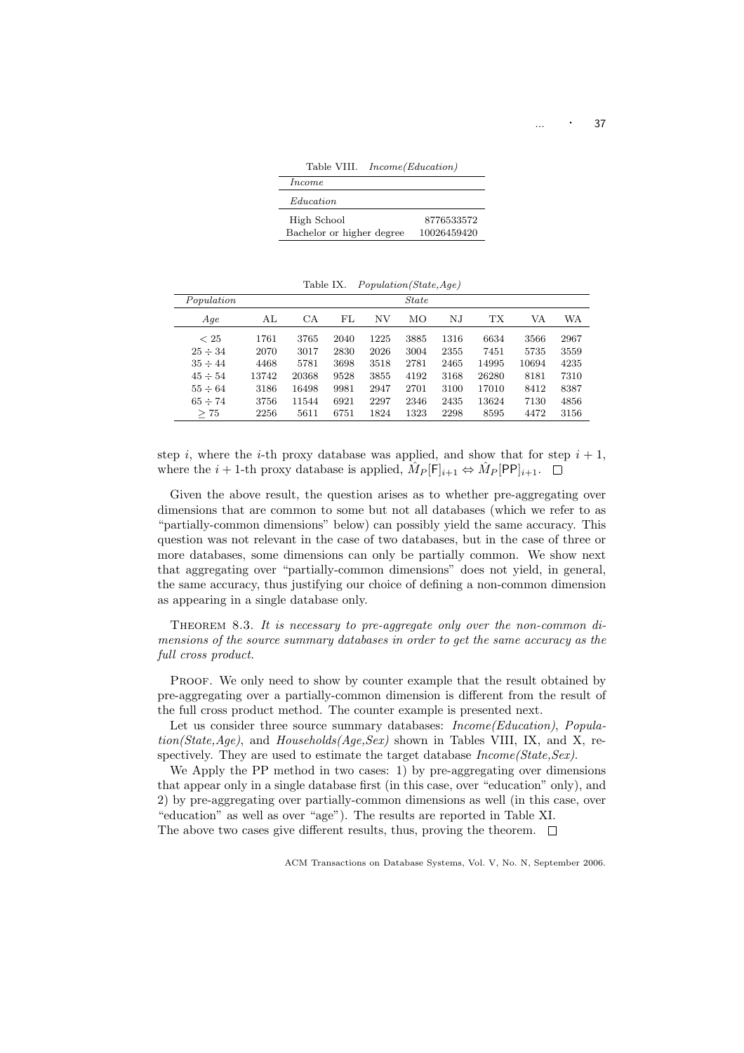Table VIII. Income(Education)

| <i>Income</i>             |             |
|---------------------------|-------------|
| <i>Education</i>          |             |
| High School               | 8776533572  |
| Bachelor or higher degree | 10026459420 |

Table IX. Population(State,Age)

| Population   |       |       |      |      | <i>State</i> |      |       |       |      |
|--------------|-------|-------|------|------|--------------|------|-------|-------|------|
| Aqe          | ΑL    | СA    | FL   | ΝV   | ΜО           | ΝJ   | TХ    | VA    | WA   |
| < 25         | 1761  | 3765  | 2040 | 1225 | 3885         | 1316 | 6634  | 3566  | 2967 |
| $25 \div 34$ | 2070  | 3017  | 2830 | 2026 | 3004         | 2355 | 7451  | 5735  | 3559 |
| $35 \div 44$ | 4468  | 5781  | 3698 | 3518 | 2781         | 2465 | 14995 | 10694 | 4235 |
| $45 \div 54$ | 13742 | 20368 | 9528 | 3855 | 4192         | 3168 | 26280 | 8181  | 7310 |
| $55 \div 64$ | 3186  | 16498 | 9981 | 2947 | 2701         | 3100 | 17010 | 8412  | 8387 |
| $65 \div 74$ | 3756  | 11544 | 6921 | 2297 | 2346         | 2435 | 13624 | 7130  | 4856 |
| >75          | 2256  | 5611  | 6751 | 1824 | 1323         | 2298 | 8595  | 4472  | 3156 |

step i, where the i-th proxy database was applied, and show that for step  $i + 1$ , where the  $i+1$ -th proxy database is applied,  $\hat{M}_P[\mathsf{F}]_{i+1} \Leftrightarrow \hat{M}_P[\mathsf{PP}]_{i+1}$ .

Given the above result, the question arises as to whether pre-aggregating over dimensions that are common to some but not all databases (which we refer to as "partially-common dimensions" below) can possibly yield the same accuracy. This question was not relevant in the case of two databases, but in the case of three or more databases, some dimensions can only be partially common. We show next that aggregating over "partially-common dimensions" does not yield, in general, the same accuracy, thus justifying our choice of defining a non-common dimension as appearing in a single database only.

THEOREM 8.3. It is necessary to pre-aggregate only over the non-common dimensions of the source summary databases in order to get the same accuracy as the full cross product.

Proof. We only need to show by counter example that the result obtained by pre-aggregating over a partially-common dimension is different from the result of the full cross product method. The counter example is presented next.

Let us consider three source summary databases: *Income(Education)*, *Popula* $tion(State, Age)$ , and  $Households(Aqe, Sex)$  shown in Tables VIII, IX, and X, respectively. They are used to estimate the target database  $Income(State, Sex)$ .

We Apply the PP method in two cases: 1) by pre-aggregating over dimensions that appear only in a single database first (in this case, over "education" only), and 2) by pre-aggregating over partially-common dimensions as well (in this case, over "education" as well as over "age"). The results are reported in Table XI. The above two cases give different results, thus, proving the theorem.  $\Box$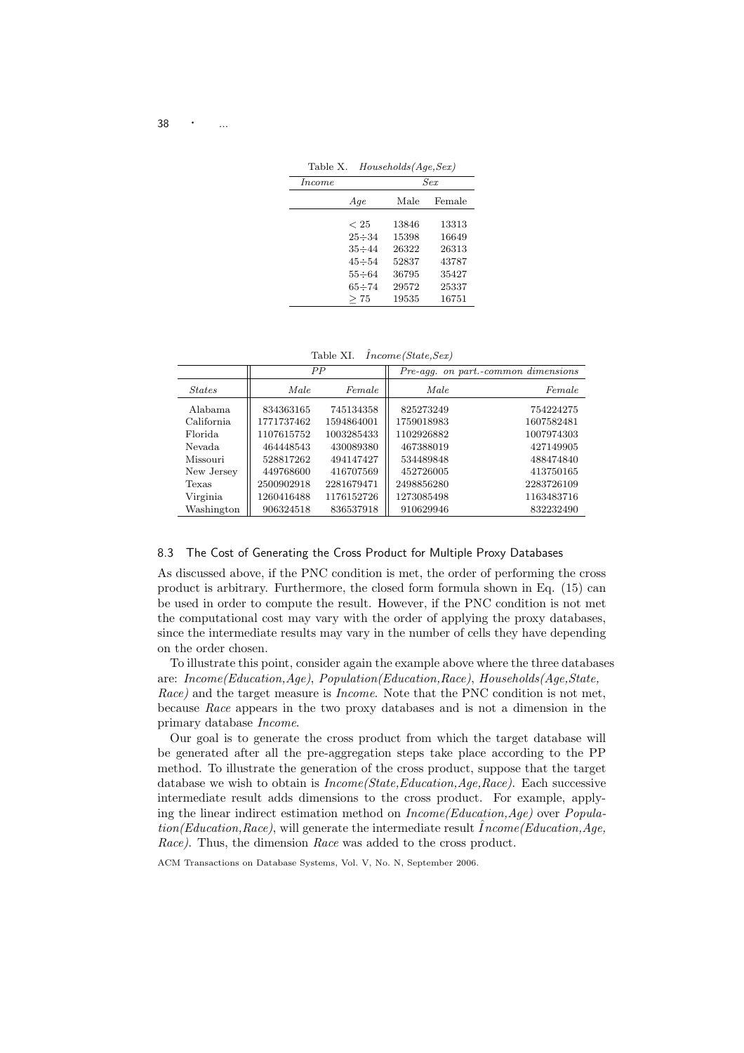Table X. Households(Age,Sex)

| Income | $_{Sex}$     |       |        |  |  |
|--------|--------------|-------|--------|--|--|
|        | Aqe          | Male  | Female |  |  |
|        |              |       |        |  |  |
|        | < 25         | 13846 | 13313  |  |  |
|        | $25 \div 34$ | 15398 | 16649  |  |  |
|        | $35 \div 44$ | 26322 | 26313  |  |  |
|        | $45 \div 54$ | 52837 | 43787  |  |  |
|        | $55 \div 64$ | 36795 | 35427  |  |  |
|        | $65 \div 74$ | 29572 | 25337  |  |  |
|        | >75          | 19535 | 16751  |  |  |

Table XI.  $\hat{I}ncome(State,Sex)$ 

|               |            | PP         | Pre-agg. on part.-common dimensions |            |  |
|---------------|------------|------------|-------------------------------------|------------|--|
| <b>States</b> | Male       | Female     | Male                                | Female     |  |
| Alabama       | 834363165  | 745134358  | 825273249                           | 754224275  |  |
| California    | 1771737462 | 1594864001 | 1759018983                          | 1607582481 |  |
| Florida.      | 1107615752 | 1003285433 | 1102926882                          | 1007974303 |  |
| Nevada        | 464448543  | 430089380  | 467388019                           | 427149905  |  |
| Missouri      | 528817262  | 494147427  | 534489848                           | 488474840  |  |
| New Jersey    | 449768600  | 416707569  | 452726005                           | 413750165  |  |
| Texas         | 2500902918 | 2281679471 | 2498856280                          | 2283726109 |  |
| Virginia      | 1260416488 | 1176152726 | 1273085498                          | 1163483716 |  |
| Washington    | 906324518  | 836537918  | 910629946                           | 832232490  |  |

### 8.3 The Cost of Generating the Cross Product for Multiple Proxy Databases

As discussed above, if the PNC condition is met, the order of performing the cross product is arbitrary. Furthermore, the closed form formula shown in Eq. (15) can be used in order to compute the result. However, if the PNC condition is not met the computational cost may vary with the order of applying the proxy databases, since the intermediate results may vary in the number of cells they have depending on the order chosen.

To illustrate this point, consider again the example above where the three databases are: Income(Education,Age), Population(Education,Race), Households(Age,State, Race) and the target measure is *Income*. Note that the PNC condition is not met, because Race appears in the two proxy databases and is not a dimension in the primary database Income.

Our goal is to generate the cross product from which the target database will be generated after all the pre-aggregation steps take place according to the PP method. To illustrate the generation of the cross product, suppose that the target database we wish to obtain is  $Income(State, Education,Age, Race)$ . Each successive intermediate result adds dimensions to the cross product. For example, applying the linear indirect estimation method on Income(Education,Age) over Population(Education, Race), will generate the intermediate result  $\r{I}ncome(Education, Age,$ Race). Thus, the dimension Race was added to the cross product.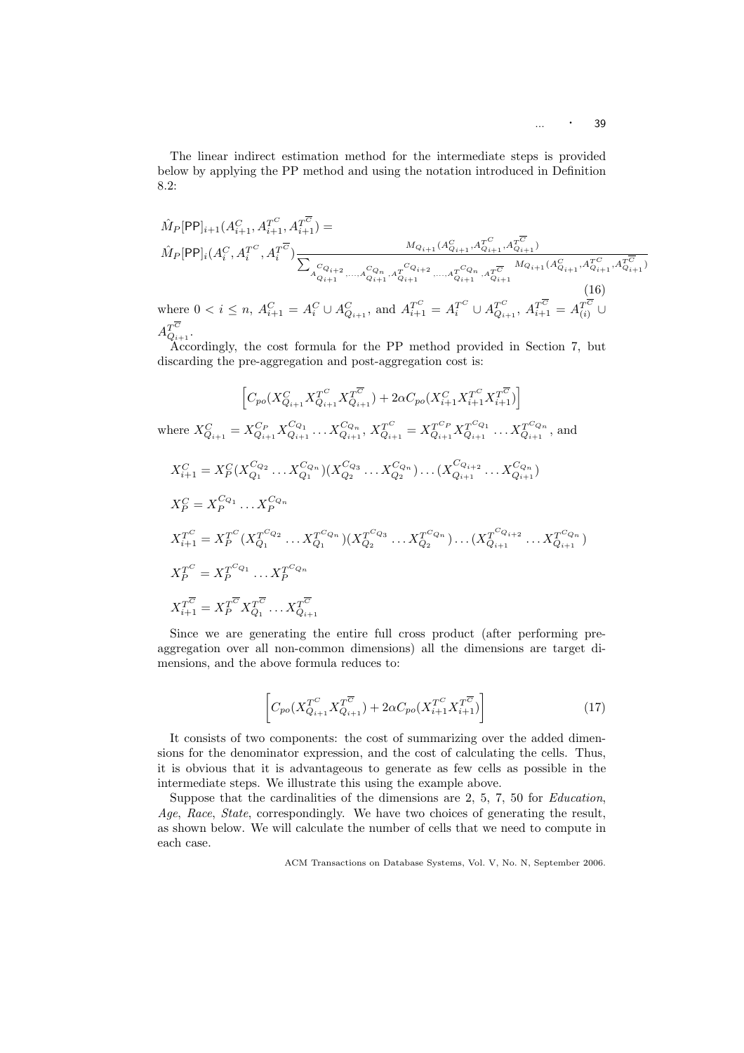The linear indirect estimation method for the intermediate steps is provided below by applying the PP method and using the notation introduced in Definition 8.2:

$$
\hat{M}_{P}[\text{PP}]_{i+1}(A_{i+1}^{C}, A_{i+1}^{T^{C}}, A_{i+1}^{T^{\overline{C}}}) =
$$
\n
$$
\hat{M}_{P}[\text{PP}]_{i}(A_{i}^{C}, A_{i}^{T^{C}}, A_{i}^{T^{\overline{C}}}) \underbrace{\sum_{\substack{a_{Q_{i+1}} \ldots a_{Q_{i+1}} \ldots a_{Q_{i+1}}^{C_{Q_{i+1}}}, a_{Q_{i+1}}^{T^{C}} \ldots a_{Q_{i+1}}^{T^{\overline{C}}}, A_{Q_{i+1}}^{T^{\overline{C}}}}_{a_{Q_{i+1}} \ldots a_{Q_{i+1}}^{C_{Q_{i+1}}}, a_{Q_{i+1}}^{T^{\overline{C}}}, a_{Q_{i+1}}^{T^{\overline{C}}}, A_{Q_{i+1}}^{T^{\overline{C}}}, A_{Q_{i+1}}^{T^{\overline{C}}}, A_{Q_{i+1}}^{T^{\overline{C}}}, a_{Q_{i+1}}^{T^{\overline{C}}}, a_{Q_{i+1}}^{T^{\overline{C}}}, A_{Q_{i+1}}^{T^{\overline{C}}}, a_{Q_{i+1}}^{T^{\overline{C}}})}
$$
\nwhere  $0 < i \leq n$ ,  $A_{i+1}^{C} = A_{i}^{C} \cup A_{Q_{i+1}}^{C}$ , and  $A_{i+1}^{T^{C}} = A_{i}^{T^{C}} \cup A_{Q_{i+1}}^{T^{\overline{C}}}$ ,  $A_{i+1}^{T^{\overline{C}}} = A_{(i)}^{T^{\overline{C}}} \cup A_{Q_{i+1}}^{T^{\overline{C}}}$ .

Accordingly, the cost formula for the PP method provided in Section 7, but discarding the pre-aggregation and post-aggregation cost is:

$$
\begin{aligned}\n& \left[C_{po}(X_{Q_{i+1}}^C X_{Q_{i+1}}^{T^C} X_{Q_{i+1}}^{T^{\overline{C}}}) + 2\alpha C_{po}(X_{i+1}^C X_{i+1}^{T^C} X_{i+1}^{T^{\overline{C}}})\right] \\
\text{where } X_{Q_{i+1}}^C = X_{Q_{i+1}}^{C_P} X_{Q_{i+1}}^{C_{Q_1}} \dots X_{Q_{i+1}}^{C_{Q_n}}, X_{Q_{i+1}}^{C_{Q_1}} = X_{Q_{i+1}}^{C_P} X_{Q_{i+1}}^{C_{Q_1}} \dots X_{Q_{i+1}}^{C_{Q_n}}, \text{ and} \\
& X_{i+1}^C = X_P^C (X_{Q_1}^{C_{Q_2}} \dots X_{Q_1}^{C_{Q_n}}) (X_{Q_2}^{C_{Q_3}} \dots X_{Q_2}^{C_{Q_n}}) \dots (X_{Q_{i+1}}^{C_{Q_{i+1}}} \dots X_{Q_{i+1}}^{C_{Q_n}}) \\
& X_P^C = X_P^{C_{Q_1}} \dots X_P^{C_{Q_n}} \\
& X_{i+1}^T = X_P^{T^C} (X_{Q_1}^{T^C Q_2} \dots X_{Q_1}^{T^C Q_n}) (X_{Q_2}^{T^C Q_3} \dots X_{Q_2}^{T^C Q_n}) \dots (X_{Q_{i+1}}^{T^C Q_{i+2}} \dots X_{Q_{i+1}}^{T^C Q_n}) \\
& X_P^T^C = X_P^{T^C Q_1} \dots X_P^{T^C Q_n} \\
& X_{i+1}^T = X_P^{T^{\overline{C}}} X_{Q_1}^{T^{\overline{C}}} \dots X_{Q_{i+1}}^{T^{\overline{C}}} \\
& \end{aligned}
$$

Since we are generating the entire full cross product (after performing preaggregation over all non-common dimensions) all the dimensions are target dimensions, and the above formula reduces to:

$$
\left[C_{po}(X_{Q_{i+1}}^{T^C}X_{Q_{i+1}}^{T^{\overline{C}}}) + 2\alpha C_{po}(X_{i+1}^{T^C}X_{i+1}^{T^{\overline{C}}})\right]
$$
\n(17)

It consists of two components: the cost of summarizing over the added dimensions for the denominator expression, and the cost of calculating the cells. Thus, it is obvious that it is advantageous to generate as few cells as possible in the intermediate steps. We illustrate this using the example above.

Suppose that the cardinalities of the dimensions are 2, 5, 7, 50 for Education, Age, Race, State, correspondingly. We have two choices of generating the result, as shown below. We will calculate the number of cells that we need to compute in each case.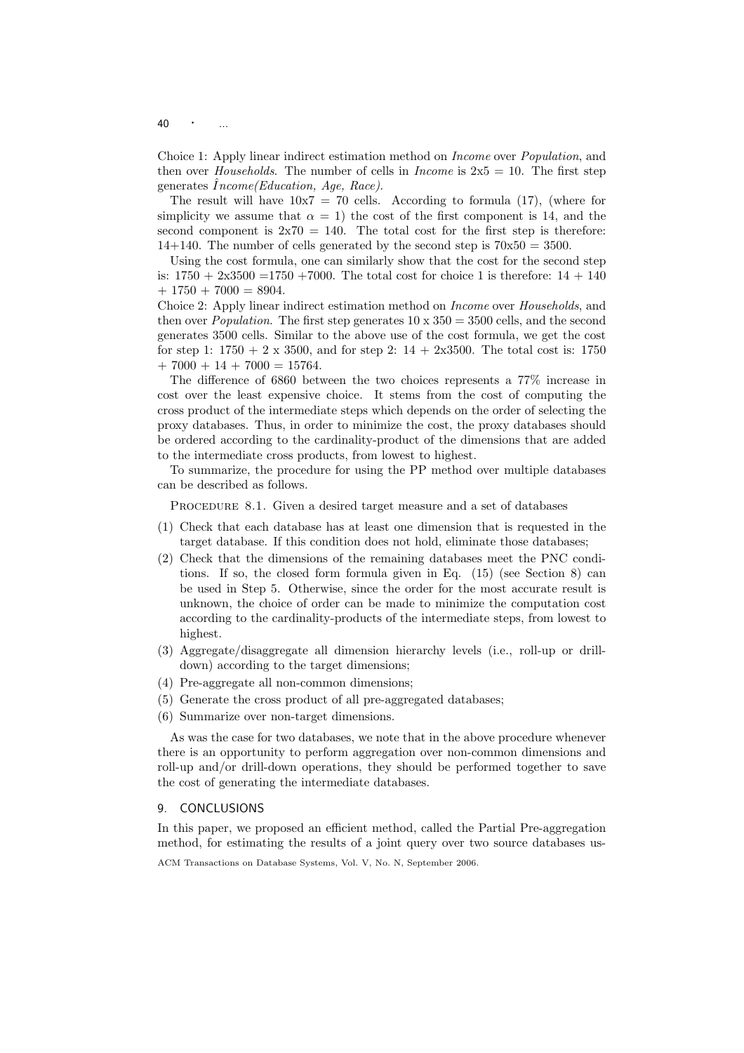$40$ 

Choice 1: Apply linear indirect estimation method on Income over Population, and then over *Households*. The number of cells in *Income* is  $2x5 = 10$ . The first step generates  $\hat{I}$ ncome(Education, Age, Race).

The result will have  $10x7 = 70$  cells. According to formula (17), (where for simplicity we assume that  $\alpha = 1$ ) the cost of the first component is 14, and the second component is  $2x70 = 140$ . The total cost for the first step is therefore: 14+140. The number of cells generated by the second step is  $70x50 = 3500$ .

Using the cost formula, one can similarly show that the cost for the second step is:  $1750 + 2x3500 = 1750 + 7000$ . The total cost for choice 1 is therefore:  $14 + 140$  $+ 1750 + 7000 = 8904.$ 

Choice 2: Apply linear indirect estimation method on Income over Households, and then over *Population*. The first step generates  $10 \times 350 = 3500$  cells, and the second generates 3500 cells. Similar to the above use of the cost formula, we get the cost for step 1:  $1750 + 2 \times 3500$ , and for step 2:  $14 + 2 \times 3500$ . The total cost is: 1750  $+ 7000 + 14 + 7000 = 15764.$ 

The difference of 6860 between the two choices represents a 77% increase in cost over the least expensive choice. It stems from the cost of computing the cross product of the intermediate steps which depends on the order of selecting the proxy databases. Thus, in order to minimize the cost, the proxy databases should be ordered according to the cardinality-product of the dimensions that are added to the intermediate cross products, from lowest to highest.

To summarize, the procedure for using the PP method over multiple databases can be described as follows.

PROCEDURE 8.1. Given a desired target measure and a set of databases

- (1) Check that each database has at least one dimension that is requested in the target database. If this condition does not hold, eliminate those databases;
- (2) Check that the dimensions of the remaining databases meet the PNC conditions. If so, the closed form formula given in Eq. (15) (see Section 8) can be used in Step 5. Otherwise, since the order for the most accurate result is unknown, the choice of order can be made to minimize the computation cost according to the cardinality-products of the intermediate steps, from lowest to highest.
- (3) Aggregate/disaggregate all dimension hierarchy levels (i.e., roll-up or drilldown) according to the target dimensions;
- (4) Pre-aggregate all non-common dimensions;
- (5) Generate the cross product of all pre-aggregated databases;
- (6) Summarize over non-target dimensions.

As was the case for two databases, we note that in the above procedure whenever there is an opportunity to perform aggregation over non-common dimensions and roll-up and/or drill-down operations, they should be performed together to save the cost of generating the intermediate databases.

#### 9. CONCLUSIONS

In this paper, we proposed an efficient method, called the Partial Pre-aggregation method, for estimating the results of a joint query over two source databases us-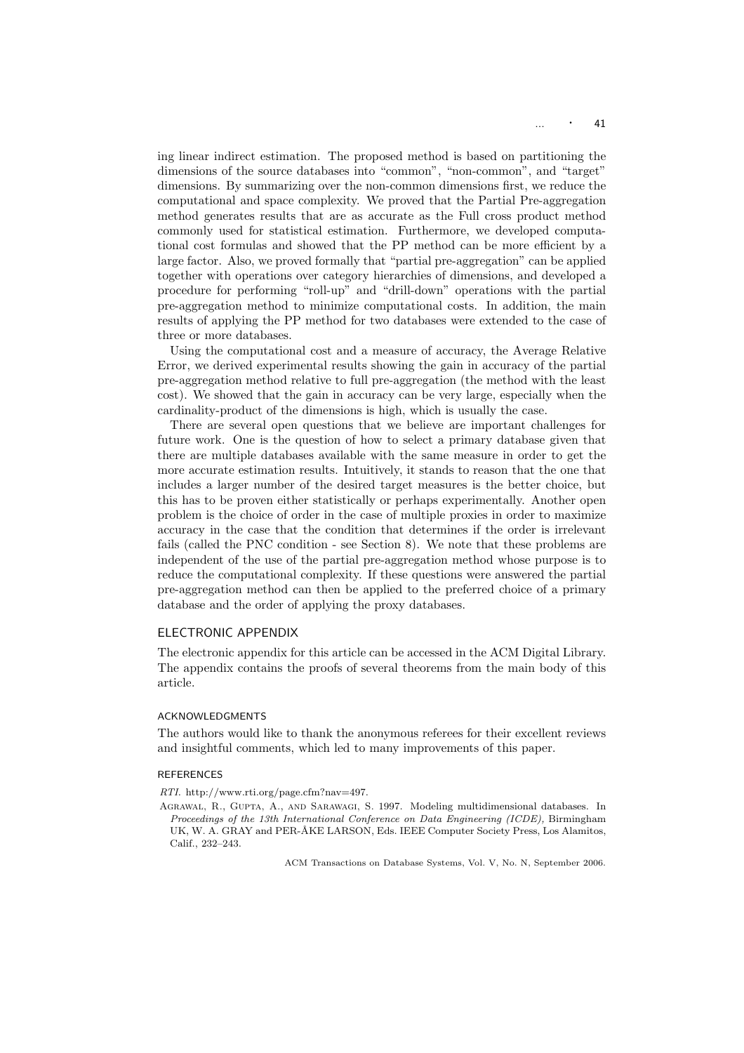ing linear indirect estimation. The proposed method is based on partitioning the dimensions of the source databases into "common", "non-common", and "target" dimensions. By summarizing over the non-common dimensions first, we reduce the computational and space complexity. We proved that the Partial Pre-aggregation method generates results that are as accurate as the Full cross product method commonly used for statistical estimation. Furthermore, we developed computational cost formulas and showed that the PP method can be more efficient by a large factor. Also, we proved formally that "partial pre-aggregation" can be applied together with operations over category hierarchies of dimensions, and developed a procedure for performing "roll-up" and "drill-down" operations with the partial pre-aggregation method to minimize computational costs. In addition, the main results of applying the PP method for two databases were extended to the case of three or more databases.

Using the computational cost and a measure of accuracy, the Average Relative Error, we derived experimental results showing the gain in accuracy of the partial pre-aggregation method relative to full pre-aggregation (the method with the least cost). We showed that the gain in accuracy can be very large, especially when the cardinality-product of the dimensions is high, which is usually the case.

There are several open questions that we believe are important challenges for future work. One is the question of how to select a primary database given that there are multiple databases available with the same measure in order to get the more accurate estimation results. Intuitively, it stands to reason that the one that includes a larger number of the desired target measures is the better choice, but this has to be proven either statistically or perhaps experimentally. Another open problem is the choice of order in the case of multiple proxies in order to maximize accuracy in the case that the condition that determines if the order is irrelevant fails (called the PNC condition - see Section 8). We note that these problems are independent of the use of the partial pre-aggregation method whose purpose is to reduce the computational complexity. If these questions were answered the partial pre-aggregation method can then be applied to the preferred choice of a primary database and the order of applying the proxy databases.

## ELECTRONIC APPENDIX

The electronic appendix for this article can be accessed in the ACM Digital Library. The appendix contains the proofs of several theorems from the main body of this article.

#### ACKNOWLEDGMENTS

The authors would like to thank the anonymous referees for their excellent reviews and insightful comments, which led to many improvements of this paper.

#### **REFERENCES**

RTI. http://www.rti.org/page.cfm?nav=497.

Agrawal, R., Gupta, A., and Sarawagi, S. 1997. Modeling multidimensional databases. In Proceedings of the 13th International Conference on Data Engineering (ICDE), Birmingham UK, W. A. GRAY and PER-ÅKE LARSON, Eds. IEEE Computer Society Press, Los Alamitos, Calif., 232–243.